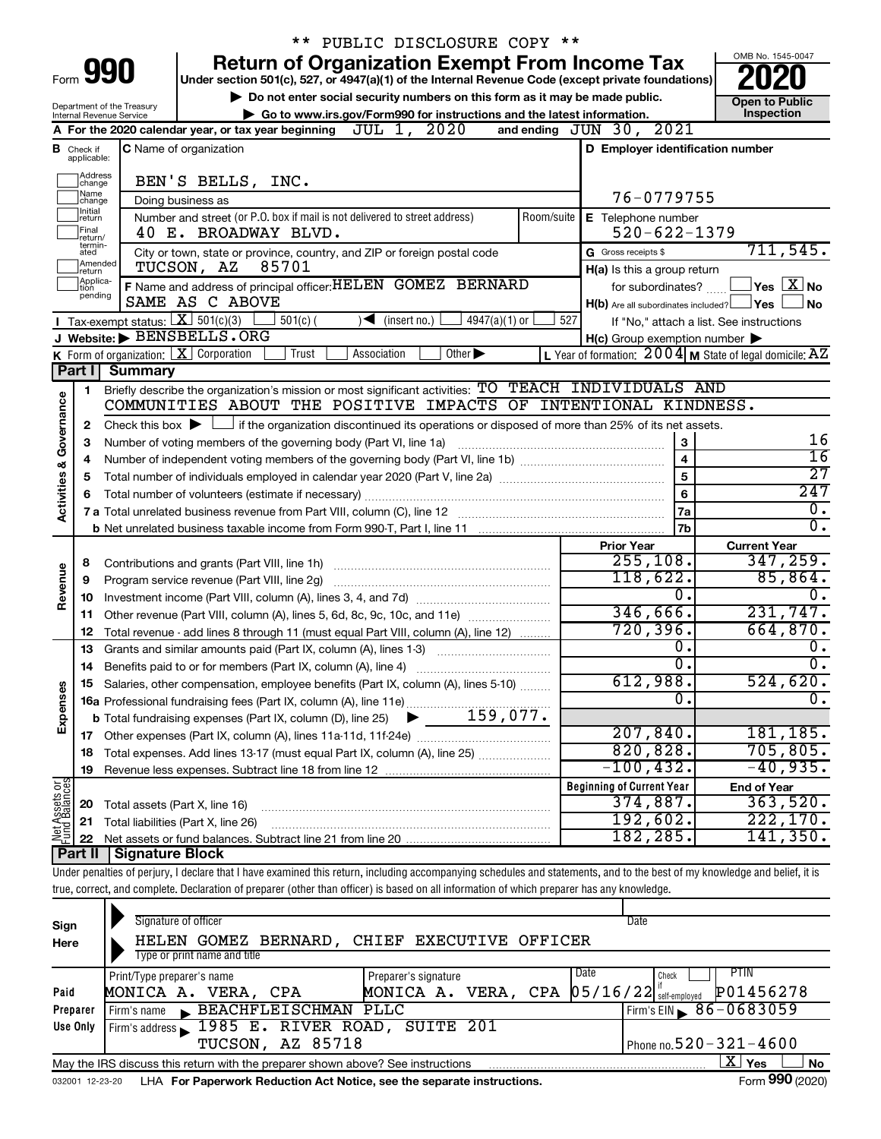|                                |                              |                                                                   | ** PUBLIC DISCLOSURE COPY **                                                                                                                                               |                  |                                                     |                                                                    |
|--------------------------------|------------------------------|-------------------------------------------------------------------|----------------------------------------------------------------------------------------------------------------------------------------------------------------------------|------------------|-----------------------------------------------------|--------------------------------------------------------------------|
|                                |                              |                                                                   | <b>Return of Organization Exempt From Income Tax</b>                                                                                                                       |                  |                                                     | OMB No. 1545-0047                                                  |
|                                |                              | Form 990                                                          | Under section 501(c), 527, or 4947(a)(1) of the Internal Revenue Code (except private foundations)                                                                         |                  |                                                     |                                                                    |
|                                |                              | Department of the Treasury                                        | Do not enter social security numbers on this form as it may be made public.                                                                                                |                  |                                                     | <b>Open to Public</b>                                              |
|                                |                              | Internal Revenue Service                                          | Go to www.irs.gov/Form990 for instructions and the latest information.                                                                                                     |                  |                                                     | Inspection                                                         |
|                                |                              |                                                                   | A For the 2020 calendar year, or tax year beginning $JUL$ 1, $2020$                                                                                                        |                  | and ending JUN 30, 2021                             |                                                                    |
| В                              | Check if<br>applicable:      |                                                                   | <b>C</b> Name of organization                                                                                                                                              |                  | D Employer identification number                    |                                                                    |
|                                | Address                      |                                                                   |                                                                                                                                                                            |                  |                                                     |                                                                    |
|                                | change<br> Name              |                                                                   | BEN'S BELLS, INC.                                                                                                                                                          |                  | 76-0779755                                          |                                                                    |
|                                | change<br>Initial<br> return |                                                                   | Doing business as<br>Number and street (or P.O. box if mail is not delivered to street address)                                                                            | Room/suite       | E Telephone number                                  |                                                                    |
|                                | Final<br>return/             |                                                                   | 40 E. BROADWAY BLVD.                                                                                                                                                       |                  | $520 - 622 - 1379$                                  |                                                                    |
|                                | termin-<br>ated              |                                                                   | City or town, state or province, country, and ZIP or foreign postal code                                                                                                   |                  | G Gross receipts \$                                 | 711,545.                                                           |
|                                | Amended<br>return            |                                                                   | 85701<br>TUCSON, AZ                                                                                                                                                        |                  | H(a) Is this a group return                         |                                                                    |
|                                | Applica-<br>tion             |                                                                   | F Name and address of principal officer: HELEN GOMEZ BERNARD                                                                                                               |                  | for subordinates?                                   | $\sqrt{\mathsf{Yes}\mathord{\;\mathbb{X}}\mathord{\;\mathsf{No}}}$ |
|                                | pending                      |                                                                   | SAME AS C ABOVE                                                                                                                                                            |                  | $H(b)$ Are all subordinates included? $\Box$ Yes    | <b>No</b>                                                          |
|                                |                              | Tax-exempt status: $X \ 501(c)(3)$                                | $4947(a)(1)$ or<br>$501(c)$ (<br>$\sqrt{\frac{1}{1}}$ (insert no.)                                                                                                         | 527              |                                                     | If "No," attach a list. See instructions                           |
|                                |                              |                                                                   | J Website: BENSBELLS.ORG                                                                                                                                                   |                  | $H(c)$ Group exemption number $\blacktriangleright$ |                                                                    |
|                                |                              | $K$ Form of organization: $X$ Corporation                         | Trust<br>Association<br>Other $\blacktriangleright$                                                                                                                        |                  |                                                     | L Year of formation: $2004$ M State of legal domicile: $AZ$        |
|                                | Part I                       | <b>Summary</b>                                                    |                                                                                                                                                                            |                  |                                                     |                                                                    |
|                                | 1                            |                                                                   | Briefly describe the organization's mission or most significant activities: TO TEACH INDIVIDUALS AND<br>COMMUNITIES ABOUT THE POSITIVE IMPACTS OF INTENTIONAL KINDNESS.    |                  |                                                     |                                                                    |
|                                | 2                            |                                                                   | Check this box $\blacktriangleright$ $\Box$ if the organization discontinued its operations or disposed of more than 25% of its net assets.                                |                  |                                                     |                                                                    |
| Governance                     | 3                            | Number of voting members of the governing body (Part VI, line 1a) | 16                                                                                                                                                                         |                  |                                                     |                                                                    |
|                                | 4                            |                                                                   | $\overline{16}$                                                                                                                                                            |                  |                                                     |                                                                    |
| <b>Activities &amp;</b>        | 5                            |                                                                   | $\overline{27}$                                                                                                                                                            |                  |                                                     |                                                                    |
|                                | 6                            |                                                                   | 6                                                                                                                                                                          | $\overline{247}$ |                                                     |                                                                    |
|                                |                              |                                                                   |                                                                                                                                                                            |                  | 7a                                                  | 0.                                                                 |
|                                |                              |                                                                   |                                                                                                                                                                            |                  | 7b                                                  | σ.                                                                 |
|                                |                              |                                                                   |                                                                                                                                                                            |                  | <b>Prior Year</b>                                   | <b>Current Year</b>                                                |
|                                | 8                            |                                                                   |                                                                                                                                                                            |                  | 255, 108.<br>118,622.                               | 347, 259.                                                          |
| Revenue                        | 9                            |                                                                   | Program service revenue (Part VIII, line 2g) [11] [11] matter contracts are revenued as a program service revenue                                                          |                  | 0.                                                  | 85,864.<br>0.                                                      |
|                                | 10<br>11                     |                                                                   | Other revenue (Part VIII, column (A), lines 5, 6d, 8c, 9c, 10c, and 11e)                                                                                                   |                  | 346,666.                                            | 231,747.                                                           |
|                                | 12                           |                                                                   | Total revenue - add lines 8 through 11 (must equal Part VIII, column (A), line 12)                                                                                         |                  | 720, 396.                                           | 664,870.                                                           |
|                                | 13                           |                                                                   | Grants and similar amounts paid (Part IX, column (A), lines 1-3)                                                                                                           |                  | 0.                                                  | 0.                                                                 |
|                                | 14                           |                                                                   | Benefits paid to or for members (Part IX, column (A), line 4)                                                                                                              |                  | σ.                                                  | σ.                                                                 |
|                                |                              |                                                                   | Salaries, other compensation, employee benefits (Part IX, column (A), lines 5-10)                                                                                          |                  | 612,988.                                            | 524,620.                                                           |
|                                |                              |                                                                   |                                                                                                                                                                            |                  | 0                                                   | 0.                                                                 |
| Expenses                       |                              |                                                                   |                                                                                                                                                                            |                  |                                                     |                                                                    |
|                                | 17                           |                                                                   |                                                                                                                                                                            |                  | 207,840.                                            | 181,185.                                                           |
|                                | 18                           |                                                                   | Total expenses. Add lines 13-17 (must equal Part IX, column (A), line 25)                                                                                                  |                  | 820, 828.                                           | 705, 805.                                                          |
|                                | 19                           |                                                                   |                                                                                                                                                                            |                  | $-100, 432.$                                        | $-40,935$ .                                                        |
| Net Assets or<br>Fund Balances |                              |                                                                   |                                                                                                                                                                            |                  | <b>Beginning of Current Year</b><br>374,887.        | <b>End of Year</b><br>363,520.                                     |
|                                | 20<br>21                     | Total assets (Part X, line 16)                                    | Total liabilities (Part X, line 26)                                                                                                                                        |                  | 192,602.                                            | 222,170.                                                           |
|                                | 22                           |                                                                   |                                                                                                                                                                            |                  | 182,285.                                            | 141,350.                                                           |
|                                | Part II                      | Signature Block                                                   |                                                                                                                                                                            |                  |                                                     |                                                                    |
|                                |                              |                                                                   | Under penalties of perjury, I declare that I have examined this return, including accompanying schedules and statements, and to the best of my knowledge and belief, it is |                  |                                                     |                                                                    |
|                                |                              |                                                                   | true, correct, and complete. Declaration of preparer (other than officer) is based on all information of which preparer has any knowledge.                                 |                  |                                                     |                                                                    |
|                                |                              |                                                                   |                                                                                                                                                                            |                  |                                                     |                                                                    |

|          | Signature of officer<br>Date                                                                 |           |
|----------|----------------------------------------------------------------------------------------------|-----------|
| Sign     |                                                                                              |           |
| Here     | HELEN GOMEZ BERNARD, CHIEF EXECUTIVE OFFICER                                                 |           |
|          | Type or print name and title                                                                 |           |
|          | Date<br>PTIN<br>Print/Type preparer's name<br>Preparer's signature<br>Check                  |           |
| Paid     | P01456278<br>MONICA A. VERA, CPA 05/16/22 Self-employed<br>MONICA A. VERA, CPA               |           |
| Preparer | BEACHFLEISCHMAN PLLC<br>Firm's EIN $\, 86 - 0683059$<br>Firm's name                          |           |
| Use Only | Firm's address 1985 E. RIVER ROAD, SUITE 201                                                 |           |
|          | <b>TUCSON, AZ 85718</b><br>Phone no. $520 - 321 - 4600$                                      |           |
|          | x.<br>Yes<br>May the IRS discuss this return with the preparer shown above? See instructions | <b>No</b> |
|          | $\cdots$                                                                                     |           |

032001 12-23-20 LHA **For Paperwork Reduction Act Notice, see the separate instructions.** Form 990 (2020)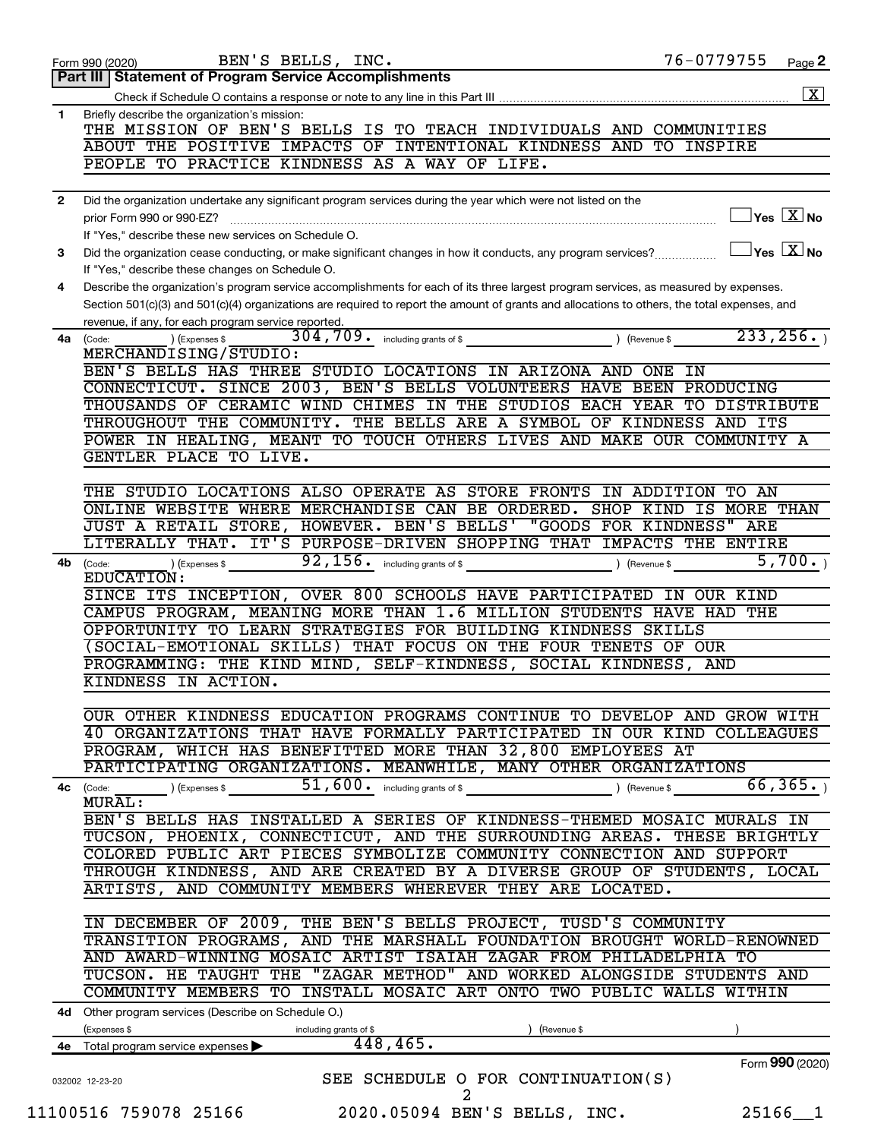|              | BEN'S BELLS, INC.<br>Form 990 (2020)                                                                                                                            | 76-0779755      | Page 2                                           |
|--------------|-----------------------------------------------------------------------------------------------------------------------------------------------------------------|-----------------|--------------------------------------------------|
|              | Part III   Statement of Program Service Accomplishments                                                                                                         |                 |                                                  |
|              |                                                                                                                                                                 |                 | $\boxed{\textbf{X}}$                             |
| 1            | Briefly describe the organization's mission:<br>THE MISSION OF BEN'S BELLS IS TO TEACH INDIVIDUALS AND COMMUNITIES                                              |                 |                                                  |
|              | ABOUT THE POSITIVE IMPACTS OF INTENTIONAL KINDNESS AND TO INSPIRE<br>PEOPLE TO PRACTICE KINDNESS AS A WAY OF LIFE.                                              |                 |                                                  |
|              |                                                                                                                                                                 |                 |                                                  |
| $\mathbf{2}$ | Did the organization undertake any significant program services during the year which were not listed on the                                                    |                 |                                                  |
|              | prior Form 990 or 990-EZ?                                                                                                                                       |                 | $\sqrt{\mathsf{Yes}\ \mathbf{X}}$ No             |
|              | If "Yes," describe these new services on Schedule O.                                                                                                            |                 | $\sqrt{}$ Yes $\sqrt{}$ $\overline{\text{X}}$ No |
| 3            | Did the organization cease conducting, or make significant changes in how it conducts, any program services?<br>If "Yes," describe these changes on Schedule O. |                 |                                                  |
| 4            | Describe the organization's program service accomplishments for each of its three largest program services, as measured by expenses.                            |                 |                                                  |
|              | Section 501(c)(3) and 501(c)(4) organizations are required to report the amount of grants and allocations to others, the total expenses, and                    |                 |                                                  |
|              | revenue, if any, for each program service reported.<br>304,709. including grants of \$                                                                          | 233, 256.       |                                                  |
|              | 4a (Code:<br>(Expenses \$<br>MERCHANDISING/STUDIO:                                                                                                              | Revenue \$      |                                                  |
|              | BEN'S BELLS HAS THREE STUDIO LOCATIONS IN ARIZONA AND ONE                                                                                                       | IN              |                                                  |
|              | CONNECTICUT. SINCE 2003, BEN'S BELLS VOLUNTEERS HAVE BEEN PRODUCING                                                                                             |                 |                                                  |
|              | THOUSANDS OF CERAMIC WIND CHIMES IN THE STUDIOS EACH YEAR TO DISTRIBUTE                                                                                         |                 |                                                  |
|              | THROUGHOUT THE COMMUNITY. THE BELLS ARE A SYMBOL OF KINDNESS AND ITS                                                                                            |                 |                                                  |
|              | POWER IN HEALING, MEANT TO TOUCH OTHERS LIVES AND MAKE OUR COMMUNITY A                                                                                          |                 |                                                  |
|              | GENTLER PLACE TO LIVE.                                                                                                                                          |                 |                                                  |
|              |                                                                                                                                                                 |                 |                                                  |
|              | THE STUDIO LOCATIONS ALSO OPERATE AS STORE FRONTS IN ADDITION                                                                                                   | TO AN           |                                                  |
|              | ONLINE WEBSITE WHERE MERCHANDISE CAN BE ORDERED. SHOP KIND                                                                                                      | MORE THAN<br>IS |                                                  |
|              | JUST A RETAIL STORE, HOWEVER. BEN'S BELLS' "GOODS FOR KINDNESS" ARE                                                                                             |                 |                                                  |
|              | LITERALLY THAT. IT'S PURPOSE-DRIVEN SHOPPING THAT IMPACTS THE ENTIRE                                                                                            |                 |                                                  |
| 4b           | $92, 156$ $\cdot$ including grants of \$<br>) (Expenses \$<br>(Code:                                                                                            | Revenue \$      | 5,700.                                           |
|              | EDUCATION:<br>SINCE ITS INCEPTION, OVER 800 SCHOOLS HAVE PARTICIPATED                                                                                           | TN              |                                                  |
|              | CAMPUS PROGRAM, MEANING MORE THAN 1.6 MILLION STUDENTS HAVE HAD                                                                                                 | OUR KIND<br>THE |                                                  |
|              | OPPORTUNITY TO LEARN STRATEGIES FOR BUILDING KINDNESS SKILLS                                                                                                    |                 |                                                  |
|              | (SOCIAL-EMOTIONAL SKILLS) THAT FOCUS ON THE FOUR TENETS OF OUR                                                                                                  |                 |                                                  |
|              | PROGRAMMING: THE KIND MIND, SELF-KINDNESS, SOCIAL KINDNESS,                                                                                                     | AND             |                                                  |
|              | KINDNESS IN ACTION.                                                                                                                                             |                 |                                                  |
|              |                                                                                                                                                                 |                 |                                                  |
|              | OUR OTHER KINDNESS EDUCATION PROGRAMS CONTINUE TO DEVELOP AND GROW WITH                                                                                         |                 |                                                  |
|              | 40 ORGANIZATIONS THAT HAVE FORMALLY PARTICIPATED IN OUR KIND COLLEAGUES                                                                                         |                 |                                                  |
|              | PROGRAM, WHICH HAS BENEFITTED MORE THAN 32,800 EMPLOYEES AT                                                                                                     |                 |                                                  |
|              | PARTICIPATING ORGANIZATIONS. MEANWHILE, MANY OTHER ORGANIZATIONS                                                                                                |                 |                                                  |
|              | 51, 600. including grants of \$<br>) (Expenses \$<br>4c (Code:                                                                                                  | ) (Revenue \$   | 66, 365.                                         |
|              | MURAL:                                                                                                                                                          |                 |                                                  |
|              | BEN'S BELLS HAS INSTALLED A SERIES OF KINDNESS-THEMED MOSAIC MURALS IN<br>TUCSON, PHOENIX, CONNECTICUT, AND THE SURROUNDING AREAS. THESE BRIGHTLY               |                 |                                                  |
|              | COLORED PUBLIC ART PIECES SYMBOLIZE COMMUNITY CONNECTION AND SUPPORT                                                                                            |                 |                                                  |
|              | THROUGH KINDNESS, AND ARE CREATED BY A DIVERSE GROUP OF STUDENTS, LOCAL                                                                                         |                 |                                                  |
|              | ARTISTS, AND COMMUNITY MEMBERS WHEREVER THEY ARE LOCATED.                                                                                                       |                 |                                                  |
|              |                                                                                                                                                                 |                 |                                                  |
|              | IN DECEMBER OF 2009, THE BEN'S BELLS PROJECT, TUSD'S COMMUNITY                                                                                                  |                 |                                                  |
|              | TRANSITION PROGRAMS, AND THE MARSHALL FOUNDATION BROUGHT WORLD-RENOWNED                                                                                         |                 |                                                  |
|              | AND AWARD-WINNING MOSAIC ARTIST ISAIAH ZAGAR FROM PHILADELPHIA TO                                                                                               |                 |                                                  |
|              | TUCSON. HE TAUGHT THE "ZAGAR METHOD" AND WORKED ALONGSIDE STUDENTS AND                                                                                          |                 |                                                  |
|              | COMMUNITY MEMBERS TO INSTALL MOSAIC ART ONTO TWO PUBLIC WALLS WITHIN                                                                                            |                 |                                                  |
|              | 4d Other program services (Describe on Schedule O.)                                                                                                             |                 |                                                  |
|              | (Expenses \$<br>including grants of \$<br>) (Revenue \$                                                                                                         |                 |                                                  |
|              | 448,465.<br>4e Total program service expenses                                                                                                                   |                 |                                                  |
|              |                                                                                                                                                                 | Form 990 (2020) |                                                  |
|              | SEE SCHEDULE O FOR CONTINUATION(S)<br>032002 12-23-20                                                                                                           |                 |                                                  |
|              | 2                                                                                                                                                               |                 |                                                  |
|              | 11100516 759078 25166<br>2020.05094 BEN'S BELLS, INC.                                                                                                           | $25166 - 1$     |                                                  |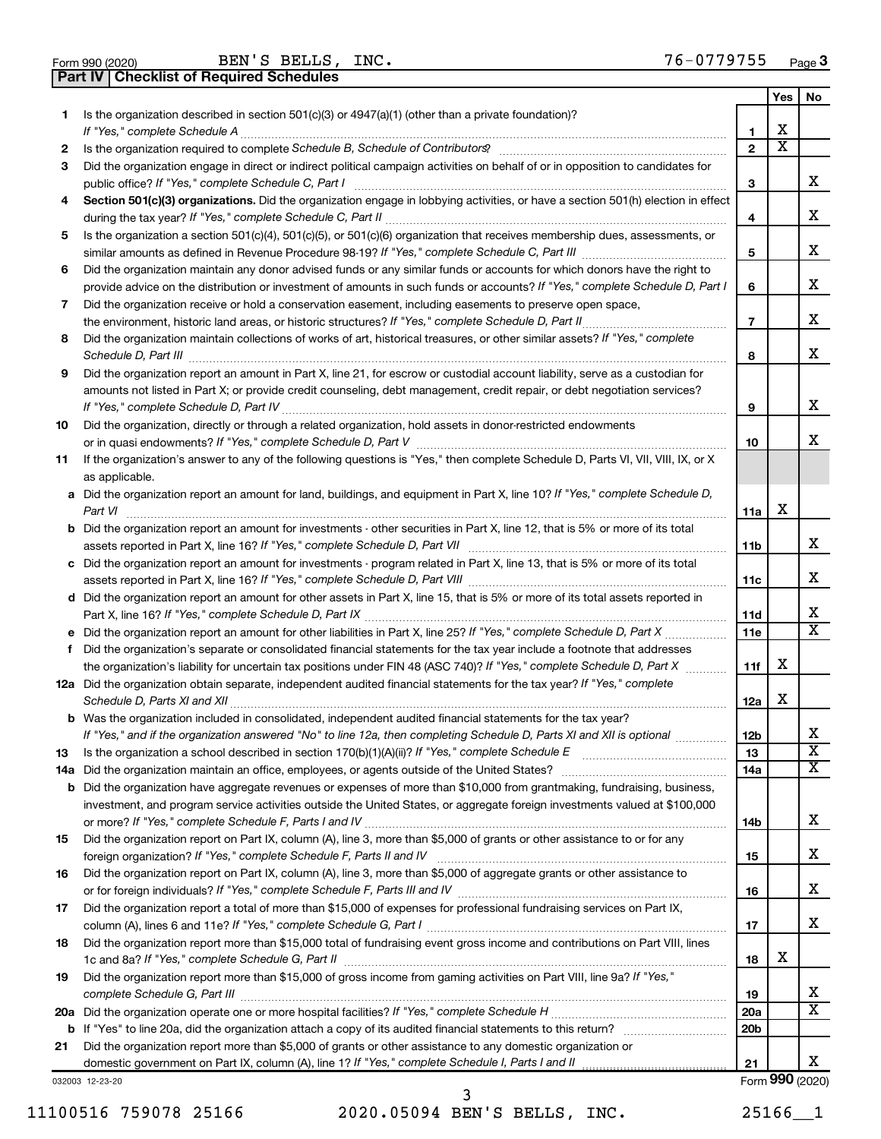| Form 990 (2020) |  |
|-----------------|--|

Form 990 (2020) Page BEN'S BELLS, INC. 76-0779755

**Part IV Checklist of Required Schedules**

|    |                                                                                                                                                                                                                                                                |                 | Yes                     | No                           |
|----|----------------------------------------------------------------------------------------------------------------------------------------------------------------------------------------------------------------------------------------------------------------|-----------------|-------------------------|------------------------------|
| 1  | Is the organization described in section $501(c)(3)$ or $4947(a)(1)$ (other than a private foundation)?<br>If "Yes," complete Schedule A                                                                                                                       | 1               | х                       |                              |
| 2  |                                                                                                                                                                                                                                                                | $\overline{2}$  | $\overline{\textbf{X}}$ |                              |
| 3  | Did the organization engage in direct or indirect political campaign activities on behalf of or in opposition to candidates for<br>public office? If "Yes," complete Schedule C, Part I                                                                        | 3               |                         | x                            |
| 4  | Section 501(c)(3) organizations. Did the organization engage in lobbying activities, or have a section 501(h) election in effect                                                                                                                               | 4               |                         | x                            |
| 5  | Is the organization a section 501(c)(4), 501(c)(5), or 501(c)(6) organization that receives membership dues, assessments, or                                                                                                                                   |                 |                         |                              |
|    |                                                                                                                                                                                                                                                                | 5               |                         | x                            |
| 6  | Did the organization maintain any donor advised funds or any similar funds or accounts for which donors have the right to                                                                                                                                      |                 |                         |                              |
|    | provide advice on the distribution or investment of amounts in such funds or accounts? If "Yes," complete Schedule D, Part I                                                                                                                                   | 6               |                         | x                            |
| 7  | Did the organization receive or hold a conservation easement, including easements to preserve open space,                                                                                                                                                      |                 |                         |                              |
|    |                                                                                                                                                                                                                                                                | $\overline{7}$  |                         | x                            |
| 8  | Did the organization maintain collections of works of art, historical treasures, or other similar assets? If "Yes," complete                                                                                                                                   |                 |                         |                              |
|    | Schedule D, Part III <b>www.community.community.community.community.community.community.com</b>                                                                                                                                                                | 8               |                         | x                            |
| 9  | Did the organization report an amount in Part X, line 21, for escrow or custodial account liability, serve as a custodian for                                                                                                                                  |                 |                         |                              |
|    | amounts not listed in Part X; or provide credit counseling, debt management, credit repair, or debt negotiation services?                                                                                                                                      | 9               |                         | x                            |
| 10 | Did the organization, directly or through a related organization, hold assets in donor-restricted endowments                                                                                                                                                   |                 |                         |                              |
|    |                                                                                                                                                                                                                                                                | 10              |                         | x                            |
| 11 | If the organization's answer to any of the following questions is "Yes," then complete Schedule D, Parts VI, VII, VIII, IX, or X<br>as applicable.                                                                                                             |                 |                         |                              |
|    | a Did the organization report an amount for land, buildings, and equipment in Part X, line 10? If "Yes," complete Schedule D,<br>Part VI                                                                                                                       | 11a             | X                       |                              |
|    | <b>b</b> Did the organization report an amount for investments - other securities in Part X, line 12, that is 5% or more of its total                                                                                                                          | 11b             |                         | x                            |
|    | c Did the organization report an amount for investments - program related in Part X, line 13, that is 5% or more of its total                                                                                                                                  | 11c             |                         | x                            |
|    | d Did the organization report an amount for other assets in Part X, line 15, that is 5% or more of its total assets reported in                                                                                                                                |                 |                         |                              |
|    |                                                                                                                                                                                                                                                                | 11d             |                         | x                            |
|    |                                                                                                                                                                                                                                                                | 11 <sub>e</sub> |                         | $\overline{\mathbf{x}}$      |
| f  | Did the organization's separate or consolidated financial statements for the tax year include a footnote that addresses                                                                                                                                        |                 |                         |                              |
|    | the organization's liability for uncertain tax positions under FIN 48 (ASC 740)? If "Yes," complete Schedule D, Part X                                                                                                                                         | 11f             | х                       |                              |
|    | 12a Did the organization obtain separate, independent audited financial statements for the tax year? If "Yes," complete                                                                                                                                        | 12a             | X                       |                              |
|    | b Was the organization included in consolidated, independent audited financial statements for the tax year?                                                                                                                                                    |                 |                         |                              |
|    | If "Yes," and if the organization answered "No" to line 12a, then completing Schedule D, Parts XI and XII is optional                                                                                                                                          | 12 <sub>b</sub> |                         | х<br>$\overline{\mathbf{X}}$ |
| 13 |                                                                                                                                                                                                                                                                | 13              |                         | X                            |
|    |                                                                                                                                                                                                                                                                | 14a             |                         |                              |
|    | <b>b</b> Did the organization have aggregate revenues or expenses of more than \$10,000 from grantmaking, fundraising, business,<br>investment, and program service activities outside the United States, or aggregate foreign investments valued at \$100,000 |                 |                         |                              |
|    |                                                                                                                                                                                                                                                                | 14b             |                         | x                            |
| 15 | Did the organization report on Part IX, column (A), line 3, more than \$5,000 of grants or other assistance to or for any                                                                                                                                      |                 |                         |                              |
|    |                                                                                                                                                                                                                                                                | 15              |                         | x                            |
| 16 | Did the organization report on Part IX, column (A), line 3, more than \$5,000 of aggregate grants or other assistance to                                                                                                                                       | 16              |                         | x                            |
| 17 | Did the organization report a total of more than \$15,000 of expenses for professional fundraising services on Part IX,                                                                                                                                        |                 |                         |                              |
|    |                                                                                                                                                                                                                                                                | 17              |                         | x                            |
| 18 | Did the organization report more than \$15,000 total of fundraising event gross income and contributions on Part VIII, lines                                                                                                                                   | 18              | х                       |                              |
| 19 | Did the organization report more than \$15,000 of gross income from gaming activities on Part VIII, line 9a? If "Yes,"                                                                                                                                         | 19              |                         | х                            |
|    |                                                                                                                                                                                                                                                                | <b>20a</b>      |                         | $\overline{\mathbf{X}}$      |
|    |                                                                                                                                                                                                                                                                | 20 <sub>b</sub> |                         |                              |
| 21 | Did the organization report more than \$5,000 of grants or other assistance to any domestic organization or                                                                                                                                                    |                 |                         |                              |
|    |                                                                                                                                                                                                                                                                | 21              |                         | x                            |
|    | 032003 12-23-20                                                                                                                                                                                                                                                |                 |                         | Form 990 (2020)              |

11100516 759078 25166 2020.05094 BEN'S BELLS, INC. 25166\_\_1 3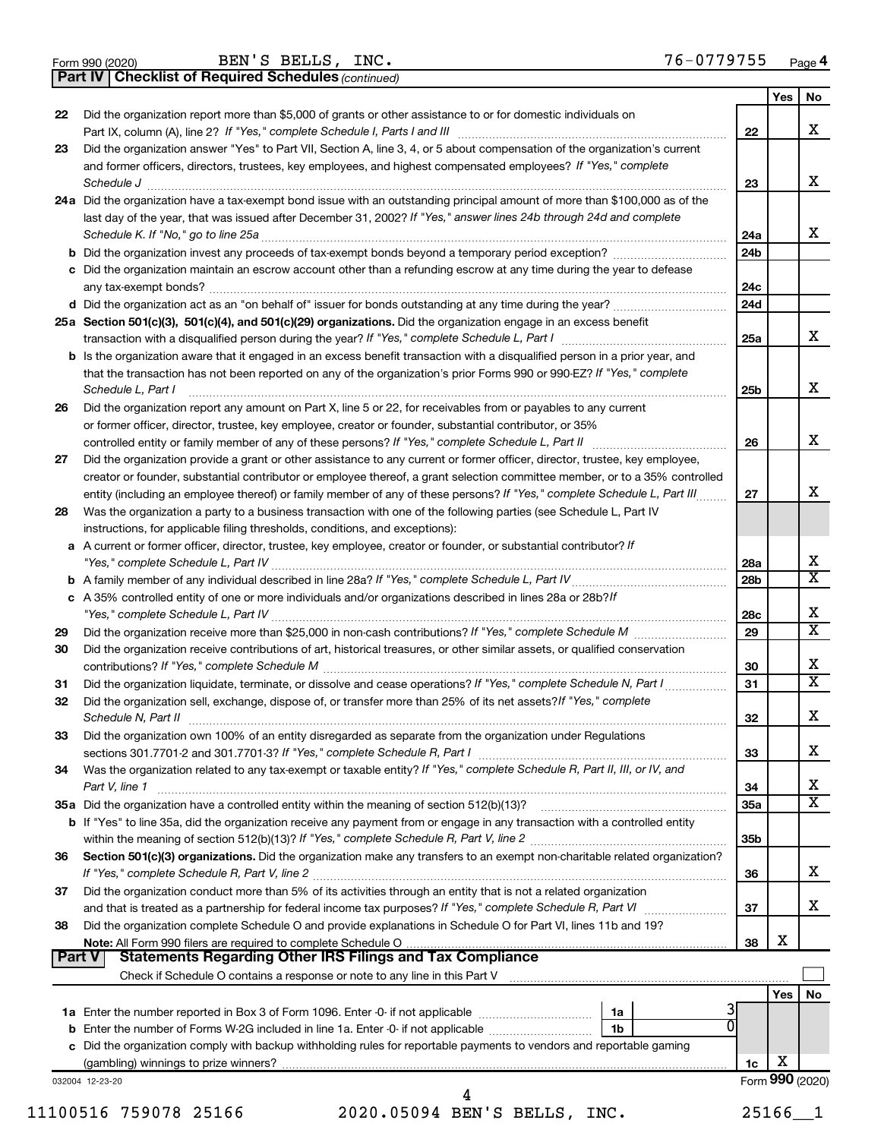|  | Form 990 (2020) |
|--|-----------------|
|  |                 |

**Part IV Checklist of Required Schedules**

BEN'S BELLS, INC. 76-0779755

*(continued)*

|          | <b>Part IV   Checklist of Required Schedules</b> (continued)                                                                        |                 |     |                         |
|----------|-------------------------------------------------------------------------------------------------------------------------------------|-----------------|-----|-------------------------|
|          |                                                                                                                                     |                 | Yes | No                      |
| 22       | Did the organization report more than \$5,000 of grants or other assistance to or for domestic individuals on                       |                 |     |                         |
|          |                                                                                                                                     | 22              |     | x                       |
| 23       | Did the organization answer "Yes" to Part VII, Section A, line 3, 4, or 5 about compensation of the organization's current          |                 |     |                         |
|          | and former officers, directors, trustees, key employees, and highest compensated employees? If "Yes," complete                      |                 |     |                         |
|          |                                                                                                                                     | 23              |     | x                       |
|          | 24a Did the organization have a tax-exempt bond issue with an outstanding principal amount of more than \$100,000 as of the         |                 |     |                         |
|          | last day of the year, that was issued after December 31, 2002? If "Yes," answer lines 24b through 24d and complete                  |                 |     |                         |
|          | Schedule K. If "No," go to line 25a                                                                                                 | 24a             |     | x                       |
|          |                                                                                                                                     | 24 <sub>b</sub> |     |                         |
|          | c Did the organization maintain an escrow account other than a refunding escrow at any time during the year to defease              |                 |     |                         |
|          |                                                                                                                                     | 24c             |     |                         |
|          |                                                                                                                                     | 24d             |     |                         |
|          | 25a Section 501(c)(3), 501(c)(4), and 501(c)(29) organizations. Did the organization engage in an excess benefit                    |                 |     |                         |
|          |                                                                                                                                     | 25a             |     | x                       |
|          | <b>b</b> Is the organization aware that it engaged in an excess benefit transaction with a disqualified person in a prior year, and |                 |     |                         |
|          | that the transaction has not been reported on any of the organization's prior Forms 990 or 990-EZ? If "Yes," complete               |                 |     |                         |
|          | Schedule L, Part I                                                                                                                  | 25 <sub>b</sub> |     | х                       |
| 26       | Did the organization report any amount on Part X, line 5 or 22, for receivables from or payables to any current                     |                 |     |                         |
|          | or former officer, director, trustee, key employee, creator or founder, substantial contributor, or 35%                             |                 |     |                         |
|          | controlled entity or family member of any of these persons? If "Yes," complete Schedule L, Part II                                  | 26              |     | x                       |
| 27       | Did the organization provide a grant or other assistance to any current or former officer, director, trustee, key employee,         |                 |     |                         |
|          | creator or founder, substantial contributor or employee thereof, a grant selection committee member, or to a 35% controlled         |                 |     |                         |
|          | entity (including an employee thereof) or family member of any of these persons? If "Yes," complete Schedule L, Part III            | 27              |     | x                       |
| 28       | Was the organization a party to a business transaction with one of the following parties (see Schedule L, Part IV                   |                 |     |                         |
|          | instructions, for applicable filing thresholds, conditions, and exceptions):                                                        |                 |     |                         |
|          | a A current or former officer, director, trustee, key employee, creator or founder, or substantial contributor? If                  |                 |     |                         |
|          |                                                                                                                                     | 28a             |     | х                       |
|          |                                                                                                                                     | 28 <sub>b</sub> |     | х                       |
|          | c A 35% controlled entity of one or more individuals and/or organizations described in lines 28a or 28b?If                          |                 |     |                         |
|          |                                                                                                                                     | 28c             |     | х                       |
| 29       |                                                                                                                                     | 29              |     | $\overline{\text{x}}$   |
| 30       | Did the organization receive contributions of art, historical treasures, or other similar assets, or qualified conservation         |                 |     |                         |
|          |                                                                                                                                     | 30              |     | х                       |
| 31       | Did the organization liquidate, terminate, or dissolve and cease operations? If "Yes," complete Schedule N, Part I                  | 31              |     | $\overline{\textbf{X}}$ |
| 32       | Did the organization sell, exchange, dispose of, or transfer more than 25% of its net assets? If "Yes," complete                    |                 |     |                         |
|          | Schedule N. Part II                                                                                                                 | 32              |     | х                       |
| 33       | Did the organization own 100% of an entity disregarded as separate from the organization under Regulations                          |                 |     |                         |
|          |                                                                                                                                     | 33              |     | х                       |
| 34       | Was the organization related to any tax-exempt or taxable entity? If "Yes," complete Schedule R, Part II, III, or IV, and           |                 |     |                         |
|          | Part V, line 1                                                                                                                      | 34              |     | х                       |
|          |                                                                                                                                     | 35a             |     | х                       |
|          | b If "Yes" to line 35a, did the organization receive any payment from or engage in any transaction with a controlled entity         |                 |     |                         |
|          |                                                                                                                                     | 35 <sub>b</sub> |     |                         |
| 36       | Section 501(c)(3) organizations. Did the organization make any transfers to an exempt non-charitable related organization?          |                 |     |                         |
|          |                                                                                                                                     | 36              |     | х                       |
| 37       | Did the organization conduct more than 5% of its activities through an entity that is not a related organization                    |                 |     |                         |
|          |                                                                                                                                     | 37              |     | х                       |
| 38       | Did the organization complete Schedule O and provide explanations in Schedule O for Part VI, lines 11b and 19?                      |                 |     |                         |
|          | Note: All Form 990 filers are required to complete Schedule O                                                                       | 38              | х   |                         |
| ∣ Part V | <b>Statements Regarding Other IRS Filings and Tax Compliance</b>                                                                    |                 |     |                         |
|          |                                                                                                                                     |                 |     |                         |
|          |                                                                                                                                     |                 | Yes | No                      |
|          | 1a                                                                                                                                  |                 |     |                         |
|          | 1b                                                                                                                                  |                 |     |                         |
|          | c Did the organization comply with backup withholding rules for reportable payments to vendors and reportable gaming                |                 |     |                         |
|          |                                                                                                                                     | 1c              | х   |                         |
|          | 032004 12-23-20                                                                                                                     |                 |     | Form 990 (2020)         |
|          | 4                                                                                                                                   |                 |     |                         |

11100516 759078 25166 2020.05094 BEN'S BELLS, INC. 25166\_\_1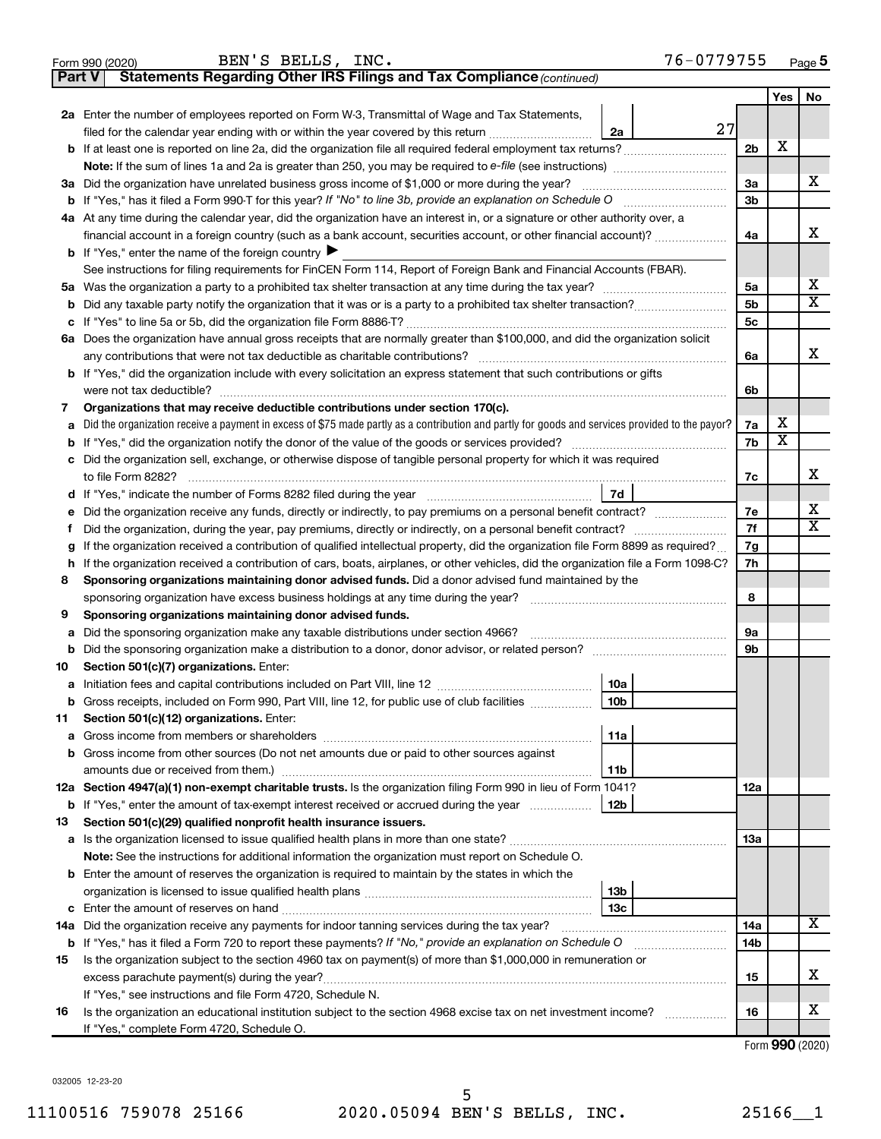|               | BEN'S BELLS, INC.<br>76-0779755<br>Form 990 (2020)                                                                                              |                |     | Page 5                  |  |  |  |  |  |  |
|---------------|-------------------------------------------------------------------------------------------------------------------------------------------------|----------------|-----|-------------------------|--|--|--|--|--|--|
| <b>Part V</b> | Statements Regarding Other IRS Filings and Tax Compliance (continued)                                                                           |                |     |                         |  |  |  |  |  |  |
|               |                                                                                                                                                 |                | Yes | No                      |  |  |  |  |  |  |
|               | 2a Enter the number of employees reported on Form W-3, Transmittal of Wage and Tax Statements,                                                  |                |     |                         |  |  |  |  |  |  |
|               | 27<br>filed for the calendar year ending with or within the year covered by this return<br>2a                                                   |                | X   |                         |  |  |  |  |  |  |
| b             |                                                                                                                                                 |                |     |                         |  |  |  |  |  |  |
|               |                                                                                                                                                 |                |     | X                       |  |  |  |  |  |  |
|               | 3a Did the organization have unrelated business gross income of \$1,000 or more during the year?                                                |                |     |                         |  |  |  |  |  |  |
| b             | If "Yes," has it filed a Form 990-T for this year? If "No" to line 3b, provide an explanation on Schedule O                                     | 3 <sub>b</sub> |     |                         |  |  |  |  |  |  |
|               | 4a At any time during the calendar year, did the organization have an interest in, or a signature or other authority over, a                    |                |     |                         |  |  |  |  |  |  |
|               | financial account in a foreign country (such as a bank account, securities account, or other financial account)?                                | 4a             |     | x                       |  |  |  |  |  |  |
|               | <b>b</b> If "Yes," enter the name of the foreign country $\blacktriangleright$                                                                  |                |     |                         |  |  |  |  |  |  |
|               | See instructions for filing requirements for FinCEN Form 114, Report of Foreign Bank and Financial Accounts (FBAR).                             |                |     |                         |  |  |  |  |  |  |
| 5а            |                                                                                                                                                 | 5a             |     | x                       |  |  |  |  |  |  |
| b             |                                                                                                                                                 | 5 <sub>b</sub> |     | $\overline{\mathbf{X}}$ |  |  |  |  |  |  |
| с             |                                                                                                                                                 | 5 <sub>c</sub> |     |                         |  |  |  |  |  |  |
|               | 6a Does the organization have annual gross receipts that are normally greater than \$100,000, and did the organization solicit                  |                |     |                         |  |  |  |  |  |  |
|               |                                                                                                                                                 | 6а             |     | x                       |  |  |  |  |  |  |
|               | <b>b</b> If "Yes," did the organization include with every solicitation an express statement that such contributions or gifts                   |                |     |                         |  |  |  |  |  |  |
|               |                                                                                                                                                 | 6b             |     |                         |  |  |  |  |  |  |
| 7             | Organizations that may receive deductible contributions under section 170(c).                                                                   |                |     |                         |  |  |  |  |  |  |
| а             | Did the organization receive a payment in excess of \$75 made partly as a contribution and partly for goods and services provided to the payor? | 7a             | х   |                         |  |  |  |  |  |  |
| b             |                                                                                                                                                 | 7b             | X   |                         |  |  |  |  |  |  |
| с             | Did the organization sell, exchange, or otherwise dispose of tangible personal property for which it was required                               |                |     |                         |  |  |  |  |  |  |
|               |                                                                                                                                                 | 7c             |     | X                       |  |  |  |  |  |  |
| d             | 7d                                                                                                                                              |                |     |                         |  |  |  |  |  |  |
| е             | Did the organization receive any funds, directly or indirectly, to pay premiums on a personal benefit contract?                                 | 7е             |     | X                       |  |  |  |  |  |  |
| Ť             | Did the organization, during the year, pay premiums, directly or indirectly, on a personal benefit contract?                                    | 7f             |     | $\overline{\mathbf{X}}$ |  |  |  |  |  |  |
| g             | If the organization received a contribution of qualified intellectual property, did the organization file Form 8899 as required?                | 7g             |     |                         |  |  |  |  |  |  |
| h             | If the organization received a contribution of cars, boats, airplanes, or other vehicles, did the organization file a Form 1098-C?              | 7h             |     |                         |  |  |  |  |  |  |
| 8             | Sponsoring organizations maintaining donor advised funds. Did a donor advised fund maintained by the                                            |                |     |                         |  |  |  |  |  |  |
|               |                                                                                                                                                 | 8              |     |                         |  |  |  |  |  |  |
| 9             | Sponsoring organizations maintaining donor advised funds.                                                                                       |                |     |                         |  |  |  |  |  |  |
| а             | Did the sponsoring organization make any taxable distributions under section 4966?                                                              | 9а             |     |                         |  |  |  |  |  |  |
| b             |                                                                                                                                                 | 9b             |     |                         |  |  |  |  |  |  |
| 10            | Section 501(c)(7) organizations. Enter:                                                                                                         |                |     |                         |  |  |  |  |  |  |
|               | 10a                                                                                                                                             |                |     |                         |  |  |  |  |  |  |
|               | Gross receipts, included on Form 990, Part VIII, line 12, for public use of club facilities<br>10 <sub>b</sub>                                  |                |     |                         |  |  |  |  |  |  |
| 11            | Section 501(c)(12) organizations. Enter:                                                                                                        |                |     |                         |  |  |  |  |  |  |
| а             | 11a                                                                                                                                             |                |     |                         |  |  |  |  |  |  |
| b             | Gross income from other sources (Do not net amounts due or paid to other sources against                                                        |                |     |                         |  |  |  |  |  |  |
|               | 11b                                                                                                                                             |                |     |                         |  |  |  |  |  |  |
|               | 12a Section 4947(a)(1) non-exempt charitable trusts. Is the organization filing Form 990 in lieu of Form 1041?                                  | 12a            |     |                         |  |  |  |  |  |  |
|               | 12b<br><b>b</b> If "Yes," enter the amount of tax-exempt interest received or accrued during the year                                           |                |     |                         |  |  |  |  |  |  |
| 13            | Section 501(c)(29) qualified nonprofit health insurance issuers.                                                                                |                |     |                         |  |  |  |  |  |  |
| а             | Is the organization licensed to issue qualified health plans in more than one state?                                                            | 1За            |     |                         |  |  |  |  |  |  |
|               | Note: See the instructions for additional information the organization must report on Schedule O.                                               |                |     |                         |  |  |  |  |  |  |
| b             | Enter the amount of reserves the organization is required to maintain by the states in which the                                                |                |     |                         |  |  |  |  |  |  |
|               | 13 <sub>b</sub>                                                                                                                                 |                |     |                         |  |  |  |  |  |  |
| с             | 13 <sub>c</sub>                                                                                                                                 | 14a            |     | $\overline{\mathbf{X}}$ |  |  |  |  |  |  |
| 14a           | Did the organization receive any payments for indoor tanning services during the tax year?                                                      |                |     |                         |  |  |  |  |  |  |
|               | <b>b</b> If "Yes," has it filed a Form 720 to report these payments? If "No," provide an explanation on Schedule O                              |                |     |                         |  |  |  |  |  |  |
| 15            | Is the organization subject to the section 4960 tax on payment(s) of more than \$1,000,000 in remuneration or                                   |                |     |                         |  |  |  |  |  |  |
|               | excess parachute payment(s) during the year?                                                                                                    | 15             |     | х                       |  |  |  |  |  |  |
|               | If "Yes," see instructions and file Form 4720, Schedule N.                                                                                      |                |     |                         |  |  |  |  |  |  |
| 16            | Is the organization an educational institution subject to the section 4968 excise tax on net investment income?                                 | 16             |     | x                       |  |  |  |  |  |  |
|               | If "Yes," complete Form 4720, Schedule O.                                                                                                       |                |     |                         |  |  |  |  |  |  |

Form (2020) **990**

032005 12-23-20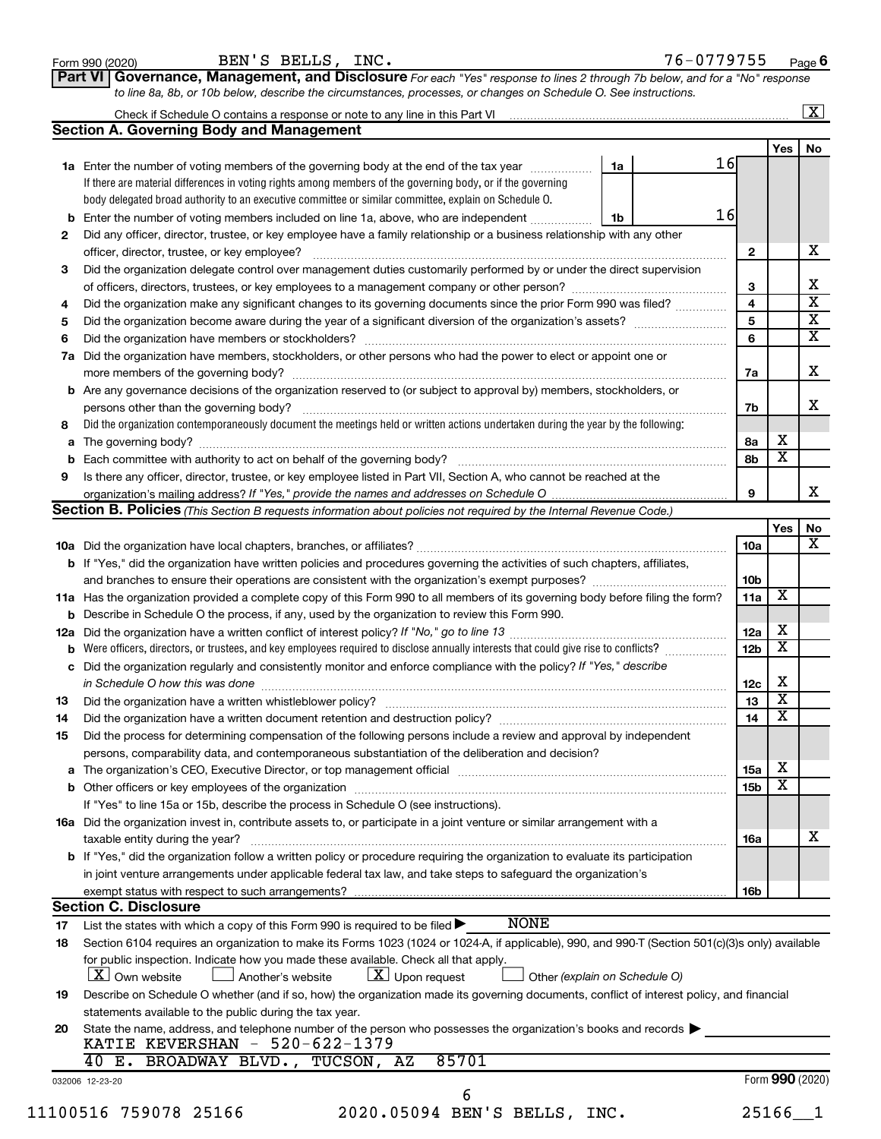|                                                                                                        | Check if Schedule O contains a response or note to any line in this Part VI [11] [12] [2] [2] [2] [2] [2] [2] [<br><b>Section A. Governing Body and Management</b>                                                             |                 |                         |                         |  |  |  |  |
|--------------------------------------------------------------------------------------------------------|--------------------------------------------------------------------------------------------------------------------------------------------------------------------------------------------------------------------------------|-----------------|-------------------------|-------------------------|--|--|--|--|
|                                                                                                        |                                                                                                                                                                                                                                |                 | Yes                     | No                      |  |  |  |  |
|                                                                                                        | 16<br>1a Enter the number of voting members of the governing body at the end of the tax year manuscom<br>1a                                                                                                                    |                 |                         |                         |  |  |  |  |
|                                                                                                        | If there are material differences in voting rights among members of the governing body, or if the governing                                                                                                                    |                 |                         |                         |  |  |  |  |
|                                                                                                        | body delegated broad authority to an executive committee or similar committee, explain on Schedule O.                                                                                                                          |                 |                         |                         |  |  |  |  |
| b                                                                                                      | 16<br>Enter the number of voting members included on line 1a, above, who are independent <i></i><br>1b                                                                                                                         |                 |                         |                         |  |  |  |  |
| 2                                                                                                      | Did any officer, director, trustee, or key employee have a family relationship or a business relationship with any other                                                                                                       |                 |                         |                         |  |  |  |  |
|                                                                                                        | officer, director, trustee, or key employee?                                                                                                                                                                                   | 2               |                         | х                       |  |  |  |  |
| 3                                                                                                      | Did the organization delegate control over management duties customarily performed by or under the direct supervision                                                                                                          |                 |                         |                         |  |  |  |  |
|                                                                                                        |                                                                                                                                                                                                                                | 3               |                         | Χ                       |  |  |  |  |
| 4                                                                                                      | Did the organization make any significant changes to its governing documents since the prior Form 990 was filed?                                                                                                               | 4               |                         | $\overline{\mathbf{x}}$ |  |  |  |  |
| 5                                                                                                      |                                                                                                                                                                                                                                | 5               |                         | $\overline{\mathbf{X}}$ |  |  |  |  |
| 6                                                                                                      |                                                                                                                                                                                                                                | 6               |                         | $\overline{\mathbf{x}}$ |  |  |  |  |
| 7a                                                                                                     | Did the organization have members, stockholders, or other persons who had the power to elect or appoint one or                                                                                                                 |                 |                         |                         |  |  |  |  |
|                                                                                                        |                                                                                                                                                                                                                                | 7a              |                         | X                       |  |  |  |  |
|                                                                                                        | <b>b</b> Are any governance decisions of the organization reserved to (or subject to approval by) members, stockholders, or                                                                                                    |                 |                         |                         |  |  |  |  |
|                                                                                                        |                                                                                                                                                                                                                                | 7b              |                         | x                       |  |  |  |  |
|                                                                                                        | Did the organization contemporaneously document the meetings held or written actions undertaken during the year by the following:                                                                                              |                 |                         |                         |  |  |  |  |
| a                                                                                                      |                                                                                                                                                                                                                                | 8a              | х                       |                         |  |  |  |  |
| b                                                                                                      |                                                                                                                                                                                                                                | 8b              | $\overline{\mathbf{X}}$ |                         |  |  |  |  |
|                                                                                                        | Is there any officer, director, trustee, or key employee listed in Part VII, Section A, who cannot be reached at the                                                                                                           |                 |                         |                         |  |  |  |  |
|                                                                                                        |                                                                                                                                                                                                                                | 9               |                         | х                       |  |  |  |  |
|                                                                                                        | <b>Section B. Policies</b> (This Section B requests information about policies not required by the Internal Revenue Code.)                                                                                                     |                 |                         |                         |  |  |  |  |
|                                                                                                        |                                                                                                                                                                                                                                |                 | Yes                     | No                      |  |  |  |  |
|                                                                                                        |                                                                                                                                                                                                                                | 10a             |                         | х                       |  |  |  |  |
|                                                                                                        | <b>b</b> If "Yes," did the organization have written policies and procedures governing the activities of such chapters, affiliates,                                                                                            |                 |                         |                         |  |  |  |  |
|                                                                                                        |                                                                                                                                                                                                                                | 10 <sub>b</sub> | X                       |                         |  |  |  |  |
|                                                                                                        | 11a<br>11a Has the organization provided a complete copy of this Form 990 to all members of its governing body before filing the form?                                                                                         |                 |                         |                         |  |  |  |  |
| <b>b</b> Describe in Schedule O the process, if any, used by the organization to review this Form 990. |                                                                                                                                                                                                                                |                 |                         |                         |  |  |  |  |
|                                                                                                        |                                                                                                                                                                                                                                |                 |                         |                         |  |  |  |  |
| b                                                                                                      | Were officers, directors, or trustees, and key employees required to disclose annually interests that could give rise to conflicts?                                                                                            | 12 <sub>b</sub> | $\overline{\mathbf{X}}$ |                         |  |  |  |  |
|                                                                                                        | c Did the organization regularly and consistently monitor and enforce compliance with the policy? If "Yes," describe                                                                                                           |                 |                         |                         |  |  |  |  |
|                                                                                                        |                                                                                                                                                                                                                                | 12c             | х                       |                         |  |  |  |  |
|                                                                                                        |                                                                                                                                                                                                                                | 13              | $\overline{\mathbf{X}}$ |                         |  |  |  |  |
|                                                                                                        |                                                                                                                                                                                                                                | 14              | $\overline{\mathbf{X}}$ |                         |  |  |  |  |
|                                                                                                        | Did the process for determining compensation of the following persons include a review and approval by independent                                                                                                             |                 |                         |                         |  |  |  |  |
|                                                                                                        | persons, comparability data, and contemporaneous substantiation of the deliberation and decision?                                                                                                                              |                 |                         |                         |  |  |  |  |
|                                                                                                        | a The organization's CEO, Executive Director, or top management official manufactured content content of the organization's CEO, Executive Director, or top management official manufactured content of the state of the state | 15a             | х                       |                         |  |  |  |  |
|                                                                                                        |                                                                                                                                                                                                                                | 15 <sub>b</sub> | $\overline{\textbf{x}}$ |                         |  |  |  |  |
|                                                                                                        | If "Yes" to line 15a or 15b, describe the process in Schedule O (see instructions).                                                                                                                                            |                 |                         |                         |  |  |  |  |
|                                                                                                        | 16a Did the organization invest in, contribute assets to, or participate in a joint venture or similar arrangement with a                                                                                                      |                 |                         |                         |  |  |  |  |
|                                                                                                        | taxable entity during the year?                                                                                                                                                                                                | 16a             |                         | х                       |  |  |  |  |
|                                                                                                        | b If "Yes," did the organization follow a written policy or procedure requiring the organization to evaluate its participation                                                                                                 |                 |                         |                         |  |  |  |  |
|                                                                                                        | in joint venture arrangements under applicable federal tax law, and take steps to safeguard the organization's                                                                                                                 |                 |                         |                         |  |  |  |  |
|                                                                                                        | exempt status with respect to such arrangements?                                                                                                                                                                               | 16b             |                         |                         |  |  |  |  |
|                                                                                                        | <b>Section C. Disclosure</b>                                                                                                                                                                                                   |                 |                         |                         |  |  |  |  |
|                                                                                                        | <b>NONE</b><br>List the states with which a copy of this Form 990 is required to be filed $\blacktriangleright$                                                                                                                |                 |                         |                         |  |  |  |  |
| 18                                                                                                     | Section 6104 requires an organization to make its Forms 1023 (1024 or 1024-A, if applicable), 990, and 990-T (Section 501(c)(3)s only) available                                                                               |                 |                         |                         |  |  |  |  |
|                                                                                                        | for public inspection. Indicate how you made these available. Check all that apply.                                                                                                                                            |                 |                         |                         |  |  |  |  |
|                                                                                                        | $\lfloor x \rfloor$ Upon request<br><b>X</b> Own website<br>Another's website<br>Other (explain on Schedule O)                                                                                                                 |                 |                         |                         |  |  |  |  |
| 19                                                                                                     | Describe on Schedule O whether (and if so, how) the organization made its governing documents, conflict of interest policy, and financial                                                                                      |                 |                         |                         |  |  |  |  |
|                                                                                                        | statements available to the public during the tax year.                                                                                                                                                                        |                 |                         |                         |  |  |  |  |
| 20                                                                                                     | State the name, address, and telephone number of the person who possesses the organization's books and records                                                                                                                 |                 |                         |                         |  |  |  |  |
|                                                                                                        | KATIE KEVERSHAN - 520-622-1379                                                                                                                                                                                                 |                 |                         |                         |  |  |  |  |
|                                                                                                        | 85701<br>40 E. BROADWAY BLVD., TUCSON, AZ                                                                                                                                                                                      |                 |                         |                         |  |  |  |  |
|                                                                                                        | 032006 12-23-20                                                                                                                                                                                                                |                 | Form 990 (2020)         |                         |  |  |  |  |
|                                                                                                        | 6                                                                                                                                                                                                                              |                 |                         |                         |  |  |  |  |
|                                                                                                        | 2020.05094 BEN'S BELLS, INC.<br>11100516 759078 25166                                                                                                                                                                          |                 | $25166 - 1$             |                         |  |  |  |  |
|                                                                                                        |                                                                                                                                                                                                                                |                 |                         |                         |  |  |  |  |

 $\frac{1}{\text{Form 990 (2020)}}$  BEIN'S BELILS, INC.

BEN'S BELLS, INC. 76-0779755

**Part VI Governance, Management, and Disclosure** 

*For each "Yes" response to lines 2 through 7b below, and for a "No" response*

**6**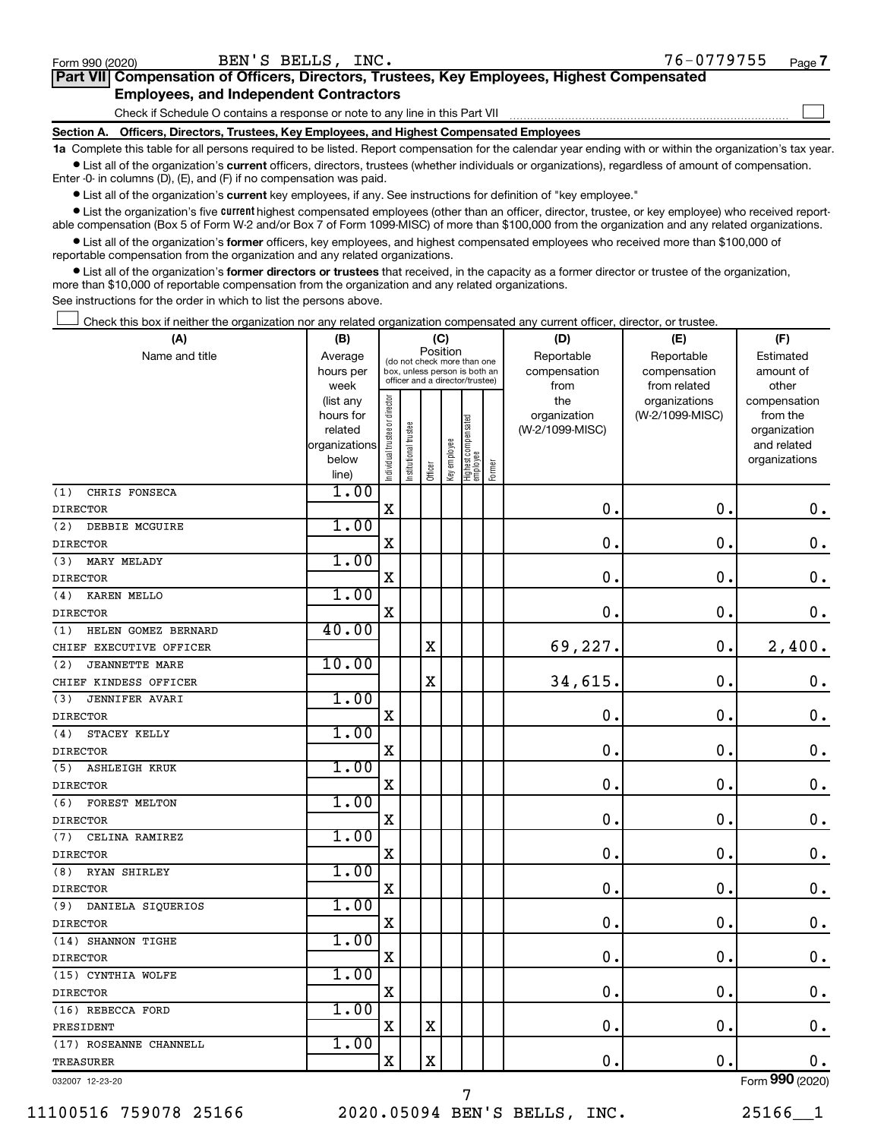| Form 990 (2020)                               | BEN'S BELLS,<br>$INC$ .                                                                           | 76-0779755 | Page |  |  |  |  |  |  |  |
|-----------------------------------------------|---------------------------------------------------------------------------------------------------|------------|------|--|--|--|--|--|--|--|
|                                               | <b>Part VII</b> Compensation of Officers, Directors, Trustees, Key Employees, Highest Compensated |            |      |  |  |  |  |  |  |  |
| <b>Employees, and Independent Contractors</b> |                                                                                                   |            |      |  |  |  |  |  |  |  |
|                                               | Check if Schedule O contains a response or note to any line in this Part VII                      |            |      |  |  |  |  |  |  |  |

**Section A. Officers, Directors, Trustees, Key Employees, and Highest Compensated Employees**

**1a**  Complete this table for all persons required to be listed. Report compensation for the calendar year ending with or within the organization's tax year.  $\bullet$  List all of the organization's current officers, directors, trustees (whether individuals or organizations), regardless of amount of compensation.

Enter -0- in columns (D), (E), and (F) if no compensation was paid.

**•** List all of the organization's current key employees, if any. See instructions for definition of "key employee."

• List the organization's five *current* highest compensated employees (other than an officer, director, trustee, or key employee) who received reportable compensation (Box 5 of Form W-2 and/or Box 7 of Form 1099-MISC) of more than \$100,000 from the organization and any related organizations.

 $\bullet$  List all of the organization's former officers, key employees, and highest compensated employees who received more than \$100,000 of reportable compensation from the organization and any related organizations.

**•** List all of the organization's former directors or trustees that received, in the capacity as a former director or trustee of the organization, more than \$10,000 of reportable compensation from the organization and any related organizations.

See instructions for the order in which to list the persons above.

Check this box if neither the organization nor any related organization compensated any current officer, director, or trustee.  $\Box$ 

| (A)                          | (B)                  |                                |                                                                  | (C)                   |                                         |                                   |        | (D)                             | (E)             | (F)                      |
|------------------------------|----------------------|--------------------------------|------------------------------------------------------------------|-----------------------|-----------------------------------------|-----------------------------------|--------|---------------------------------|-----------------|--------------------------|
| Name and title               | Average              |                                |                                                                  |                       | Position<br>(do not check more than one |                                   |        | Reportable                      | Reportable      | Estimated                |
|                              | hours per            |                                | box, unless person is both an<br>officer and a director/trustee) |                       |                                         |                                   |        | compensation                    | compensation    | amount of                |
|                              | week                 |                                |                                                                  |                       |                                         |                                   |        | from                            | from related    | other                    |
|                              | (list any            |                                |                                                                  |                       |                                         |                                   |        | the                             | organizations   | compensation             |
|                              | hours for<br>related |                                |                                                                  |                       |                                         |                                   |        | organization<br>(W-2/1099-MISC) | (W-2/1099-MISC) | from the<br>organization |
|                              | organizations        |                                |                                                                  |                       |                                         |                                   |        |                                 |                 | and related              |
|                              | below                |                                |                                                                  |                       |                                         |                                   |        |                                 |                 | organizations            |
|                              | line)                | Individual trustee or director | Institutional trustee                                            | Officer               | Key employee                            | Highest compensated<br>  employee | Former |                                 |                 |                          |
| CHRIS FONSECA<br>(1)         | 1.00                 |                                |                                                                  |                       |                                         |                                   |        |                                 |                 |                          |
| <b>DIRECTOR</b>              |                      | $\mathbf X$                    |                                                                  |                       |                                         |                                   |        | 0.                              | $\mathbf 0$ .   | 0.                       |
| DEBBIE MCGUIRE<br>(2)        | 1.00                 |                                |                                                                  |                       |                                         |                                   |        |                                 |                 |                          |
| <b>DIRECTOR</b>              |                      | X                              |                                                                  |                       |                                         |                                   |        | 0.                              | $\mathbf 0$ .   | $\mathbf 0$ .            |
| (3)<br>MARY MELADY           | 1.00                 |                                |                                                                  |                       |                                         |                                   |        |                                 |                 |                          |
| <b>DIRECTOR</b>              |                      | $\mathbf X$                    |                                                                  |                       |                                         |                                   |        | 0.                              | 0.              | 0.                       |
| KAREN MELLO<br>(4)           | 1.00                 |                                |                                                                  |                       |                                         |                                   |        |                                 |                 |                          |
| <b>DIRECTOR</b>              |                      | X                              |                                                                  |                       |                                         |                                   |        | $\mathbf 0$ .                   | $\mathbf 0$ .   | 0.                       |
| (1)<br>HELEN GOMEZ BERNARD   | 40.00                |                                |                                                                  |                       |                                         |                                   |        |                                 |                 |                          |
| CHIEF EXECUTIVE OFFICER      |                      |                                |                                                                  | X                     |                                         |                                   |        | 69,227.                         | $\mathbf 0$ .   | 2,400.                   |
| <b>JEANNETTE MARE</b><br>(2) | 10.00                |                                |                                                                  |                       |                                         |                                   |        |                                 |                 |                          |
| CHIEF KINDESS OFFICER        |                      |                                |                                                                  | $\overline{\text{X}}$ |                                         |                                   |        | 34,615.                         | $\mathbf 0$ .   | 0.                       |
| <b>JENNIFER AVARI</b><br>(3) | 1.00                 |                                |                                                                  |                       |                                         |                                   |        |                                 |                 |                          |
| <b>DIRECTOR</b>              |                      | X                              |                                                                  |                       |                                         |                                   |        | $\mathbf 0$                     | $\mathbf 0$ .   | $\mathbf 0$ .            |
| (4)<br>STACEY KELLY          | 1.00                 |                                |                                                                  |                       |                                         |                                   |        |                                 |                 |                          |
| <b>DIRECTOR</b>              |                      | X                              |                                                                  |                       |                                         |                                   |        | $\mathbf 0$ .                   | $\mathbf 0$ .   | $\mathbf 0$ .            |
| (5)<br><b>ASHLEIGH KRUK</b>  | 1.00                 |                                |                                                                  |                       |                                         |                                   |        |                                 |                 |                          |
| <b>DIRECTOR</b>              |                      | X                              |                                                                  |                       |                                         |                                   |        | $\mathbf 0$ .                   | $\mathbf 0$ .   | $0$ .                    |
| FOREST MELTON<br>(6)         | 1.00                 |                                |                                                                  |                       |                                         |                                   |        |                                 |                 |                          |
| <b>DIRECTOR</b>              |                      | $\mathbf X$                    |                                                                  |                       |                                         |                                   |        | 0.                              | $\mathbf 0$ .   | $\mathbf 0$ .            |
| CELINA RAMIREZ<br>(7)        | 1.00                 |                                |                                                                  |                       |                                         |                                   |        |                                 |                 |                          |
| <b>DIRECTOR</b>              |                      | $\mathbf X$                    |                                                                  |                       |                                         |                                   |        | $\mathbf 0$                     | $\mathbf 0$     | $\mathbf 0$ .            |
| <b>RYAN SHIRLEY</b><br>(8)   | 1.00                 |                                |                                                                  |                       |                                         |                                   |        |                                 |                 |                          |
| <b>DIRECTOR</b>              |                      | X                              |                                                                  |                       |                                         |                                   |        | $\mathbf 0$                     | $\mathbf 0$ .   | 0.                       |
| DANIELA SIQUERIOS<br>(9)     | 1.00                 |                                |                                                                  |                       |                                         |                                   |        |                                 |                 |                          |
| <b>DIRECTOR</b>              |                      | X                              |                                                                  |                       |                                         |                                   |        | $\mathbf 0$                     | $\mathbf 0$ .   | $\mathbf 0$ .            |
| (14) SHANNON TIGHE           | 1.00                 |                                |                                                                  |                       |                                         |                                   |        |                                 |                 |                          |
| <b>DIRECTOR</b>              |                      | $\mathbf X$                    |                                                                  |                       |                                         |                                   |        | $\mathbf 0$ .                   | $\mathbf 0$ .   | $\mathbf 0$ .            |
| (15) CYNTHIA WOLFE           | 1.00                 |                                |                                                                  |                       |                                         |                                   |        |                                 |                 |                          |
| <b>DIRECTOR</b>              |                      | X                              |                                                                  |                       |                                         |                                   |        | $\mathbf 0$                     | 0.              | $\mathbf 0$ .            |
| (16) REBECCA FORD            | 1.00                 |                                |                                                                  |                       |                                         |                                   |        |                                 |                 |                          |
| PRESIDENT                    |                      | X                              |                                                                  | $\mathbf X$           |                                         |                                   |        | $\mathbf 0$ .                   | $\mathbf 0$ .   | $\mathbf 0$ .            |
| (17) ROSEANNE CHANNELL       | 1.00                 |                                |                                                                  |                       |                                         |                                   |        |                                 |                 |                          |
| <b>TREASURER</b>             |                      | X                              |                                                                  | X                     |                                         |                                   |        | 0.                              | $\mathbf 0$ .   | 0.                       |
| 032007 12-23-20              |                      |                                |                                                                  |                       |                                         |                                   |        |                                 |                 | Form 990 (2020)          |

11100516 759078 25166 2020.05094 BEN'S BELLS, INC. 25166\_\_1 7

**7**

 $\Box$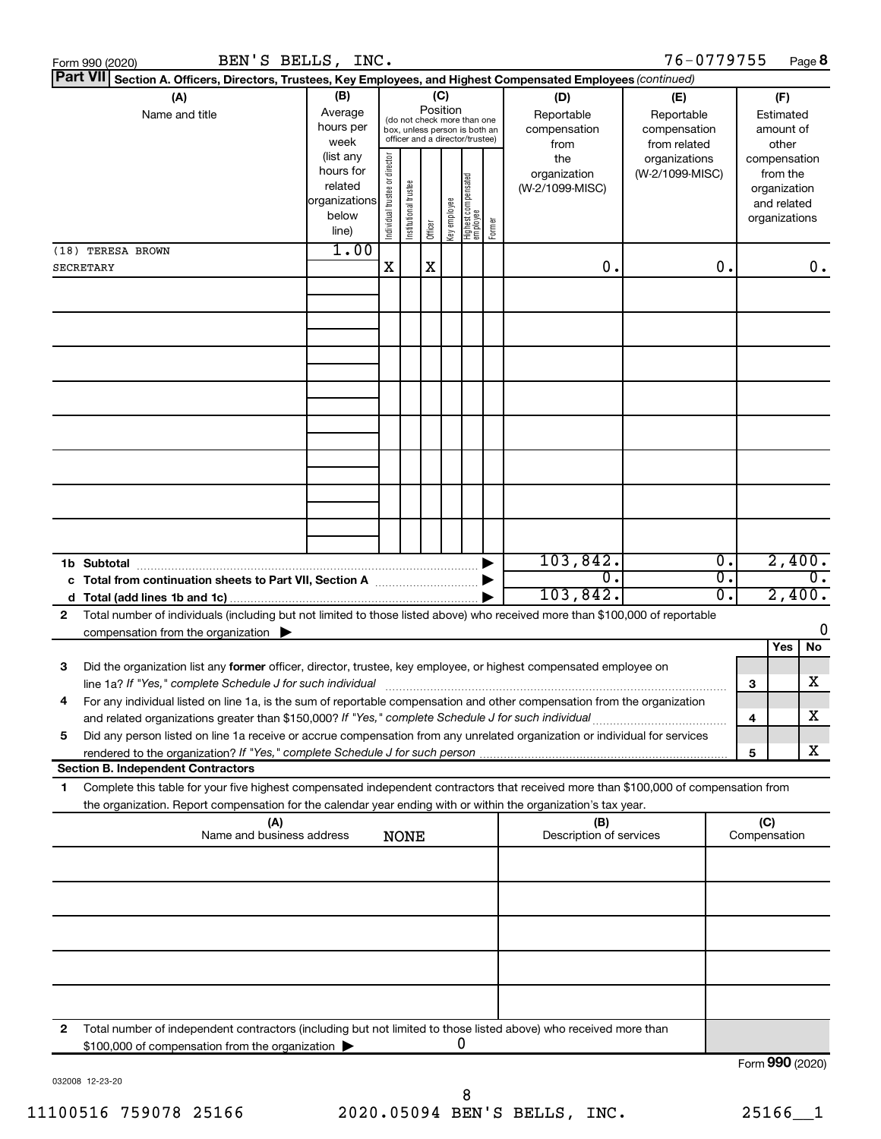|   | BEN'S BELLS, INC.<br>Form 990 (2020)                                                                                                                                                                                                                   |                                                         |                                                                                                                    |                       |         |              |                                  |        |                                           | 76-0779755                                        |          |                                        |                                                                          | Page 8 |  |
|---|--------------------------------------------------------------------------------------------------------------------------------------------------------------------------------------------------------------------------------------------------------|---------------------------------------------------------|--------------------------------------------------------------------------------------------------------------------|-----------------------|---------|--------------|----------------------------------|--------|-------------------------------------------|---------------------------------------------------|----------|----------------------------------------|--------------------------------------------------------------------------|--------|--|
|   | Part VII<br>Section A. Officers, Directors, Trustees, Key Employees, and Highest Compensated Employees (continued)                                                                                                                                     |                                                         |                                                                                                                    |                       |         |              |                                  |        |                                           |                                                   |          |                                        |                                                                          |        |  |
|   | (A)<br>Name and title                                                                                                                                                                                                                                  | (B)<br>Average<br>hours per<br>week<br>(list any        | (C)<br>Position<br>(do not check more than one<br>box, unless person is both an<br>officer and a director/trustee) |                       |         |              |                                  |        | (D)<br>Reportable<br>compensation<br>from | (E)<br>Reportable<br>compensation<br>from related |          | (F)<br>Estimated<br>amount of<br>other |                                                                          |        |  |
|   |                                                                                                                                                                                                                                                        | hours for<br>related<br>organizations<br>below<br>line) | Individual trustee or director                                                                                     | Institutional trustee | Officer | Key employee | Highest compensated<br> employee | Former | the<br>organization<br>(W-2/1099-MISC)    | organizations<br>(W-2/1099-MISC)                  |          |                                        | compensation<br>from the<br>organization<br>and related<br>organizations |        |  |
|   | (18) TERESA BROWN                                                                                                                                                                                                                                      | 1.00                                                    |                                                                                                                    |                       |         |              |                                  |        |                                           |                                                   |          |                                        |                                                                          |        |  |
|   | <b>SECRETARY</b>                                                                                                                                                                                                                                       |                                                         | X                                                                                                                  |                       | X       |              |                                  |        | 0.                                        |                                                   | о.       |                                        |                                                                          | 0.     |  |
|   |                                                                                                                                                                                                                                                        |                                                         |                                                                                                                    |                       |         |              |                                  |        |                                           |                                                   |          |                                        |                                                                          |        |  |
|   |                                                                                                                                                                                                                                                        |                                                         |                                                                                                                    |                       |         |              |                                  |        |                                           |                                                   |          |                                        |                                                                          |        |  |
|   |                                                                                                                                                                                                                                                        |                                                         |                                                                                                                    |                       |         |              |                                  |        |                                           |                                                   |          |                                        |                                                                          |        |  |
|   |                                                                                                                                                                                                                                                        |                                                         |                                                                                                                    |                       |         |              |                                  |        |                                           |                                                   |          |                                        |                                                                          |        |  |
|   | 1b Subtotal                                                                                                                                                                                                                                            |                                                         |                                                                                                                    |                       |         |              |                                  |        | 103,842.                                  |                                                   | Ο.       |                                        | 2,400.                                                                   |        |  |
| d |                                                                                                                                                                                                                                                        |                                                         |                                                                                                                    |                       |         |              |                                  |        | 0.<br>103,842.                            |                                                   | σ.<br>Ο. |                                        | Ο.<br>2,400.                                                             |        |  |
| 2 | Total number of individuals (including but not limited to those listed above) who received more than \$100,000 of reportable<br>compensation from the organization $\blacktriangleright$                                                               |                                                         |                                                                                                                    |                       |         |              |                                  |        |                                           |                                                   |          |                                        |                                                                          | O      |  |
|   |                                                                                                                                                                                                                                                        |                                                         |                                                                                                                    |                       |         |              |                                  |        |                                           |                                                   |          |                                        | Yes                                                                      | No     |  |
| з | Did the organization list any former officer, director, trustee, key employee, or highest compensated employee on<br>line 1a? If "Yes," complete Schedule J for such individual                                                                        |                                                         |                                                                                                                    |                       |         |              |                                  |        |                                           |                                                   |          | 3                                      |                                                                          | х      |  |
| 4 | For any individual listed on line 1a, is the sum of reportable compensation and other compensation from the organization                                                                                                                               |                                                         |                                                                                                                    |                       |         |              |                                  |        |                                           |                                                   |          | 4                                      |                                                                          | х      |  |
| 5 | Did any person listed on line 1a receive or accrue compensation from any unrelated organization or individual for services                                                                                                                             |                                                         |                                                                                                                    |                       |         |              |                                  |        |                                           |                                                   |          |                                        |                                                                          | X      |  |
|   | <b>Section B. Independent Contractors</b>                                                                                                                                                                                                              |                                                         |                                                                                                                    |                       |         |              |                                  |        |                                           |                                                   |          | 5                                      |                                                                          |        |  |
| 1 | Complete this table for your five highest compensated independent contractors that received more than \$100,000 of compensation from<br>the organization. Report compensation for the calendar year ending with or within the organization's tax year. |                                                         |                                                                                                                    |                       |         |              |                                  |        |                                           |                                                   |          |                                        |                                                                          |        |  |
|   | (A)<br>Name and business address                                                                                                                                                                                                                       |                                                         | <b>NONE</b>                                                                                                        |                       |         |              |                                  |        | (B)<br>Description of services            |                                                   |          | (C)<br>Compensation                    |                                                                          |        |  |
|   |                                                                                                                                                                                                                                                        |                                                         |                                                                                                                    |                       |         |              |                                  |        |                                           |                                                   |          |                                        |                                                                          |        |  |
|   |                                                                                                                                                                                                                                                        |                                                         |                                                                                                                    |                       |         |              |                                  |        |                                           |                                                   |          |                                        |                                                                          |        |  |
|   |                                                                                                                                                                                                                                                        |                                                         |                                                                                                                    |                       |         |              |                                  |        |                                           |                                                   |          |                                        |                                                                          |        |  |
|   |                                                                                                                                                                                                                                                        |                                                         |                                                                                                                    |                       |         |              |                                  |        |                                           |                                                   |          |                                        |                                                                          |        |  |
| 2 | Total number of independent contractors (including but not limited to those listed above) who received more than<br>\$100,000 of compensation from the organization                                                                                    |                                                         |                                                                                                                    |                       |         | 0            |                                  |        |                                           |                                                   |          |                                        |                                                                          |        |  |
|   |                                                                                                                                                                                                                                                        |                                                         |                                                                                                                    |                       |         |              |                                  |        |                                           |                                                   |          |                                        | Form 990 (2020)                                                          |        |  |

032008 12-23-20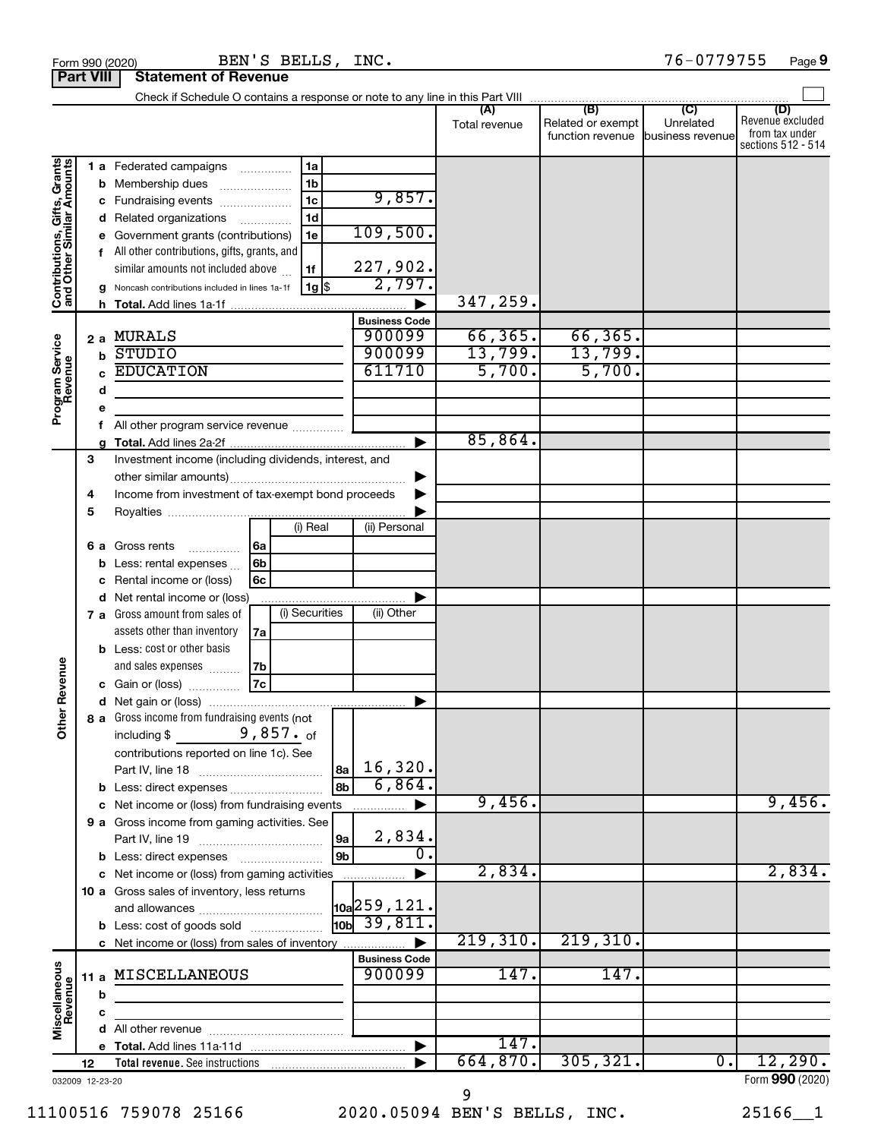|                                                           |    |             |                                                       |                |                |    |                              | Total revenue | (B)<br>Related or exempt<br>function revenue | (C)<br>Unrelated<br>business revenue | (D)<br>Revenue excluded<br>from tax under<br>sections 512 - 514 |
|-----------------------------------------------------------|----|-------------|-------------------------------------------------------|----------------|----------------|----|------------------------------|---------------|----------------------------------------------|--------------------------------------|-----------------------------------------------------------------|
|                                                           |    |             | <b>1 a</b> Federated campaigns                        |                | 1a             |    |                              |               |                                              |                                      |                                                                 |
| Contributions, Gifts, Grants<br>and Other Similar Amounts |    | b           | Membership dues                                       |                | 1 <sub>b</sub> |    |                              |               |                                              |                                      |                                                                 |
|                                                           |    | c           | Fundraising events                                    |                | 1 <sub>c</sub> |    | 9,857.                       |               |                                              |                                      |                                                                 |
|                                                           |    | d           | Related organizations                                 |                | 1 <sub>d</sub> |    |                              |               |                                              |                                      |                                                                 |
|                                                           |    | е           | Government grants (contributions)                     |                | 1e             |    | 109,500.                     |               |                                              |                                      |                                                                 |
|                                                           |    |             | f All other contributions, gifts, grants, and         |                |                |    |                              |               |                                              |                                      |                                                                 |
|                                                           |    |             | similar amounts not included above                    |                | 1f             |    | 227,902.                     |               |                                              |                                      |                                                                 |
|                                                           |    | g           | Noncash contributions included in lines 1a-1f         |                | $1g$ \$        |    | 2,797.                       |               |                                              |                                      |                                                                 |
|                                                           |    | h.          |                                                       |                |                |    |                              | 347,259.      |                                              |                                      |                                                                 |
|                                                           |    |             |                                                       |                |                |    | <b>Business Code</b>         |               |                                              |                                      |                                                                 |
|                                                           |    |             | 2 a MURALS                                            |                |                |    | 900099                       | 66, 365.      | 66, 365.                                     |                                      |                                                                 |
|                                                           |    | $\mathbf b$ | <b>STUDIO</b>                                         |                |                |    | 900099                       | 13,799.       | 13,799.                                      |                                      |                                                                 |
|                                                           |    | C           | <b>EDUCATION</b>                                      |                |                |    | 611710                       | 5,700.        | 5,700.                                       |                                      |                                                                 |
| Program Service<br>Revenue                                |    | d           |                                                       |                |                |    |                              |               |                                              |                                      |                                                                 |
|                                                           |    | е           |                                                       |                |                |    |                              |               |                                              |                                      |                                                                 |
|                                                           |    | f           | All other program service revenue                     |                |                |    |                              |               |                                              |                                      |                                                                 |
|                                                           |    | a           |                                                       |                |                |    |                              | 85,864.       |                                              |                                      |                                                                 |
|                                                           | З  |             | Investment income (including dividends, interest, and |                |                |    |                              |               |                                              |                                      |                                                                 |
|                                                           |    |             |                                                       |                |                |    |                              |               |                                              |                                      |                                                                 |
|                                                           | 4  |             | Income from investment of tax-exempt bond proceeds    |                |                |    |                              |               |                                              |                                      |                                                                 |
|                                                           | 5  |             |                                                       |                |                |    |                              |               |                                              |                                      |                                                                 |
|                                                           |    |             |                                                       |                | (i) Real       |    | (ii) Personal                |               |                                              |                                      |                                                                 |
|                                                           |    |             | <b>6 a</b> Gross rents<br>.                           | 6a             |                |    |                              |               |                                              |                                      |                                                                 |
|                                                           |    | b           | Less: rental expenses                                 | 6 <sub>b</sub> |                |    |                              |               |                                              |                                      |                                                                 |
|                                                           |    | c           | Rental income or (loss)                               | 6c             |                |    |                              |               |                                              |                                      |                                                                 |
|                                                           |    | d           | Net rental income or (loss)                           |                |                |    |                              |               |                                              |                                      |                                                                 |
|                                                           |    |             | 7 a Gross amount from sales of                        |                | (i) Securities |    | (ii) Other                   |               |                                              |                                      |                                                                 |
|                                                           |    |             | assets other than inventory                           | 7a             |                |    |                              |               |                                              |                                      |                                                                 |
|                                                           |    |             | <b>b</b> Less: cost or other basis                    |                |                |    |                              |               |                                              |                                      |                                                                 |
|                                                           |    |             | and sales expenses                                    | 7b             |                |    |                              |               |                                              |                                      |                                                                 |
| <b>Other Revenue</b>                                      |    |             | <b>c</b> Gain or (loss) $\ldots$                      | 7c             |                |    |                              |               |                                              |                                      |                                                                 |
|                                                           |    |             |                                                       |                |                |    |                              |               |                                              |                                      |                                                                 |
|                                                           |    |             | 8 a Gross income from fundraising events (not         |                |                |    |                              |               |                                              |                                      |                                                                 |
|                                                           |    |             |                                                       |                |                |    |                              |               |                                              |                                      |                                                                 |
|                                                           |    |             | contributions reported on line 1c). See               |                |                |    |                              |               |                                              |                                      |                                                                 |
|                                                           |    |             | Part IV, line 18                                      |                |                | 8a | 16,320.                      |               |                                              |                                      |                                                                 |
|                                                           |    |             | b Less: direct expenses                               |                |                | 8b | 6,864.                       |               |                                              |                                      |                                                                 |
|                                                           |    |             | c Net income or (loss) from fundraising events        |                |                |    |                              | 9,456.        |                                              |                                      | 9,456.                                                          |
|                                                           |    |             | 9 a Gross income from gaming activities. See          |                |                |    |                              |               |                                              |                                      |                                                                 |
|                                                           |    |             |                                                       |                |                | 9a | 2,834.<br>0.                 |               |                                              |                                      |                                                                 |
|                                                           |    |             | <b>b</b> Less: direct expenses                        |                |                | 9b |                              | 2,834.        |                                              |                                      | 2,834.                                                          |
|                                                           |    |             | c Net income or (loss) from gaming activities         |                |                |    |                              |               |                                              |                                      |                                                                 |
|                                                           |    |             | 10 a Gross sales of inventory, less returns           |                |                |    | $\vert$ 10a $\vert$ 259,121. |               |                                              |                                      |                                                                 |
|                                                           |    |             |                                                       |                |                |    | $\frac{1}{10}$ 39,811.       |               |                                              |                                      |                                                                 |
|                                                           |    |             | <b>b</b> Less: cost of goods sold                     |                |                |    |                              | 219,310.      | 219,310.                                     |                                      |                                                                 |
|                                                           |    |             | c Net income or (loss) from sales of inventory        |                |                |    | <b>Business Code</b>         |               |                                              |                                      |                                                                 |
|                                                           |    |             | 11 a MISCELLANEOUS                                    |                |                |    | 900099                       | 147.          | 147.                                         |                                      |                                                                 |
| Miscellaneous<br>Revenue                                  |    |             |                                                       |                |                |    |                              |               |                                              |                                      |                                                                 |
|                                                           |    | b           |                                                       |                |                |    |                              |               |                                              |                                      |                                                                 |
|                                                           |    | с           |                                                       |                |                |    |                              |               |                                              |                                      |                                                                 |
|                                                           |    |             |                                                       |                |                |    |                              | 147.          |                                              |                                      |                                                                 |
|                                                           | 12 |             | <b>Total revenue.</b> See instructions                |                |                |    |                              | 664,870.      | 305, 321.                                    | $\overline{0}$ .                     | 12,290.                                                         |
| 032009 12-23-20                                           |    |             |                                                       |                |                |    |                              |               |                                              |                                      | Form 990 (2020)                                                 |
|                                                           |    |             |                                                       |                |                |    |                              | 9             |                                              |                                      |                                                                 |

**Part VIII Statement of Revenue**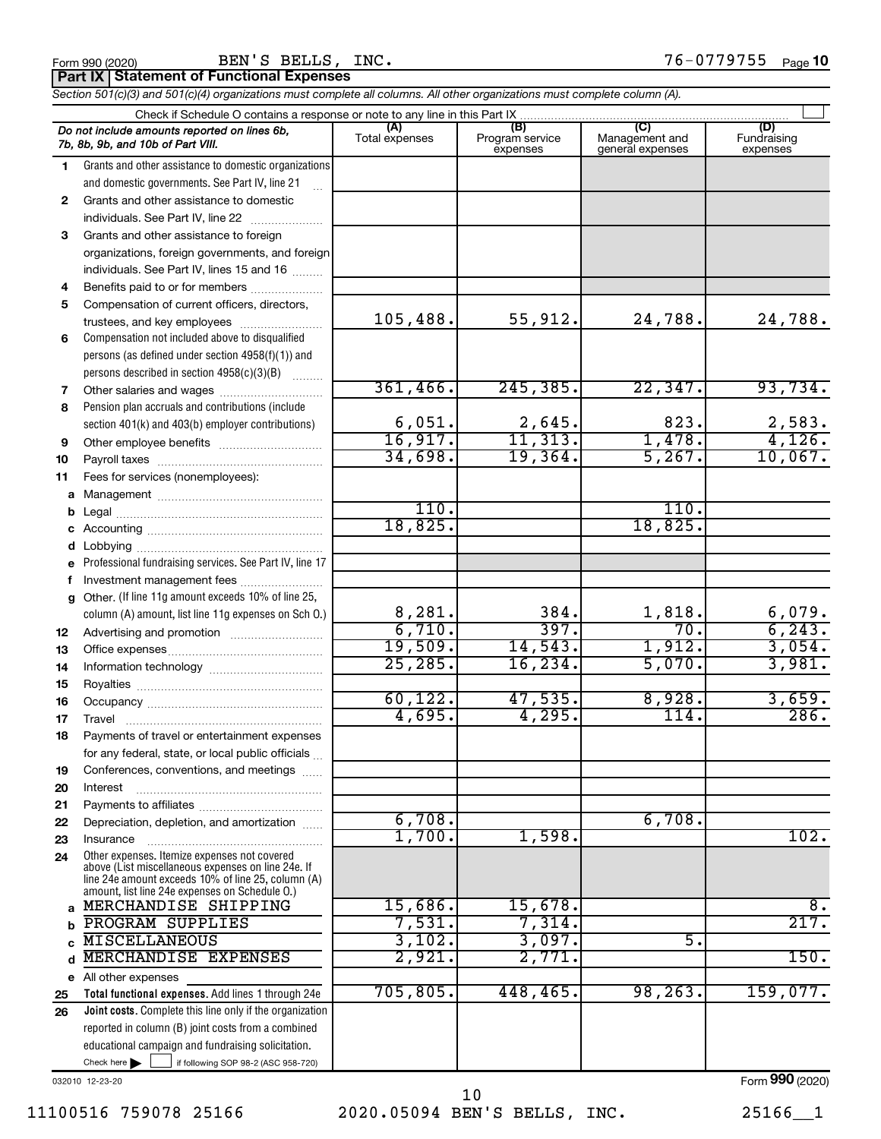$\frac{1}{100}$   $\frac{1}{100}$   $\frac{1}{100}$   $\frac{1}{100}$   $\frac{1}{100}$   $\frac{1}{100}$   $\frac{1}{100}$   $\frac{1}{100}$   $\frac{1}{100}$   $\frac{1}{100}$   $\frac{1}{100}$   $\frac{1}{100}$   $\frac{1}{100}$   $\frac{1}{100}$   $\frac{1}{100}$   $\frac{1}{100}$   $\frac{1}{100}$   $\frac{1}{100}$   $\frac{1$ BEN'S BELLS, INC. 76-0779755

| <b>Part IX Statement of Functional Expenses</b>                                                                            |
|----------------------------------------------------------------------------------------------------------------------------|
| Section 501(c)(3) and 501(c)(4) organizations must complete all columns. All other organizations must complete column (A). |

|    | Check if Schedule O contains a response or note to any line in this Part IX                                                                                                                                |                       |                                    |                                    |                                |  |  |  |  |
|----|------------------------------------------------------------------------------------------------------------------------------------------------------------------------------------------------------------|-----------------------|------------------------------------|------------------------------------|--------------------------------|--|--|--|--|
|    | Do not include amounts reported on lines 6b,<br>7b, 8b, 9b, and 10b of Part VIII.                                                                                                                          | (A)<br>Total expenses | (B)<br>Program service<br>expenses | Management and<br>general expenses | (D)<br>Fundraising<br>expenses |  |  |  |  |
| 1. | Grants and other assistance to domestic organizations                                                                                                                                                      |                       |                                    |                                    |                                |  |  |  |  |
|    | and domestic governments. See Part IV, line 21                                                                                                                                                             |                       |                                    |                                    |                                |  |  |  |  |
| 2  | Grants and other assistance to domestic                                                                                                                                                                    |                       |                                    |                                    |                                |  |  |  |  |
|    | individuals. See Part IV, line 22                                                                                                                                                                          |                       |                                    |                                    |                                |  |  |  |  |
| 3  | Grants and other assistance to foreign                                                                                                                                                                     |                       |                                    |                                    |                                |  |  |  |  |
|    | organizations, foreign governments, and foreign                                                                                                                                                            |                       |                                    |                                    |                                |  |  |  |  |
|    | individuals. See Part IV, lines 15 and 16                                                                                                                                                                  |                       |                                    |                                    |                                |  |  |  |  |
| 4  | Benefits paid to or for members                                                                                                                                                                            |                       |                                    |                                    |                                |  |  |  |  |
| 5  | Compensation of current officers, directors,                                                                                                                                                               |                       |                                    |                                    |                                |  |  |  |  |
|    | trustees, and key employees                                                                                                                                                                                | 105,488.              | 55,912.                            | 24,788.                            | 24,788.                        |  |  |  |  |
| 6  | Compensation not included above to disqualified                                                                                                                                                            |                       |                                    |                                    |                                |  |  |  |  |
|    | persons (as defined under section 4958(f)(1)) and                                                                                                                                                          |                       |                                    |                                    |                                |  |  |  |  |
|    | persons described in section 4958(c)(3)(B)                                                                                                                                                                 |                       |                                    |                                    |                                |  |  |  |  |
| 7  | Other salaries and wages                                                                                                                                                                                   | 361,466.              | 245, 385.                          | 22, 347.                           | 93,734.                        |  |  |  |  |
| 8  | Pension plan accruals and contributions (include                                                                                                                                                           |                       |                                    |                                    |                                |  |  |  |  |
|    | section 401(k) and 403(b) employer contributions)                                                                                                                                                          | 6,051.                | 2,645.                             | 823.                               | 2,583.                         |  |  |  |  |
| 9  |                                                                                                                                                                                                            | 16,917.               | 11,313.                            | 1,478.                             | 4,126.                         |  |  |  |  |
| 10 |                                                                                                                                                                                                            | 34,698.               | 19,364.                            | 5,267.                             | 10,067.                        |  |  |  |  |
| 11 | Fees for services (nonemployees):                                                                                                                                                                          |                       |                                    |                                    |                                |  |  |  |  |
| a  |                                                                                                                                                                                                            | 110.                  |                                    | 110.                               |                                |  |  |  |  |
| b  |                                                                                                                                                                                                            | 18,825.               |                                    | 18,825.                            |                                |  |  |  |  |
| с  |                                                                                                                                                                                                            |                       |                                    |                                    |                                |  |  |  |  |
| d  |                                                                                                                                                                                                            |                       |                                    |                                    |                                |  |  |  |  |
| e  | Professional fundraising services. See Part IV, line 17                                                                                                                                                    |                       |                                    |                                    |                                |  |  |  |  |
| f  | Investment management fees<br>Other. (If line 11g amount exceeds 10% of line 25,                                                                                                                           |                       |                                    |                                    |                                |  |  |  |  |
| g  | column (A) amount, list line 11g expenses on Sch O.)                                                                                                                                                       | 8,281.                | 384.                               | 1,818.                             | 6,079.                         |  |  |  |  |
| 12 |                                                                                                                                                                                                            | 6,710.                | 397.                               | 70.                                | 6, 243.                        |  |  |  |  |
| 13 |                                                                                                                                                                                                            | 19,509.               | 14,543.                            | 1,912.                             | 3,054.                         |  |  |  |  |
| 14 |                                                                                                                                                                                                            | 25, 285.              | 16, 234.                           | 5,070.                             | 3,981.                         |  |  |  |  |
| 15 |                                                                                                                                                                                                            |                       |                                    |                                    |                                |  |  |  |  |
| 16 |                                                                                                                                                                                                            | 60, 122.              | 47,535.                            | 8,928.                             | 3,659.                         |  |  |  |  |
| 17 | Travel                                                                                                                                                                                                     | 4,695.                | 4,295.                             | 114.                               | 286.                           |  |  |  |  |
| 18 | Payments of travel or entertainment expenses                                                                                                                                                               |                       |                                    |                                    |                                |  |  |  |  |
|    | for any federal, state, or local public officials                                                                                                                                                          |                       |                                    |                                    |                                |  |  |  |  |
| 19 | Conferences, conventions, and meetings                                                                                                                                                                     |                       |                                    |                                    |                                |  |  |  |  |
| 20 | Interest                                                                                                                                                                                                   |                       |                                    |                                    |                                |  |  |  |  |
| 21 |                                                                                                                                                                                                            |                       |                                    |                                    |                                |  |  |  |  |
| 22 | Depreciation, depletion, and amortization                                                                                                                                                                  | 6,708.                |                                    | 6,708.                             |                                |  |  |  |  |
| 23 | Insurance                                                                                                                                                                                                  | 1,700.                | 1,598.                             |                                    | 102.                           |  |  |  |  |
| 24 | Other expenses. Itemize expenses not covered<br>above (List miscellaneous expenses on line 24e. If<br>line 24e amount exceeds 10% of line 25, column (A)<br>amount, list line 24e expenses on Schedule O.) |                       |                                    |                                    |                                |  |  |  |  |
| a  | MERCHANDISE SHIPPING                                                                                                                                                                                       | 15,686.               | 15,678.                            |                                    | 8.                             |  |  |  |  |
| b  | PROGRAM SUPPLIES                                                                                                                                                                                           | 7,531.                | 7,314.                             |                                    | 217.                           |  |  |  |  |
| C. | <b>MISCELLANEOUS</b>                                                                                                                                                                                       | 3,102.                | 3,097.                             | 5.                                 |                                |  |  |  |  |
| d  | MERCHANDISE EXPENSES                                                                                                                                                                                       | 2,921.                | 2,771.                             |                                    | 150.                           |  |  |  |  |
|    | e All other expenses                                                                                                                                                                                       |                       |                                    |                                    |                                |  |  |  |  |
| 25 | Total functional expenses. Add lines 1 through 24e                                                                                                                                                         | 705, 805.             | 448,465.                           | 98, 263.                           | 159,077.                       |  |  |  |  |
| 26 | Joint costs. Complete this line only if the organization                                                                                                                                                   |                       |                                    |                                    |                                |  |  |  |  |
|    | reported in column (B) joint costs from a combined                                                                                                                                                         |                       |                                    |                                    |                                |  |  |  |  |
|    | educational campaign and fundraising solicitation.                                                                                                                                                         |                       |                                    |                                    |                                |  |  |  |  |
|    | Check here $\blacktriangleright$<br>if following SOP 98-2 (ASC 958-720)                                                                                                                                    |                       |                                    |                                    |                                |  |  |  |  |

032010 12-23-20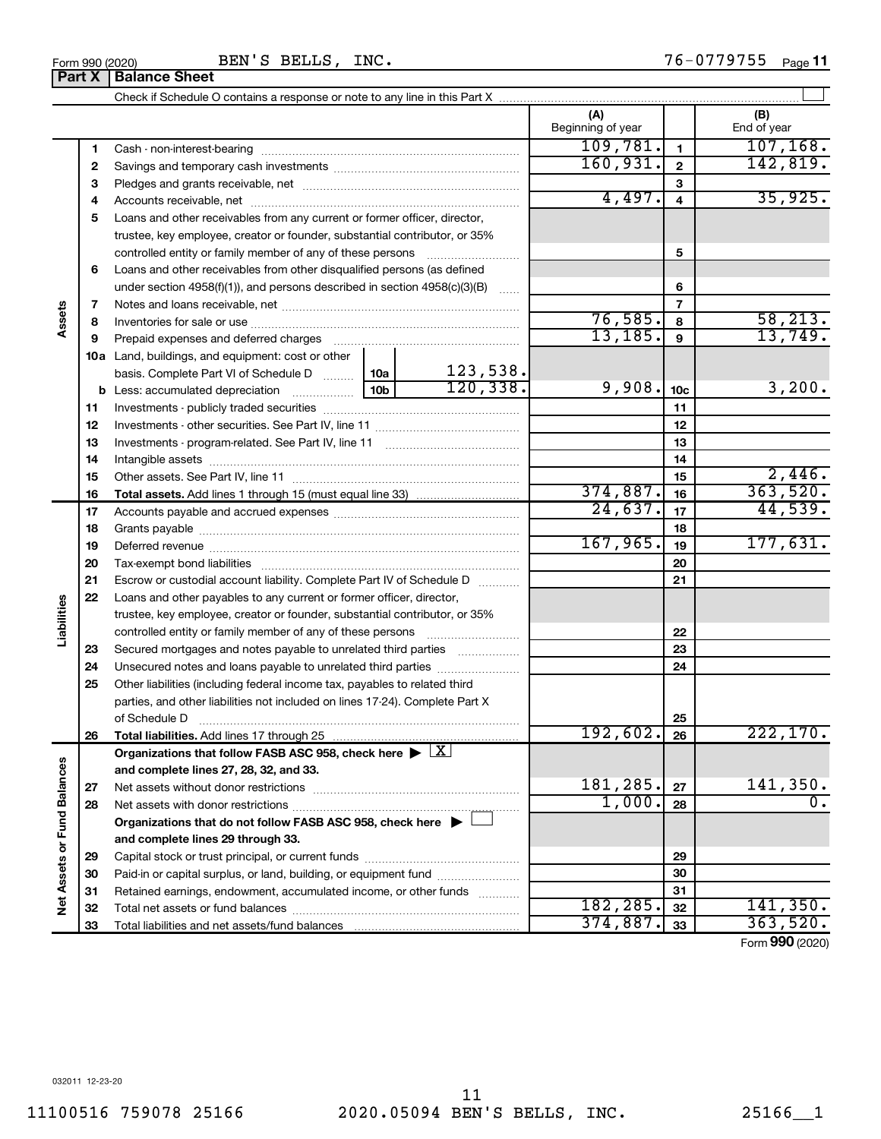Add lines 17 through 25  $\blacktriangleright$ ~~~~~~~~~~~~~~~~~~~~ ~~~~~~~~~~~~~~~~~~~~~~  $\blacktriangleright$ ~~~~~~~~~~~~~~~ ……………………… ~~~~~~~~~~  $\lfloor x \rfloor$  $\Box$ X

Form 990 (2020) BEN'S BELLS, INC.  $76-0779755$  Page

|                             |          | <b>Part X   Balance Sheet</b>                                                                                                            |          |              |                          |                  |                    |
|-----------------------------|----------|------------------------------------------------------------------------------------------------------------------------------------------|----------|--------------|--------------------------|------------------|--------------------|
|                             |          |                                                                                                                                          |          |              |                          |                  |                    |
|                             |          |                                                                                                                                          |          |              | (A)<br>Beginning of year |                  | (B)<br>End of year |
|                             | 1        |                                                                                                                                          | 109,781. | $\mathbf{1}$ | 107, 168.                |                  |                    |
|                             | 2        |                                                                                                                                          |          |              | 160,931.                 | $\overline{2}$   | 142,819.           |
|                             | З        |                                                                                                                                          |          |              |                          | 3                |                    |
|                             | 4        |                                                                                                                                          |          |              | 4,497.                   | $\overline{4}$   | 35,925.            |
|                             | 5        | Loans and other receivables from any current or former officer, director,                                                                |          |              |                          |                  |                    |
|                             |          | trustee, key employee, creator or founder, substantial contributor, or 35%                                                               |          |              |                          |                  |                    |
|                             |          | controlled entity or family member of any of these persons                                                                               |          |              |                          | 5                |                    |
|                             | 6        | Loans and other receivables from other disqualified persons (as defined                                                                  |          |              |                          |                  |                    |
|                             |          | under section $4958(f)(1)$ , and persons described in section $4958(c)(3)(B)$                                                            |          | $\sim$       |                          | 6                |                    |
|                             | 7        |                                                                                                                                          |          |              |                          | $\overline{7}$   |                    |
| Assets                      | 8        |                                                                                                                                          |          |              | 76,585.                  | 8                | 58, 213.           |
|                             | 9        | Prepaid expenses and deferred charges                                                                                                    |          |              | 13, 185.                 | $\mathbf{9}$     | 13,749.            |
|                             |          | <b>10a</b> Land, buildings, and equipment: cost or other                                                                                 |          |              |                          |                  |                    |
|                             |          | basis. Complete Part VI of Schedule D  10a                                                                                               |          | 123,538.     |                          |                  |                    |
|                             |          | <b>b</b> Less: accumulated depreciation                                                                                                  | 10b l    | 120, 338.    | 9,908.                   | 10 <sub>c</sub>  | 3,200.             |
|                             | 11       |                                                                                                                                          |          |              |                          | 11               |                    |
|                             | 12       |                                                                                                                                          |          |              |                          | 12               |                    |
|                             | 13       |                                                                                                                                          |          |              |                          | 13               |                    |
|                             | 14       |                                                                                                                                          |          |              |                          | 14               |                    |
|                             | 15       |                                                                                                                                          |          |              |                          | 15               | 2,446.             |
|                             | 16       | <b>Total assets.</b> Add lines 1 through 15 (must equal line 33) <i></i>                                                                 |          |              | 374,887.                 | 16               | 363,520.           |
|                             | 17       |                                                                                                                                          |          | 24,637.      | 17                       | 44,539.          |                    |
|                             | 18       |                                                                                                                                          |          |              |                          | 18               |                    |
|                             | 19       |                                                                                                                                          |          |              | 167,965.                 | 19               | 177,631.           |
|                             | 20       |                                                                                                                                          |          |              |                          | 20               |                    |
|                             | 21       | Escrow or custodial account liability. Complete Part IV of Schedule D                                                                    |          |              |                          | 21               |                    |
|                             | 22       | Loans and other payables to any current or former officer, director,                                                                     |          |              |                          |                  |                    |
| Liabilities                 |          | trustee, key employee, creator or founder, substantial contributor, or 35%                                                               |          |              |                          |                  |                    |
|                             |          | controlled entity or family member of any of these persons                                                                               |          |              | 22                       |                  |                    |
|                             | 23       | Secured mortgages and notes payable to unrelated third parties                                                                           |          |              |                          | 23               |                    |
|                             | 24       | Unsecured notes and loans payable to unrelated third parties                                                                             |          |              |                          | 24               |                    |
|                             | 25       | Other liabilities (including federal income tax, payables to related third                                                               |          |              |                          |                  |                    |
|                             |          | parties, and other liabilities not included on lines 17-24). Complete Part X                                                             |          |              |                          |                  |                    |
|                             |          | of Schedule D                                                                                                                            |          |              | 192,602.                 | 25<br>26         | 222,170.           |
|                             | 26       | Total liabilities. Add lines 17 through 25<br>Organizations that follow FASB ASC 958, check here $\blacktriangleright \lfloor X \rfloor$ |          |              |                          |                  |                    |
|                             |          |                                                                                                                                          |          |              |                          |                  |                    |
|                             |          | and complete lines 27, 28, 32, and 33.                                                                                                   |          | 181,285.     | 27                       | 141,350.         |                    |
|                             | 27<br>28 |                                                                                                                                          |          | 1,000.       | 28                       | $\overline{0}$ . |                    |
|                             |          | Organizations that do not follow FASB ASC 958, check here $\blacktriangleright$                                                          |          |              |                          |                  |                    |
|                             |          | and complete lines 29 through 33.                                                                                                        |          |              |                          |                  |                    |
|                             | 29       |                                                                                                                                          |          |              |                          | 29               |                    |
| Net Assets or Fund Balances | 30       | Paid-in or capital surplus, or land, building, or equipment fund                                                                         |          |              |                          | 30               |                    |
|                             | 31       | Retained earnings, endowment, accumulated income, or other funds                                                                         |          |              |                          | 31               |                    |
|                             | 32       |                                                                                                                                          |          |              | 182,285.                 | 32               | 141,350.           |
|                             | 33       |                                                                                                                                          |          |              | 374,887.                 | 33               | 363,520.           |
|                             |          |                                                                                                                                          |          |              |                          |                  | $000 \text{$       |

Form (2020) **990**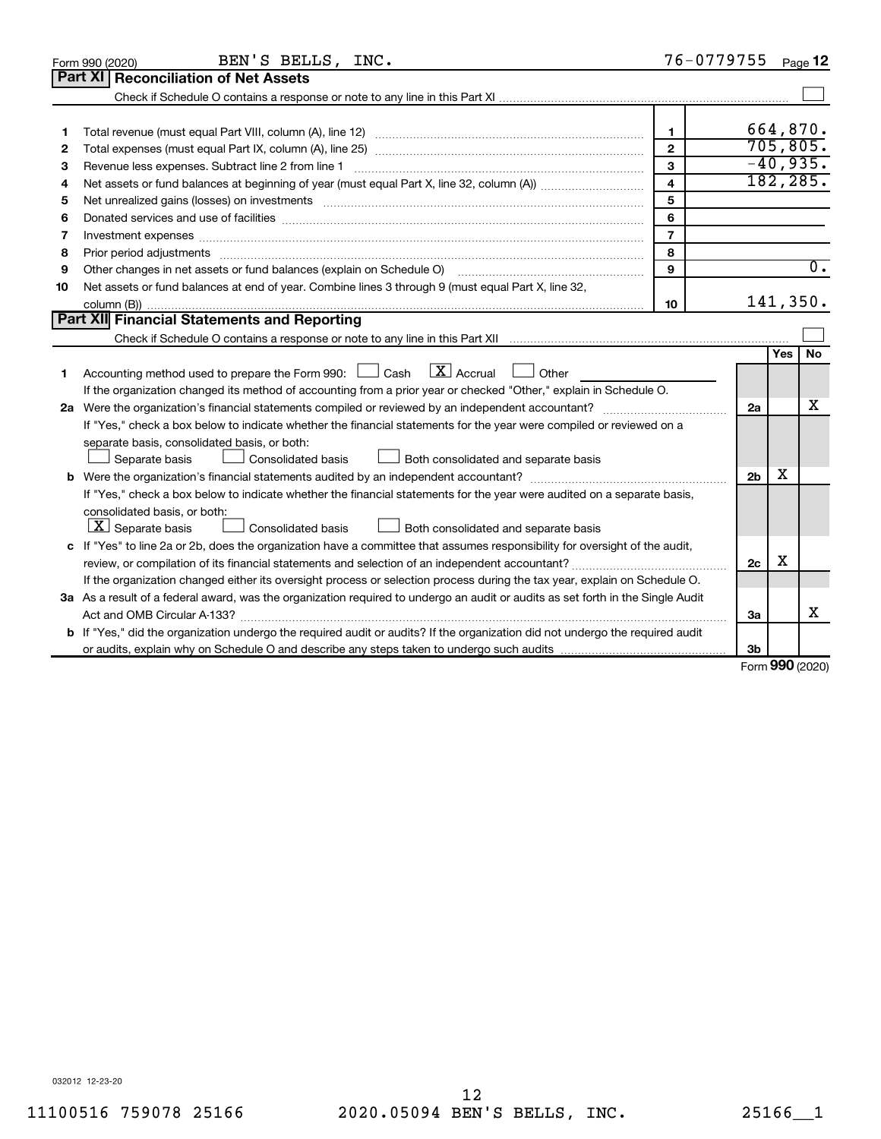|    | BEN'S BELLS, INC.<br>Form 990 (2020)                                                                                                                                                                                           | 76-0779755     |                |              | Page 12          |
|----|--------------------------------------------------------------------------------------------------------------------------------------------------------------------------------------------------------------------------------|----------------|----------------|--------------|------------------|
|    | Part XI<br><b>Reconciliation of Net Assets</b>                                                                                                                                                                                 |                |                |              |                  |
|    |                                                                                                                                                                                                                                |                |                |              |                  |
|    |                                                                                                                                                                                                                                |                |                |              |                  |
| 1  |                                                                                                                                                                                                                                | 1.             |                |              | 664,870.         |
| 2  |                                                                                                                                                                                                                                | $\mathbf{2}$   |                |              | 705, 805.        |
| 3  | Revenue less expenses. Subtract line 2 from line 1                                                                                                                                                                             | 3              |                |              | $-40,935.$       |
| 4  |                                                                                                                                                                                                                                | 4              |                |              | 182, 285.        |
| 5  |                                                                                                                                                                                                                                | 5              |                |              |                  |
| 6  |                                                                                                                                                                                                                                | 6              |                |              |                  |
| 7  | Investment expenses www.communication.com/www.communication.com/www.communication.com/www.com                                                                                                                                  | $\overline{7}$ |                |              |                  |
| 8  | Prior period adjustments material contents and content of the content of the content of the content of the content of the content of the content of the content of the content of the content of the content of the content of | 8              |                |              |                  |
| 9  | Other changes in net assets or fund balances (explain on Schedule O)                                                                                                                                                           | 9              |                |              | $\overline{0}$ . |
| 10 | Net assets or fund balances at end of year. Combine lines 3 through 9 (must equal Part X, line 32,                                                                                                                             |                |                |              |                  |
|    |                                                                                                                                                                                                                                | 10             |                |              | 141,350.         |
|    | Part XII Financial Statements and Reporting                                                                                                                                                                                    |                |                |              |                  |
|    |                                                                                                                                                                                                                                |                |                |              |                  |
|    |                                                                                                                                                                                                                                |                |                | Yes          | <b>No</b>        |
| 1  | $\lfloor x \rfloor$ Accrual<br>Accounting method used to prepare the Form 990: $\Box$ Cash<br>Other                                                                                                                            |                |                |              |                  |
|    | If the organization changed its method of accounting from a prior year or checked "Other," explain in Schedule O.                                                                                                              |                |                |              |                  |
|    |                                                                                                                                                                                                                                |                | 2a             |              | x                |
|    | If "Yes," check a box below to indicate whether the financial statements for the year were compiled or reviewed on a                                                                                                           |                |                |              |                  |
|    | separate basis, consolidated basis, or both:                                                                                                                                                                                   |                |                |              |                  |
|    | Both consolidated and separate basis<br>Separate basis<br>Consolidated basis                                                                                                                                                   |                |                |              |                  |
|    |                                                                                                                                                                                                                                |                | 2 <sub>b</sub> | x            |                  |
|    | If "Yes," check a box below to indicate whether the financial statements for the year were audited on a separate basis,                                                                                                        |                |                |              |                  |
|    | consolidated basis, or both:                                                                                                                                                                                                   |                |                |              |                  |
|    | $ \mathbf{X} $ Separate basis<br>Consolidated basis<br>Both consolidated and separate basis                                                                                                                                    |                |                |              |                  |
|    | c If "Yes" to line 2a or 2b, does the organization have a committee that assumes responsibility for oversight of the audit,                                                                                                    |                |                |              |                  |
|    | review, or compilation of its financial statements and selection of an independent accountant?                                                                                                                                 |                | 2c             | X            |                  |
|    | If the organization changed either its oversight process or selection process during the tax year, explain on Schedule O.                                                                                                      |                |                |              |                  |
|    | 3a As a result of a federal award, was the organization required to undergo an audit or audits as set forth in the Single Audit                                                                                                |                |                |              |                  |
|    |                                                                                                                                                                                                                                |                | За             |              | x                |
|    | <b>b</b> If "Yes," did the organization undergo the required audit or audits? If the organization did not undergo the required audit                                                                                           |                |                |              |                  |
|    |                                                                                                                                                                                                                                |                | Зb             | $000 \text{$ |                  |
|    |                                                                                                                                                                                                                                |                |                |              |                  |

Form (2020) **990**

032012 12-23-20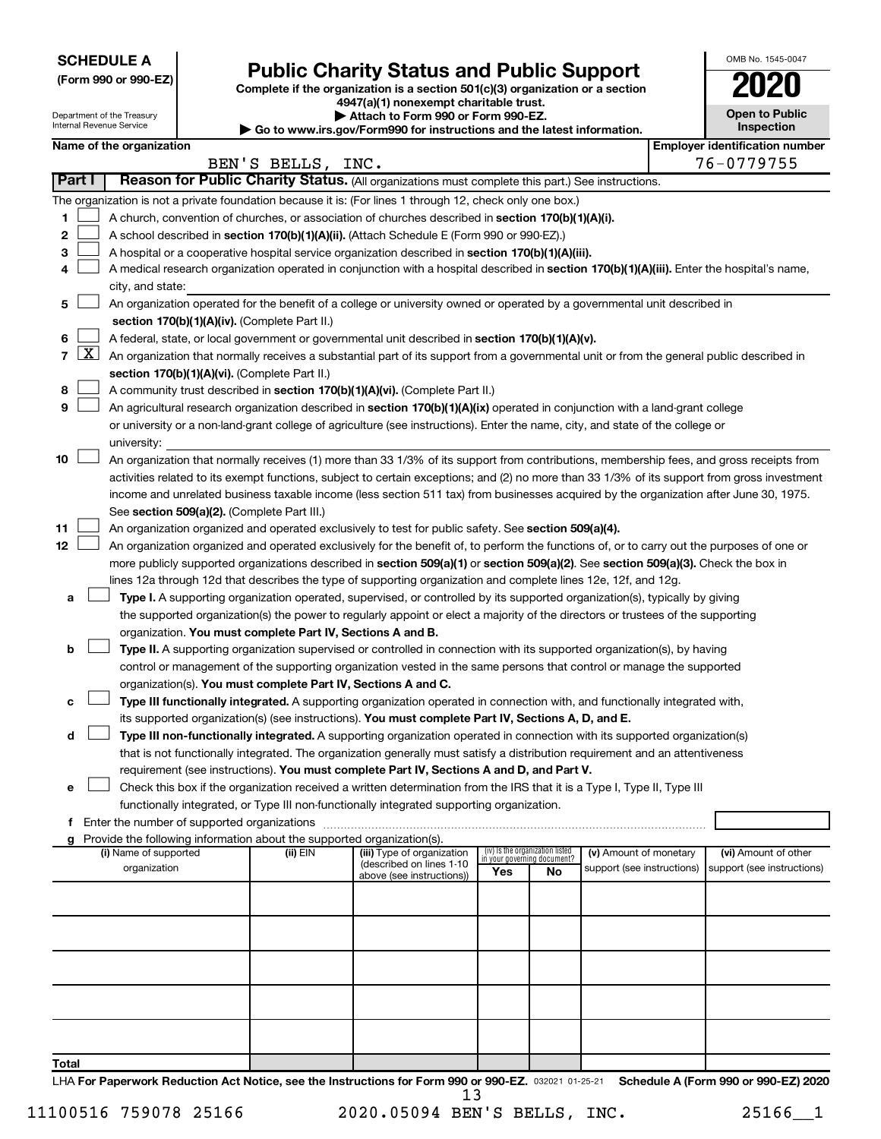**SCHEDULE A**

Department of the Treasury Internal Revenue Service

# Form 990 or 990-EZ) **Public Charity Status and Public Support**<br>
Complete if the organization is a section 501(c)(3) organization or a section<br> **2020**

**4947(a)(1) nonexempt charitable trust. | Attach to Form 990 or Form 990-EZ.** 

**| Go to www.irs.gov/Form990 for instructions and the latest information.**

|    | OMB No. 1545-0047                   |
|----|-------------------------------------|
|    | U21                                 |
|    | <b>Open to Public</b><br>Inspection |
| ١r | entification nu                     |

|              | Name of the organization<br>BEN'S BELLS, INC.                                                                     |                                                                                                                                                                                                    |          |                                                       |                             |                                 |                            | <b>Employer identification number</b> |                            |
|--------------|-------------------------------------------------------------------------------------------------------------------|----------------------------------------------------------------------------------------------------------------------------------------------------------------------------------------------------|----------|-------------------------------------------------------|-----------------------------|---------------------------------|----------------------------|---------------------------------------|----------------------------|
|              | Reason for Public Charity Status. (All organizations must complete this part.) See instructions.<br><b>Part I</b> |                                                                                                                                                                                                    |          |                                                       |                             |                                 |                            |                                       | 76-0779755                 |
|              |                                                                                                                   |                                                                                                                                                                                                    |          |                                                       |                             |                                 |                            |                                       |                            |
|              |                                                                                                                   | The organization is not a private foundation because it is: (For lines 1 through 12, check only one box.)                                                                                          |          |                                                       |                             |                                 |                            |                                       |                            |
| 1            |                                                                                                                   | A church, convention of churches, or association of churches described in section 170(b)(1)(A)(i).                                                                                                 |          |                                                       |                             |                                 |                            |                                       |                            |
| 2            |                                                                                                                   | A school described in section 170(b)(1)(A)(ii). (Attach Schedule E (Form 990 or 990-EZ).)                                                                                                          |          |                                                       |                             |                                 |                            |                                       |                            |
| з            |                                                                                                                   | A hospital or a cooperative hospital service organization described in section 170(b)(1)(A)(iii).                                                                                                  |          |                                                       |                             |                                 |                            |                                       |                            |
| 4            |                                                                                                                   | A medical research organization operated in conjunction with a hospital described in section 170(b)(1)(A)(iii). Enter the hospital's name,<br>city, and state:                                     |          |                                                       |                             |                                 |                            |                                       |                            |
| 5            |                                                                                                                   | An organization operated for the benefit of a college or university owned or operated by a governmental unit described in                                                                          |          |                                                       |                             |                                 |                            |                                       |                            |
|              |                                                                                                                   | section 170(b)(1)(A)(iv). (Complete Part II.)                                                                                                                                                      |          |                                                       |                             |                                 |                            |                                       |                            |
| 6            |                                                                                                                   | A federal, state, or local government or governmental unit described in section 170(b)(1)(A)(v).                                                                                                   |          |                                                       |                             |                                 |                            |                                       |                            |
|              |                                                                                                                   | 7 $ X $ An organization that normally receives a substantial part of its support from a governmental unit or from the general public described in<br>section 170(b)(1)(A)(vi). (Complete Part II.) |          |                                                       |                             |                                 |                            |                                       |                            |
| 8            |                                                                                                                   | A community trust described in section 170(b)(1)(A)(vi). (Complete Part II.)                                                                                                                       |          |                                                       |                             |                                 |                            |                                       |                            |
| 9            |                                                                                                                   | An agricultural research organization described in section 170(b)(1)(A)(ix) operated in conjunction with a land-grant college                                                                      |          |                                                       |                             |                                 |                            |                                       |                            |
|              |                                                                                                                   | or university or a non-land-grant college of agriculture (see instructions). Enter the name, city, and state of the college or                                                                     |          |                                                       |                             |                                 |                            |                                       |                            |
|              |                                                                                                                   | university:                                                                                                                                                                                        |          |                                                       |                             |                                 |                            |                                       |                            |
| 10           |                                                                                                                   | An organization that normally receives (1) more than 33 1/3% of its support from contributions, membership fees, and gross receipts from                                                           |          |                                                       |                             |                                 |                            |                                       |                            |
|              |                                                                                                                   | activities related to its exempt functions, subject to certain exceptions; and (2) no more than 33 1/3% of its support from gross investment                                                       |          |                                                       |                             |                                 |                            |                                       |                            |
|              |                                                                                                                   | income and unrelated business taxable income (less section 511 tax) from businesses acquired by the organization after June 30, 1975.                                                              |          |                                                       |                             |                                 |                            |                                       |                            |
|              |                                                                                                                   | See section 509(a)(2). (Complete Part III.)                                                                                                                                                        |          |                                                       |                             |                                 |                            |                                       |                            |
| 11           |                                                                                                                   | An organization organized and operated exclusively to test for public safety. See section 509(a)(4).                                                                                               |          |                                                       |                             |                                 |                            |                                       |                            |
| 12           |                                                                                                                   | An organization organized and operated exclusively for the benefit of, to perform the functions of, or to carry out the purposes of one or                                                         |          |                                                       |                             |                                 |                            |                                       |                            |
|              |                                                                                                                   | more publicly supported organizations described in section 509(a)(1) or section 509(a)(2). See section 509(a)(3). Check the box in                                                                 |          |                                                       |                             |                                 |                            |                                       |                            |
|              |                                                                                                                   | lines 12a through 12d that describes the type of supporting organization and complete lines 12e, 12f, and 12g.                                                                                     |          |                                                       |                             |                                 |                            |                                       |                            |
| a            |                                                                                                                   | Type I. A supporting organization operated, supervised, or controlled by its supported organization(s), typically by giving                                                                        |          |                                                       |                             |                                 |                            |                                       |                            |
|              |                                                                                                                   | the supported organization(s) the power to regularly appoint or elect a majority of the directors or trustees of the supporting                                                                    |          |                                                       |                             |                                 |                            |                                       |                            |
|              |                                                                                                                   | organization. You must complete Part IV, Sections A and B.                                                                                                                                         |          |                                                       |                             |                                 |                            |                                       |                            |
| b            |                                                                                                                   | Type II. A supporting organization supervised or controlled in connection with its supported organization(s), by having                                                                            |          |                                                       |                             |                                 |                            |                                       |                            |
|              |                                                                                                                   | control or management of the supporting organization vested in the same persons that control or manage the supported                                                                               |          |                                                       |                             |                                 |                            |                                       |                            |
|              |                                                                                                                   | organization(s). You must complete Part IV, Sections A and C.<br>Type III functionally integrated. A supporting organization operated in connection with, and functionally integrated with,        |          |                                                       |                             |                                 |                            |                                       |                            |
| с            |                                                                                                                   | its supported organization(s) (see instructions). You must complete Part IV, Sections A, D, and E.                                                                                                 |          |                                                       |                             |                                 |                            |                                       |                            |
| d            |                                                                                                                   | Type III non-functionally integrated. A supporting organization operated in connection with its supported organization(s)                                                                          |          |                                                       |                             |                                 |                            |                                       |                            |
|              |                                                                                                                   | that is not functionally integrated. The organization generally must satisfy a distribution requirement and an attentiveness                                                                       |          |                                                       |                             |                                 |                            |                                       |                            |
|              |                                                                                                                   | requirement (see instructions). You must complete Part IV, Sections A and D, and Part V.                                                                                                           |          |                                                       |                             |                                 |                            |                                       |                            |
|              |                                                                                                                   | Check this box if the organization received a written determination from the IRS that it is a Type I, Type II, Type III                                                                            |          |                                                       |                             |                                 |                            |                                       |                            |
|              |                                                                                                                   | functionally integrated, or Type III non-functionally integrated supporting organization.                                                                                                          |          |                                                       |                             |                                 |                            |                                       |                            |
|              |                                                                                                                   | f Enter the number of supported organizations                                                                                                                                                      |          |                                                       |                             |                                 |                            |                                       |                            |
|              |                                                                                                                   | g Provide the following information about the supported organization(s).                                                                                                                           |          |                                                       |                             |                                 |                            |                                       |                            |
|              |                                                                                                                   | (i) Name of supported                                                                                                                                                                              | (ii) EIN | (iii) Type of organization                            | in your governing document? | (iv) Is the organization listed | (v) Amount of monetary     |                                       | (vi) Amount of other       |
|              |                                                                                                                   | organization                                                                                                                                                                                       |          | (described on lines 1-10<br>above (see instructions)) | Yes                         | No                              | support (see instructions) |                                       | support (see instructions) |
|              |                                                                                                                   |                                                                                                                                                                                                    |          |                                                       |                             |                                 |                            |                                       |                            |
|              |                                                                                                                   |                                                                                                                                                                                                    |          |                                                       |                             |                                 |                            |                                       |                            |
|              |                                                                                                                   |                                                                                                                                                                                                    |          |                                                       |                             |                                 |                            |                                       |                            |
|              |                                                                                                                   |                                                                                                                                                                                                    |          |                                                       |                             |                                 |                            |                                       |                            |
|              |                                                                                                                   |                                                                                                                                                                                                    |          |                                                       |                             |                                 |                            |                                       |                            |
|              |                                                                                                                   |                                                                                                                                                                                                    |          |                                                       |                             |                                 |                            |                                       |                            |
|              |                                                                                                                   |                                                                                                                                                                                                    |          |                                                       |                             |                                 |                            |                                       |                            |
| <b>Total</b> |                                                                                                                   |                                                                                                                                                                                                    |          |                                                       |                             |                                 |                            |                                       |                            |

LHA For Paperwork Reduction Act Notice, see the Instructions for Form 990 or 990-EZ. 032021 01-25-21 Schedule A (Form 990 or 990-EZ) 2020 13

11100516 759078 25166 2020.05094 BEN'S BELLS, INC. 25166\_\_1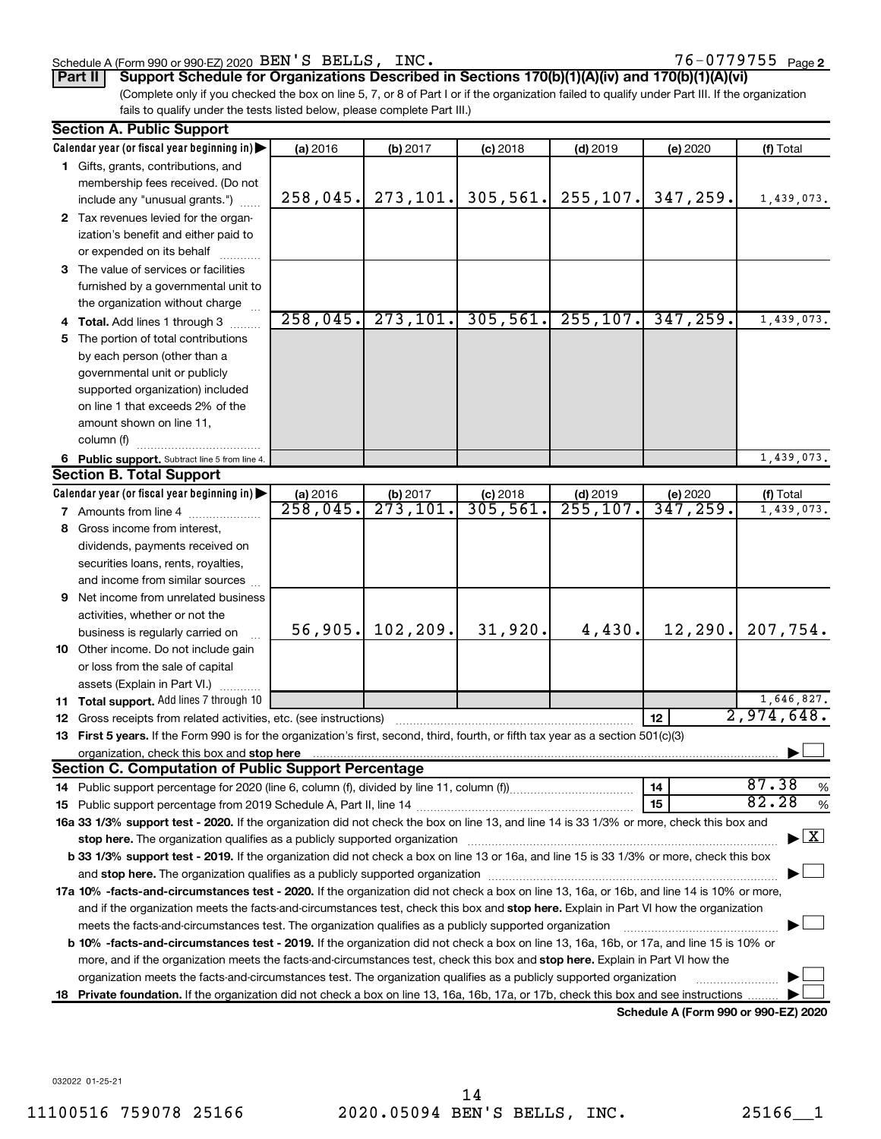#### Schedule A (Form 990 or 990-EZ) 2020  $BEN'S$  BELLS,  $INC$ .  $2NC$  and  $76-0779755$   $Page$

76-0779755 <sub>Page 2</sub>

**Part II Support Schedule for Organizations Described in Sections 170(b)(1)(A)(iv) and 170(b)(1)(A)(vi)**

(Complete only if you checked the box on line 5, 7, or 8 of Part I or if the organization failed to qualify under Part III. If the organization fails to qualify under the tests listed below, please complete Part III.)

| <b>Section A. Public Support</b>                                                                                                                                                                                                    |          |                                  |            |            |                                      |                                          |  |
|-------------------------------------------------------------------------------------------------------------------------------------------------------------------------------------------------------------------------------------|----------|----------------------------------|------------|------------|--------------------------------------|------------------------------------------|--|
| Calendar year (or fiscal year beginning in)                                                                                                                                                                                         | (a) 2016 | (b) 2017                         | $(c)$ 2018 | $(d)$ 2019 | (e) 2020                             | (f) Total                                |  |
| 1 Gifts, grants, contributions, and                                                                                                                                                                                                 |          |                                  |            |            |                                      |                                          |  |
| membership fees received. (Do not                                                                                                                                                                                                   |          |                                  |            |            |                                      |                                          |  |
| include any "unusual grants.")                                                                                                                                                                                                      | 258,045. | 273, 101.                        | 305, 561.  | 255, 107.  | 347,259.                             | 1,439,073.                               |  |
| 2 Tax revenues levied for the organ-                                                                                                                                                                                                |          |                                  |            |            |                                      |                                          |  |
| ization's benefit and either paid to                                                                                                                                                                                                |          |                                  |            |            |                                      |                                          |  |
| or expended on its behalf                                                                                                                                                                                                           |          |                                  |            |            |                                      |                                          |  |
| 3 The value of services or facilities                                                                                                                                                                                               |          |                                  |            |            |                                      |                                          |  |
| furnished by a governmental unit to                                                                                                                                                                                                 |          |                                  |            |            |                                      |                                          |  |
| the organization without charge                                                                                                                                                                                                     |          |                                  |            |            |                                      |                                          |  |
| 4 Total. Add lines 1 through 3                                                                                                                                                                                                      | 258,045. | 273, 101.                        | 305,561.   | 255, 107.  | 347, 259.                            | 1,439,073.                               |  |
| 5 The portion of total contributions                                                                                                                                                                                                |          |                                  |            |            |                                      |                                          |  |
| by each person (other than a                                                                                                                                                                                                        |          |                                  |            |            |                                      |                                          |  |
| governmental unit or publicly                                                                                                                                                                                                       |          |                                  |            |            |                                      |                                          |  |
| supported organization) included                                                                                                                                                                                                    |          |                                  |            |            |                                      |                                          |  |
| on line 1 that exceeds 2% of the                                                                                                                                                                                                    |          |                                  |            |            |                                      |                                          |  |
| amount shown on line 11,                                                                                                                                                                                                            |          |                                  |            |            |                                      |                                          |  |
| column (f)                                                                                                                                                                                                                          |          |                                  |            |            |                                      |                                          |  |
| 6 Public support. Subtract line 5 from line 4.                                                                                                                                                                                      |          |                                  |            |            |                                      | 1,439,073.                               |  |
| <b>Section B. Total Support</b>                                                                                                                                                                                                     |          |                                  |            |            |                                      |                                          |  |
| Calendar year (or fiscal year beginning in)                                                                                                                                                                                         | (a) 2016 | (b) 2017                         | $(c)$ 2018 | $(d)$ 2019 | (e) 2020                             | (f) Total                                |  |
| 7 Amounts from line 4                                                                                                                                                                                                               | 258,045. | $\overline{273}, \overline{101}$ | 305, 561.  | 255, 107.  | 347,259.                             | 1,439,073.                               |  |
| 8 Gross income from interest,                                                                                                                                                                                                       |          |                                  |            |            |                                      |                                          |  |
| dividends, payments received on                                                                                                                                                                                                     |          |                                  |            |            |                                      |                                          |  |
| securities loans, rents, royalties,                                                                                                                                                                                                 |          |                                  |            |            |                                      |                                          |  |
| and income from similar sources                                                                                                                                                                                                     |          |                                  |            |            |                                      |                                          |  |
| <b>9</b> Net income from unrelated business                                                                                                                                                                                         |          |                                  |            |            |                                      |                                          |  |
| activities, whether or not the                                                                                                                                                                                                      |          |                                  |            |            |                                      |                                          |  |
| business is regularly carried on                                                                                                                                                                                                    | 56,905.  | 102, 209.                        | 31,920.    | 4,430.     | 12, 290.                             | 207,754.                                 |  |
| 10 Other income. Do not include gain                                                                                                                                                                                                |          |                                  |            |            |                                      |                                          |  |
| or loss from the sale of capital                                                                                                                                                                                                    |          |                                  |            |            |                                      |                                          |  |
| assets (Explain in Part VI.)                                                                                                                                                                                                        |          |                                  |            |            |                                      |                                          |  |
| 11 Total support. Add lines 7 through 10                                                                                                                                                                                            |          |                                  |            |            |                                      | 1,646,827.                               |  |
| <b>12</b> Gross receipts from related activities, etc. (see instructions)                                                                                                                                                           |          |                                  |            |            | 12                                   | 2,974,648.                               |  |
| 13 First 5 years. If the Form 990 is for the organization's first, second, third, fourth, or fifth tax year as a section 501(c)(3)                                                                                                  |          |                                  |            |            |                                      |                                          |  |
| organization, check this box and stop here <b>construction and construction</b> or construction of the state of the state of the state of the state of the state of the state of the state of the state of the state of the state o |          |                                  |            |            |                                      |                                          |  |
| <b>Section C. Computation of Public Support Percentage</b>                                                                                                                                                                          |          |                                  |            |            |                                      |                                          |  |
|                                                                                                                                                                                                                                     |          |                                  |            |            | 14                                   | 87.38<br>%                               |  |
|                                                                                                                                                                                                                                     |          |                                  |            |            | 15                                   | 82.28<br>%                               |  |
| 16a 33 1/3% support test - 2020. If the organization did not check the box on line 13, and line 14 is 33 1/3% or more, check this box and                                                                                           |          |                                  |            |            |                                      |                                          |  |
| stop here. The organization qualifies as a publicly supported organization manufactured content and the support of the state of the state of the state of the state of the state of the state of the state of the state of the      |          |                                  |            |            |                                      | $\blacktriangleright$ $\boxed{\text{X}}$ |  |
| b 33 1/3% support test - 2019. If the organization did not check a box on line 13 or 16a, and line 15 is 33 1/3% or more, check this box                                                                                            |          |                                  |            |            |                                      |                                          |  |
|                                                                                                                                                                                                                                     |          |                                  |            |            |                                      |                                          |  |
| 17a 10% -facts-and-circumstances test - 2020. If the organization did not check a box on line 13, 16a, or 16b, and line 14 is 10% or more,                                                                                          |          |                                  |            |            |                                      |                                          |  |
| and if the organization meets the facts-and-circumstances test, check this box and stop here. Explain in Part VI how the organization                                                                                               |          |                                  |            |            |                                      |                                          |  |
| meets the facts-and-circumstances test. The organization qualifies as a publicly supported organization                                                                                                                             |          |                                  |            |            |                                      |                                          |  |
| <b>b 10%</b> -facts-and-circumstances test - 2019. If the organization did not check a box on line 13, 16a, 16b, or 17a, and line 15 is 10% or                                                                                      |          |                                  |            |            |                                      |                                          |  |
| more, and if the organization meets the facts-and-circumstances test, check this box and <b>stop here.</b> Explain in Part VI how the                                                                                               |          |                                  |            |            |                                      |                                          |  |
| organization meets the facts-and-circumstances test. The organization qualifies as a publicly supported organization                                                                                                                |          |                                  |            |            |                                      |                                          |  |
| 18 Private foundation. If the organization did not check a box on line 13, 16a, 16b, 17a, or 17b, check this box and see instructions                                                                                               |          |                                  |            |            |                                      |                                          |  |
|                                                                                                                                                                                                                                     |          |                                  |            |            | Schodule A (Form 000 or 000 EZ) 2020 |                                          |  |

**Schedule A (Form 990 or 990-EZ) 2020**

032022 01-25-21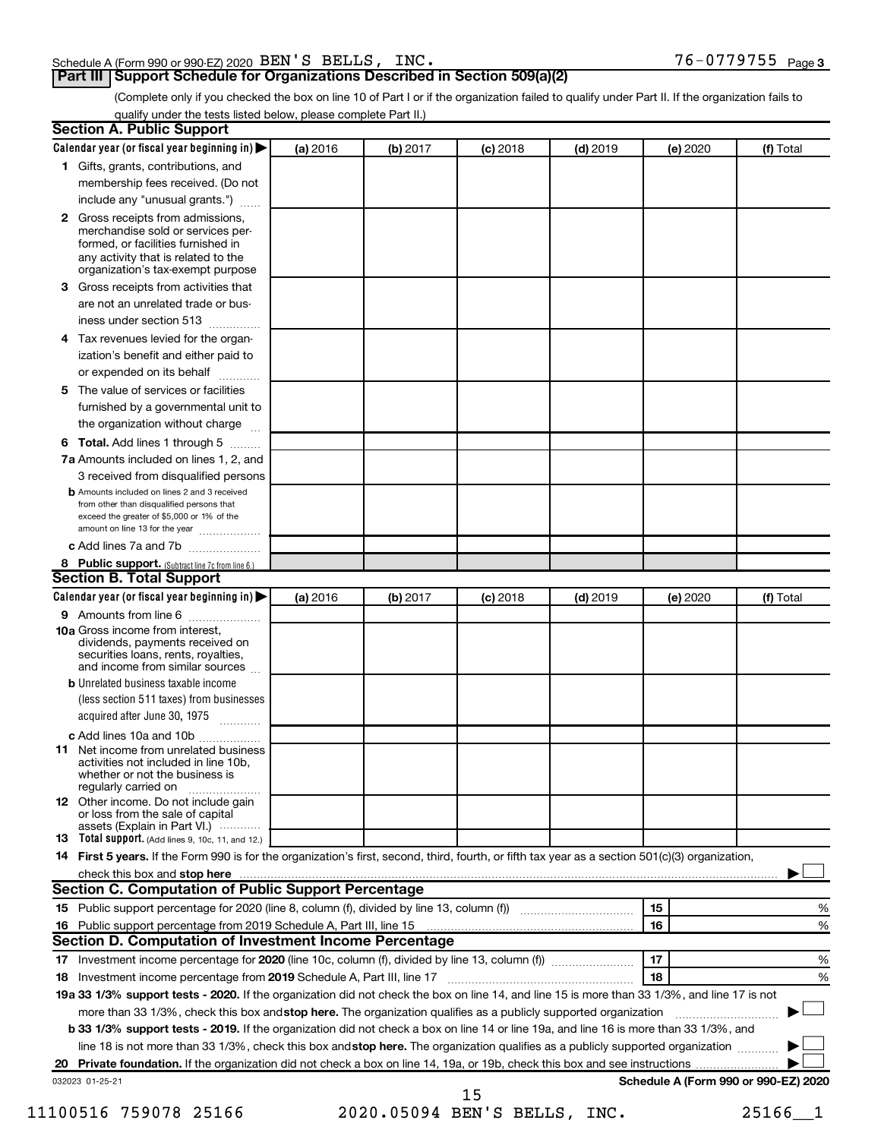| Schedule A (Form 990 or 990-EZ) 2020 $\rm~BEN$ $\rm ^{\prime}$ S $\rm~BELLS$ , $\rm~INC$ . | $76 - 0779755$ Page 3 |
|--------------------------------------------------------------------------------------------|-----------------------|
|--------------------------------------------------------------------------------------------|-----------------------|

# **Part III Support Schedule for Organizations Described in Section 509(a)(2)**

(Complete only if you checked the box on line 10 of Part I or if the organization failed to qualify under Part II. If the organization fails to qualify under the tests listed below, please complete Part II.)

| <b>Section A. Public Support</b>                                                                                                                                                                |          |          |            |            |          |                                      |
|-------------------------------------------------------------------------------------------------------------------------------------------------------------------------------------------------|----------|----------|------------|------------|----------|--------------------------------------|
| Calendar year (or fiscal year beginning in)                                                                                                                                                     | (a) 2016 | (b) 2017 | $(c)$ 2018 | $(d)$ 2019 | (e) 2020 | (f) Total                            |
| 1 Gifts, grants, contributions, and                                                                                                                                                             |          |          |            |            |          |                                      |
| membership fees received. (Do not                                                                                                                                                               |          |          |            |            |          |                                      |
| include any "unusual grants.")                                                                                                                                                                  |          |          |            |            |          |                                      |
| <b>2</b> Gross receipts from admissions,<br>merchandise sold or services per-<br>formed, or facilities furnished in<br>any activity that is related to the<br>organization's tax-exempt purpose |          |          |            |            |          |                                      |
| 3 Gross receipts from activities that                                                                                                                                                           |          |          |            |            |          |                                      |
| are not an unrelated trade or bus-<br>iness under section 513                                                                                                                                   |          |          |            |            |          |                                      |
| 4 Tax revenues levied for the organ-                                                                                                                                                            |          |          |            |            |          |                                      |
| ization's benefit and either paid to<br>or expended on its behalf                                                                                                                               |          |          |            |            |          |                                      |
| 5 The value of services or facilities                                                                                                                                                           |          |          |            |            |          |                                      |
| furnished by a governmental unit to                                                                                                                                                             |          |          |            |            |          |                                      |
| the organization without charge                                                                                                                                                                 |          |          |            |            |          |                                      |
| 6 Total. Add lines 1 through 5                                                                                                                                                                  |          |          |            |            |          |                                      |
| 7a Amounts included on lines 1, 2, and                                                                                                                                                          |          |          |            |            |          |                                      |
| 3 received from disqualified persons                                                                                                                                                            |          |          |            |            |          |                                      |
| <b>b</b> Amounts included on lines 2 and 3 received<br>from other than disqualified persons that<br>exceed the greater of \$5,000 or 1% of the<br>amount on line 13 for the year                |          |          |            |            |          |                                      |
| c Add lines 7a and 7b                                                                                                                                                                           |          |          |            |            |          |                                      |
| 8 Public support. (Subtract line 7c from line 6.)                                                                                                                                               |          |          |            |            |          |                                      |
| <b>Section B. Total Support</b>                                                                                                                                                                 |          |          |            |            |          |                                      |
| Calendar year (or fiscal year beginning in)                                                                                                                                                     | (a) 2016 | (b) 2017 | $(c)$ 2018 | $(d)$ 2019 | (e) 2020 | (f) Total                            |
| 9 Amounts from line 6                                                                                                                                                                           |          |          |            |            |          |                                      |
| <b>10a</b> Gross income from interest,<br>dividends, payments received on<br>securities loans, rents, royalties,<br>and income from similar sources                                             |          |          |            |            |          |                                      |
| <b>b</b> Unrelated business taxable income<br>(less section 511 taxes) from businesses<br>acquired after June 30, 1975                                                                          |          |          |            |            |          |                                      |
| c Add lines 10a and 10b                                                                                                                                                                         |          |          |            |            |          |                                      |
| <b>11</b> Net income from unrelated business<br>activities not included in line 10b.<br>whether or not the business is<br>regularly carried on                                                  |          |          |            |            |          |                                      |
| 12 Other income. Do not include gain<br>or loss from the sale of capital<br>assets (Explain in Part VI.)                                                                                        |          |          |            |            |          |                                      |
| <b>13</b> Total support. (Add lines 9, 10c, 11, and 12.)                                                                                                                                        |          |          |            |            |          |                                      |
| 14 First 5 years. If the Form 990 is for the organization's first, second, third, fourth, or fifth tax year as a section 501(c)(3) organization,                                                |          |          |            |            |          |                                      |
| check this box and stop here <b>contained and the contained and starting and stop here</b> check this box and stop here                                                                         |          |          |            |            |          |                                      |
| Section C. Computation of Public Support Percentage                                                                                                                                             |          |          |            |            |          |                                      |
| 15 Public support percentage for 2020 (line 8, column (f), divided by line 13, column (f) <i></i>                                                                                               |          |          |            |            | 15       | ℅                                    |
|                                                                                                                                                                                                 |          |          |            |            | 16       | %                                    |
| Section D. Computation of Investment Income Percentage                                                                                                                                          |          |          |            |            |          |                                      |
|                                                                                                                                                                                                 |          |          |            |            | 17       | %                                    |
| 18 Investment income percentage from 2019 Schedule A, Part III, line 17                                                                                                                         |          |          |            |            | 18       | %                                    |
| 19a 33 1/3% support tests - 2020. If the organization did not check the box on line 14, and line 15 is more than 33 1/3%, and line 17 is not                                                    |          |          |            |            |          |                                      |
| more than 33 1/3%, check this box and stop here. The organization qualifies as a publicly supported organization                                                                                |          |          |            |            |          |                                      |
| b 33 1/3% support tests - 2019. If the organization did not check a box on line 14 or line 19a, and line 16 is more than 33 1/3%, and                                                           |          |          |            |            |          |                                      |
| line 18 is not more than 33 1/3%, check this box and stop here. The organization qualifies as a publicly supported organization                                                                 |          |          |            |            |          |                                      |
|                                                                                                                                                                                                 |          |          |            |            |          |                                      |
| 032023 01-25-21                                                                                                                                                                                 |          |          | 15         |            |          | Schedule A (Form 990 or 990-EZ) 2020 |

11100516 759078 25166 2020.05094 BEN'S BELLS, INC. 25166\_\_1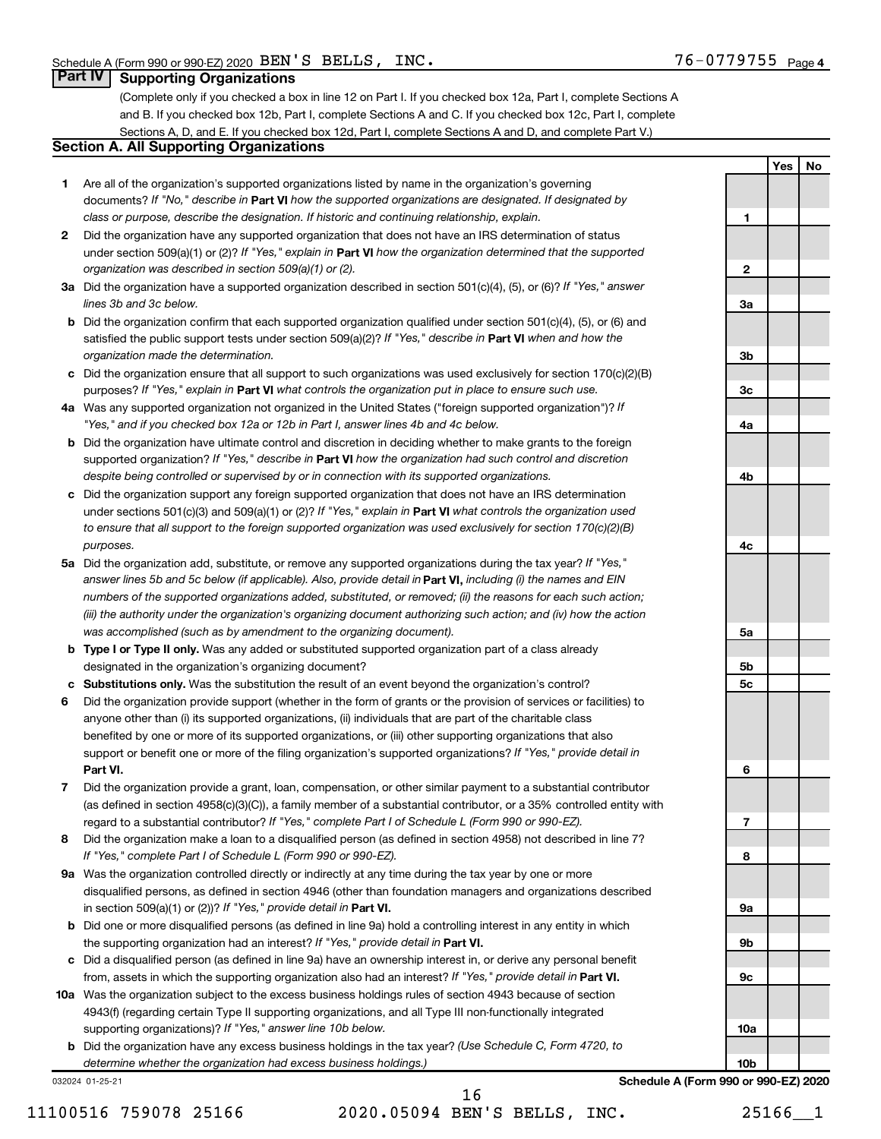**1**

**2**

**3a**

**3b**

**3c**

**4a**

**4b**

**4c**

**5a**

**5b 5c**

**6**

**7**

**8**

**9a**

**9b**

**9c**

**10a**

**Yes No**

### **Part IV Supporting Organizations**

(Complete only if you checked a box in line 12 on Part I. If you checked box 12a, Part I, complete Sections A and B. If you checked box 12b, Part I, complete Sections A and C. If you checked box 12c, Part I, complete Sections A, D, and E. If you checked box 12d, Part I, complete Sections A and D, and complete Part V.)

# **Section A. All Supporting Organizations**

- **1** Are all of the organization's supported organizations listed by name in the organization's governing documents? If "No," describe in Part VI how the supported organizations are designated. If designated by *class or purpose, describe the designation. If historic and continuing relationship, explain.*
- **2** Did the organization have any supported organization that does not have an IRS determination of status under section 509(a)(1) or (2)? If "Yes," explain in Part **VI** how the organization determined that the supported *organization was described in section 509(a)(1) or (2).*
- **3a** Did the organization have a supported organization described in section 501(c)(4), (5), or (6)? If "Yes," answer *lines 3b and 3c below.*
- **b** Did the organization confirm that each supported organization qualified under section 501(c)(4), (5), or (6) and satisfied the public support tests under section 509(a)(2)? If "Yes," describe in Part VI when and how the *organization made the determination.*
- **c** Did the organization ensure that all support to such organizations was used exclusively for section 170(c)(2)(B) purposes? If "Yes," explain in Part VI what controls the organization put in place to ensure such use.
- **4 a** *If* Was any supported organization not organized in the United States ("foreign supported organization")? *"Yes," and if you checked box 12a or 12b in Part I, answer lines 4b and 4c below.*
- **b** Did the organization have ultimate control and discretion in deciding whether to make grants to the foreign supported organization? If "Yes," describe in Part VI how the organization had such control and discretion *despite being controlled or supervised by or in connection with its supported organizations.*
- **c** Did the organization support any foreign supported organization that does not have an IRS determination under sections 501(c)(3) and 509(a)(1) or (2)? If "Yes," explain in Part VI what controls the organization used *to ensure that all support to the foreign supported organization was used exclusively for section 170(c)(2)(B) purposes.*
- **5a** Did the organization add, substitute, or remove any supported organizations during the tax year? If "Yes," answer lines 5b and 5c below (if applicable). Also, provide detail in **Part VI,** including (i) the names and EIN *numbers of the supported organizations added, substituted, or removed; (ii) the reasons for each such action; (iii) the authority under the organization's organizing document authorizing such action; and (iv) how the action was accomplished (such as by amendment to the organizing document).*
- **b** Type I or Type II only. Was any added or substituted supported organization part of a class already designated in the organization's organizing document?
- **c Substitutions only.**  Was the substitution the result of an event beyond the organization's control?
- **6** Did the organization provide support (whether in the form of grants or the provision of services or facilities) to **Part VI.** support or benefit one or more of the filing organization's supported organizations? If "Yes," provide detail in anyone other than (i) its supported organizations, (ii) individuals that are part of the charitable class benefited by one or more of its supported organizations, or (iii) other supporting organizations that also
- **7** Did the organization provide a grant, loan, compensation, or other similar payment to a substantial contributor regard to a substantial contributor? If "Yes," complete Part I of Schedule L (Form 990 or 990-EZ). (as defined in section 4958(c)(3)(C)), a family member of a substantial contributor, or a 35% controlled entity with
- **8** Did the organization make a loan to a disqualified person (as defined in section 4958) not described in line 7? *If "Yes," complete Part I of Schedule L (Form 990 or 990-EZ).*
- **9 a** Was the organization controlled directly or indirectly at any time during the tax year by one or more in section 509(a)(1) or (2))? If "Yes," provide detail in **Part VI.** disqualified persons, as defined in section 4946 (other than foundation managers and organizations described
- **b** Did one or more disqualified persons (as defined in line 9a) hold a controlling interest in any entity in which the supporting organization had an interest? If "Yes," provide detail in Part VI.
- **c** Did a disqualified person (as defined in line 9a) have an ownership interest in, or derive any personal benefit from, assets in which the supporting organization also had an interest? If "Yes," provide detail in Part VI.
- **10 a** Was the organization subject to the excess business holdings rules of section 4943 because of section supporting organizations)? If "Yes," answer line 10b below. 4943(f) (regarding certain Type II supporting organizations, and all Type III non-functionally integrated
	- **b** Did the organization have any excess business holdings in the tax year? (Use Schedule C, Form 4720, to *determine whether the organization had excess business holdings.)*

032024 01-25-21

11100516 759078 25166 2020.05094 BEN'S BELLS, INC. 25166\_\_1 16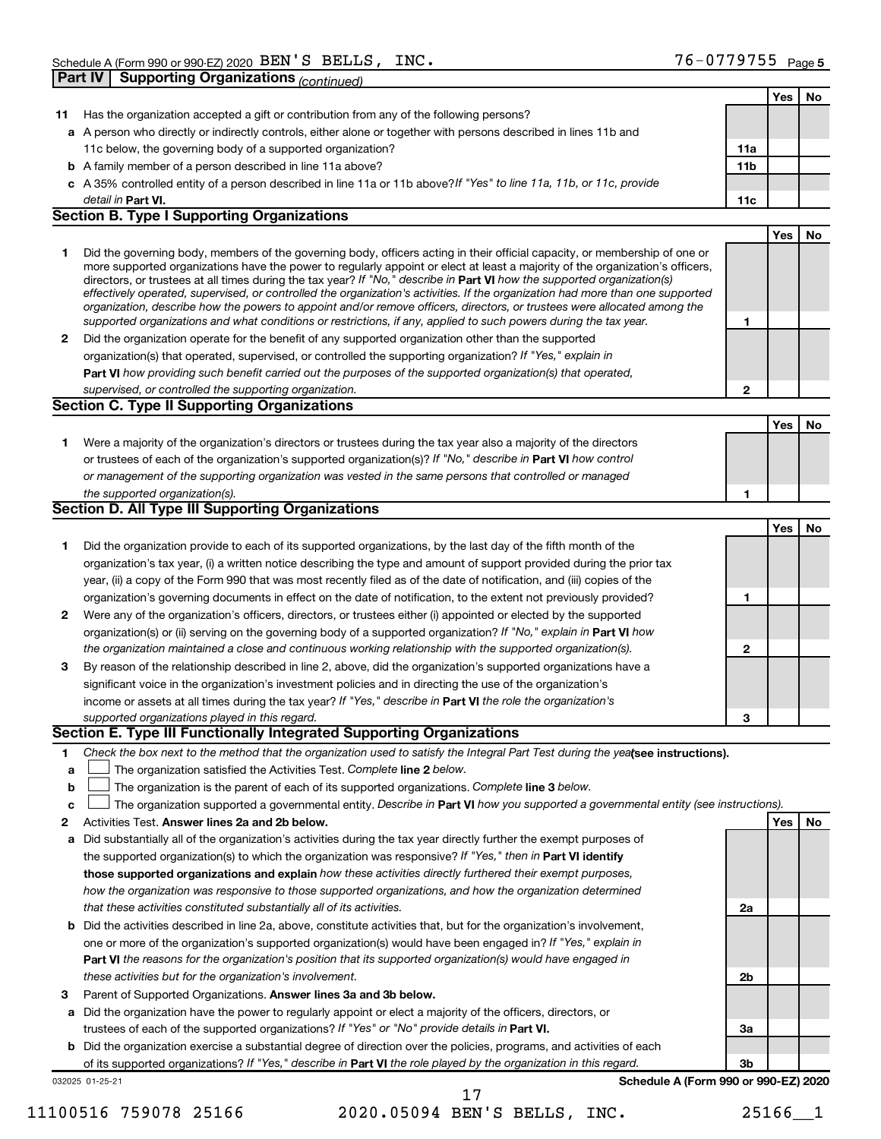|              | Part IV   Supporting Organizations (continued)                                                                                                                                                                                                             |                 |     |    |
|--------------|------------------------------------------------------------------------------------------------------------------------------------------------------------------------------------------------------------------------------------------------------------|-----------------|-----|----|
|              |                                                                                                                                                                                                                                                            |                 | Yes | No |
| 11           | Has the organization accepted a gift or contribution from any of the following persons?                                                                                                                                                                    |                 |     |    |
|              | a A person who directly or indirectly controls, either alone or together with persons described in lines 11b and                                                                                                                                           |                 |     |    |
|              | 11c below, the governing body of a supported organization?                                                                                                                                                                                                 | 11a             |     |    |
|              | <b>b</b> A family member of a person described in line 11a above?                                                                                                                                                                                          | 11 <sub>b</sub> |     |    |
|              | c A 35% controlled entity of a person described in line 11a or 11b above? If "Yes" to line 11a, 11b, or 11c, provide                                                                                                                                       |                 |     |    |
|              | detail in Part VI.                                                                                                                                                                                                                                         | 11c             |     |    |
|              | <b>Section B. Type I Supporting Organizations</b>                                                                                                                                                                                                          |                 |     |    |
|              |                                                                                                                                                                                                                                                            |                 | Yes | No |
| 1.           | Did the governing body, members of the governing body, officers acting in their official capacity, or membership of one or                                                                                                                                 |                 |     |    |
|              | more supported organizations have the power to regularly appoint or elect at least a majority of the organization's officers,                                                                                                                              |                 |     |    |
|              | directors, or trustees at all times during the tax year? If "No," describe in Part VI how the supported organization(s)                                                                                                                                    |                 |     |    |
|              | effectively operated, supervised, or controlled the organization's activities. If the organization had more than one supported<br>organization, describe how the powers to appoint and/or remove officers, directors, or trustees were allocated among the |                 |     |    |
|              | supported organizations and what conditions or restrictions, if any, applied to such powers during the tax year.                                                                                                                                           | 1               |     |    |
| $\mathbf{2}$ | Did the organization operate for the benefit of any supported organization other than the supported                                                                                                                                                        |                 |     |    |
|              | organization(s) that operated, supervised, or controlled the supporting organization? If "Yes," explain in                                                                                                                                                 |                 |     |    |
|              | Part VI how providing such benefit carried out the purposes of the supported organization(s) that operated,                                                                                                                                                |                 |     |    |
|              | supervised, or controlled the supporting organization.                                                                                                                                                                                                     | 2               |     |    |
|              | <b>Section C. Type II Supporting Organizations</b>                                                                                                                                                                                                         |                 |     |    |
|              |                                                                                                                                                                                                                                                            |                 | Yes | No |
| 1.           | Were a majority of the organization's directors or trustees during the tax year also a majority of the directors                                                                                                                                           |                 |     |    |
|              | or trustees of each of the organization's supported organization(s)? If "No," describe in Part VI how control                                                                                                                                              |                 |     |    |
|              | or management of the supporting organization was vested in the same persons that controlled or managed                                                                                                                                                     |                 |     |    |
|              | the supported organization(s).                                                                                                                                                                                                                             | 1               |     |    |
|              | <b>Section D. All Type III Supporting Organizations</b>                                                                                                                                                                                                    |                 |     |    |
|              |                                                                                                                                                                                                                                                            |                 | Yes | No |
| 1.           | Did the organization provide to each of its supported organizations, by the last day of the fifth month of the                                                                                                                                             |                 |     |    |
|              | organization's tax year, (i) a written notice describing the type and amount of support provided during the prior tax                                                                                                                                      |                 |     |    |
|              | year, (ii) a copy of the Form 990 that was most recently filed as of the date of notification, and (iii) copies of the                                                                                                                                     |                 |     |    |
|              | organization's governing documents in effect on the date of notification, to the extent not previously provided?                                                                                                                                           | 1               |     |    |
| 2            | Were any of the organization's officers, directors, or trustees either (i) appointed or elected by the supported                                                                                                                                           |                 |     |    |
|              | organization(s) or (ii) serving on the governing body of a supported organization? If "No," explain in Part VI how                                                                                                                                         |                 |     |    |
|              | the organization maintained a close and continuous working relationship with the supported organization(s).                                                                                                                                                | 2               |     |    |
| 3            | By reason of the relationship described in line 2, above, did the organization's supported organizations have a                                                                                                                                            |                 |     |    |
|              | significant voice in the organization's investment policies and in directing the use of the organization's                                                                                                                                                 |                 |     |    |
|              | income or assets at all times during the tax year? If "Yes," describe in Part VI the role the organization's                                                                                                                                               |                 |     |    |
|              | supported organizations played in this regard.                                                                                                                                                                                                             | 3               |     |    |
|              | <b>Section E. Type III Functionally Integrated Supporting Organizations</b>                                                                                                                                                                                |                 |     |    |
| 1.           | Check the box next to the method that the organization used to satisfy the Integral Part Test during the yealsee instructions).                                                                                                                            |                 |     |    |
| a            | The organization satisfied the Activities Test. Complete line 2 below.                                                                                                                                                                                     |                 |     |    |
| b            | The organization is the parent of each of its supported organizations. Complete line 3 below.                                                                                                                                                              |                 |     |    |
| C            | The organization supported a governmental entity. Describe in Part VI how you supported a governmental entity (see instructions).                                                                                                                          |                 |     |    |
| 2            | Activities Test. Answer lines 2a and 2b below.                                                                                                                                                                                                             |                 | Yes | No |
| а            | Did substantially all of the organization's activities during the tax year directly further the exempt purposes of                                                                                                                                         |                 |     |    |
|              | the supported organization(s) to which the organization was responsive? If "Yes," then in Part VI identify                                                                                                                                                 |                 |     |    |
|              | those supported organizations and explain how these activities directly furthered their exempt purposes,                                                                                                                                                   |                 |     |    |
|              | how the organization was responsive to those supported organizations, and how the organization determined                                                                                                                                                  |                 |     |    |
|              | that these activities constituted substantially all of its activities.                                                                                                                                                                                     | 2a              |     |    |
|              | <b>b</b> Did the activities described in line 2a, above, constitute activities that, but for the organization's involvement,                                                                                                                               |                 |     |    |
|              | one or more of the organization's supported organization(s) would have been engaged in? If "Yes," explain in                                                                                                                                               |                 |     |    |
|              | Part VI the reasons for the organization's position that its supported organization(s) would have engaged in                                                                                                                                               |                 |     |    |
|              | these activities but for the organization's involvement.                                                                                                                                                                                                   | 2b              |     |    |
| 3            | Parent of Supported Organizations. Answer lines 3a and 3b below.                                                                                                                                                                                           |                 |     |    |
|              | a Did the organization have the power to regularly appoint or elect a majority of the officers, directors, or                                                                                                                                              |                 |     |    |
|              | trustees of each of the supported organizations? If "Yes" or "No" provide details in Part VI.                                                                                                                                                              | За              |     |    |
|              | <b>b</b> Did the organization exercise a substantial degree of direction over the policies, programs, and activities of each                                                                                                                               |                 |     |    |
|              | of its supported organizations? If "Yes," describe in Part VI the role played by the organization in this regard.                                                                                                                                          | Зb              |     |    |
|              | Schedule A (Form 990 or 990-EZ) 2020<br>032025 01-25-21                                                                                                                                                                                                    |                 |     |    |

11100516 759078 25166 2020.05094 BEN'S BELLS, INC. 25166\_\_1

17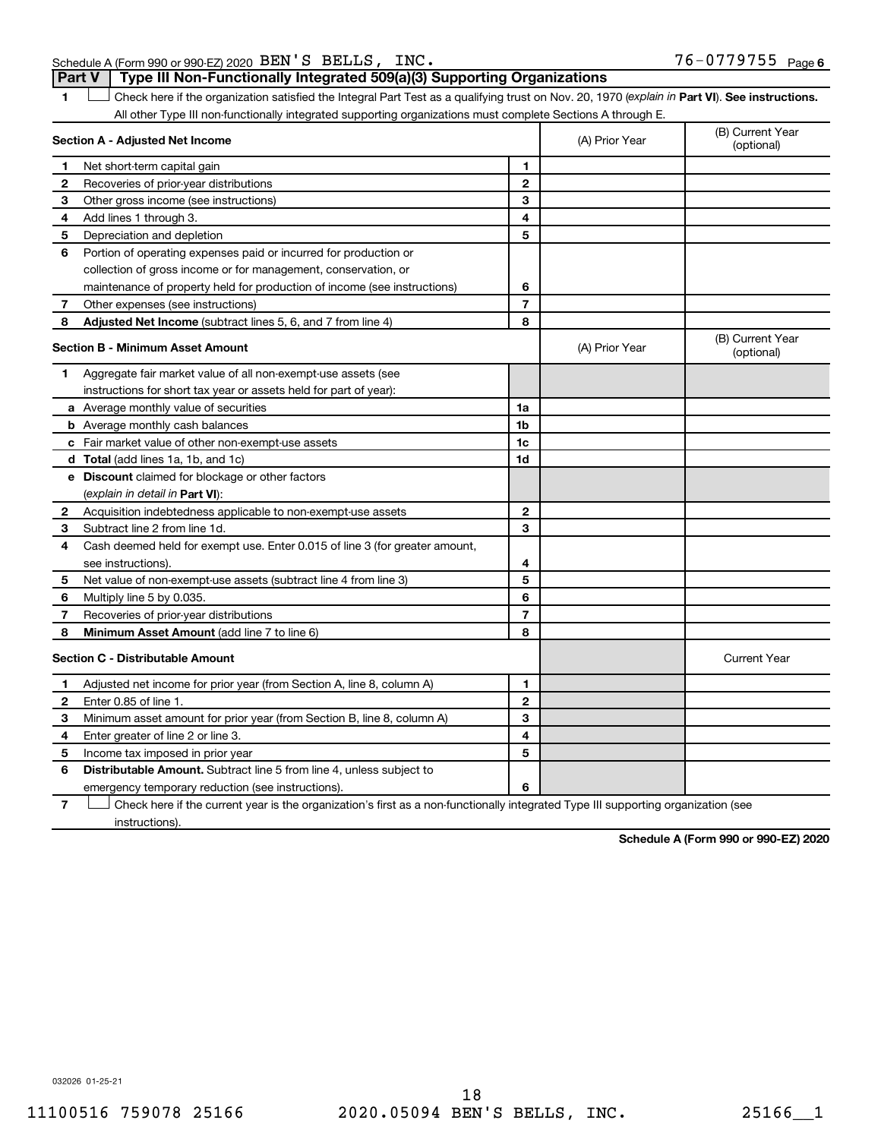| Schedule A (Form 990 or 990-EZ) 2020 $BEN'S$ $BELLS$ , $INC$ .                        | $76 - 0779755$ Page 6 |
|---------------------------------------------------------------------------------------|-----------------------|
| <b>Part V</b> Type III Non-Functionally Integrated 509(a)(3) Supporting Organizations |                       |

1 **Letter See instructions.** Check here if the organization satisfied the Integral Part Test as a qualifying trust on Nov. 20, 1970 (*explain in* Part **VI**). See instructions. All other Type III non-functionally integrated supporting organizations must complete Sections A through E.

|    | Section A - Adjusted Net Income                                                                                                   |                | (A) Prior Year | (B) Current Year<br>(optional) |
|----|-----------------------------------------------------------------------------------------------------------------------------------|----------------|----------------|--------------------------------|
| 1  | Net short-term capital gain                                                                                                       | 1              |                |                                |
| 2  | Recoveries of prior-year distributions                                                                                            | $\mathbf{2}$   |                |                                |
| З  | Other gross income (see instructions)                                                                                             | З              |                |                                |
| 4  | Add lines 1 through 3.                                                                                                            | 4              |                |                                |
| 5  | Depreciation and depletion                                                                                                        | 5              |                |                                |
| 6  | Portion of operating expenses paid or incurred for production or                                                                  |                |                |                                |
|    | collection of gross income or for management, conservation, or                                                                    |                |                |                                |
|    | maintenance of property held for production of income (see instructions)                                                          | 6              |                |                                |
| 7  | Other expenses (see instructions)                                                                                                 | $\overline{7}$ |                |                                |
| 8  | Adjusted Net Income (subtract lines 5, 6, and 7 from line 4)                                                                      | 8              |                |                                |
|    | <b>Section B - Minimum Asset Amount</b>                                                                                           |                | (A) Prior Year | (B) Current Year<br>(optional) |
| 1  | Aggregate fair market value of all non-exempt-use assets (see                                                                     |                |                |                                |
|    | instructions for short tax year or assets held for part of year):                                                                 |                |                |                                |
|    | a Average monthly value of securities                                                                                             | 1a             |                |                                |
|    | <b>b</b> Average monthly cash balances                                                                                            | 1 <sub>b</sub> |                |                                |
|    | c Fair market value of other non-exempt-use assets                                                                                | 1c             |                |                                |
|    | d Total (add lines 1a, 1b, and 1c)                                                                                                | 1d             |                |                                |
|    | e Discount claimed for blockage or other factors                                                                                  |                |                |                                |
|    | (explain in detail in <b>Part VI</b> ):                                                                                           |                |                |                                |
| 2  | Acquisition indebtedness applicable to non-exempt-use assets                                                                      | $\mathbf{2}$   |                |                                |
| 3  | Subtract line 2 from line 1d.                                                                                                     | 3              |                |                                |
| 4  | Cash deemed held for exempt use. Enter 0.015 of line 3 (for greater amount,                                                       |                |                |                                |
|    | see instructions).                                                                                                                | 4              |                |                                |
| 5  | Net value of non-exempt-use assets (subtract line 4 from line 3)                                                                  | 5              |                |                                |
| 6  | Multiply line 5 by 0.035.                                                                                                         | 6              |                |                                |
| 7  | Recoveries of prior-year distributions                                                                                            | $\overline{7}$ |                |                                |
| 8  | Minimum Asset Amount (add line 7 to line 6)                                                                                       | 8              |                |                                |
|    | <b>Section C - Distributable Amount</b>                                                                                           |                |                | <b>Current Year</b>            |
| 1. | Adjusted net income for prior year (from Section A, line 8, column A)                                                             | 1              |                |                                |
| 2  | Enter 0.85 of line 1.                                                                                                             | $\overline{2}$ |                |                                |
| з  | Minimum asset amount for prior year (from Section B, line 8, column A)                                                            | 3              |                |                                |
| 4  | Enter greater of line 2 or line 3.                                                                                                | 4              |                |                                |
| 5  | Income tax imposed in prior year                                                                                                  | 5              |                |                                |
| 6  | <b>Distributable Amount.</b> Subtract line 5 from line 4, unless subject to                                                       |                |                |                                |
|    | emergency temporary reduction (see instructions).                                                                                 | 6              |                |                                |
| 7  | Check here if the current year is the organization's first as a non-functionally integrated Type III supporting organization (see |                |                |                                |

instructions).

**Schedule A (Form 990 or 990-EZ) 2020**

032026 01-25-21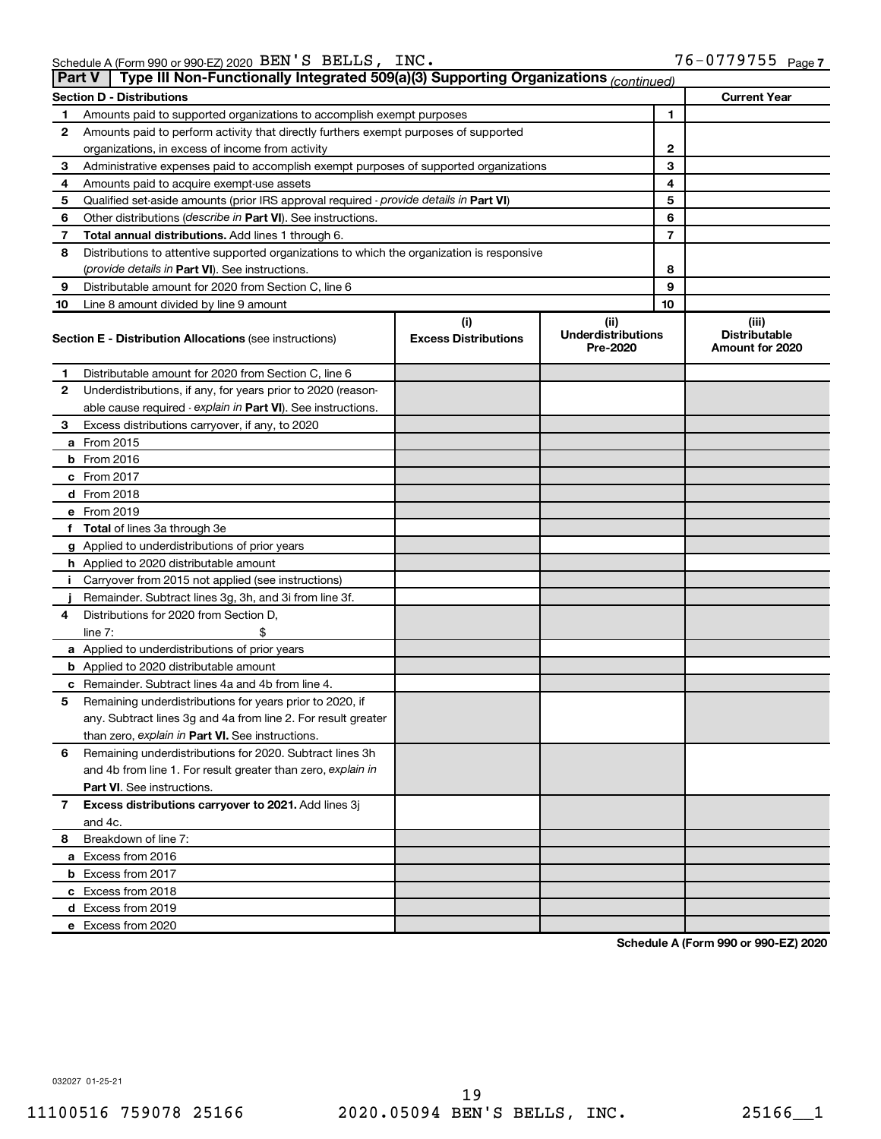|    | Type III Non-Functionally Integrated 509(a)(3) Supporting Organizations (continued)<br>Part V |                                    |                                               |                                                  |  |  |  |  |  |  |
|----|-----------------------------------------------------------------------------------------------|------------------------------------|-----------------------------------------------|--------------------------------------------------|--|--|--|--|--|--|
|    | <b>Section D - Distributions</b>                                                              |                                    |                                               | <b>Current Year</b>                              |  |  |  |  |  |  |
| 1  | Amounts paid to supported organizations to accomplish exempt purposes                         |                                    | 1                                             |                                                  |  |  |  |  |  |  |
| 2  | Amounts paid to perform activity that directly furthers exempt purposes of supported          |                                    |                                               |                                                  |  |  |  |  |  |  |
|    | organizations, in excess of income from activity                                              |                                    | 2                                             |                                                  |  |  |  |  |  |  |
| 3  | Administrative expenses paid to accomplish exempt purposes of supported organizations         |                                    | 3                                             |                                                  |  |  |  |  |  |  |
| 4  | Amounts paid to acquire exempt-use assets                                                     |                                    | 4                                             |                                                  |  |  |  |  |  |  |
| 5  | Qualified set-aside amounts (prior IRS approval required - provide details in Part VI)        | 5                                  |                                               |                                                  |  |  |  |  |  |  |
| 6  | Other distributions ( <i>describe in Part VI</i> ). See instructions.                         |                                    | 6                                             |                                                  |  |  |  |  |  |  |
| 7  | Total annual distributions. Add lines 1 through 6.                                            |                                    | 7                                             |                                                  |  |  |  |  |  |  |
| 8  | Distributions to attentive supported organizations to which the organization is responsive    |                                    |                                               |                                                  |  |  |  |  |  |  |
|    | ( <i>provide details in Part VI</i> ). See instructions.                                      |                                    | 8                                             |                                                  |  |  |  |  |  |  |
| 9  | Distributable amount for 2020 from Section C, line 6                                          |                                    | 9                                             |                                                  |  |  |  |  |  |  |
| 10 | Line 8 amount divided by line 9 amount                                                        |                                    | 10                                            |                                                  |  |  |  |  |  |  |
|    | <b>Section E - Distribution Allocations (see instructions)</b>                                | (i)<br><b>Excess Distributions</b> | (ii)<br><b>Underdistributions</b><br>Pre-2020 | (iii)<br><b>Distributable</b><br>Amount for 2020 |  |  |  |  |  |  |
| 1  | Distributable amount for 2020 from Section C, line 6                                          |                                    |                                               |                                                  |  |  |  |  |  |  |
| 2  | Underdistributions, if any, for years prior to 2020 (reason-                                  |                                    |                                               |                                                  |  |  |  |  |  |  |
|    | able cause required - explain in Part VI). See instructions.                                  |                                    |                                               |                                                  |  |  |  |  |  |  |
| 3  | Excess distributions carryover, if any, to 2020                                               |                                    |                                               |                                                  |  |  |  |  |  |  |
|    | a From 2015                                                                                   |                                    |                                               |                                                  |  |  |  |  |  |  |
|    | $b$ From 2016                                                                                 |                                    |                                               |                                                  |  |  |  |  |  |  |
|    | c From 2017                                                                                   |                                    |                                               |                                                  |  |  |  |  |  |  |
|    | <b>d</b> From 2018                                                                            |                                    |                                               |                                                  |  |  |  |  |  |  |
|    | e From 2019                                                                                   |                                    |                                               |                                                  |  |  |  |  |  |  |
|    | f Total of lines 3a through 3e                                                                |                                    |                                               |                                                  |  |  |  |  |  |  |
|    | g Applied to underdistributions of prior years                                                |                                    |                                               |                                                  |  |  |  |  |  |  |
|    | h Applied to 2020 distributable amount                                                        |                                    |                                               |                                                  |  |  |  |  |  |  |
| Ť. | Carryover from 2015 not applied (see instructions)                                            |                                    |                                               |                                                  |  |  |  |  |  |  |
|    | Remainder. Subtract lines 3g, 3h, and 3i from line 3f.                                        |                                    |                                               |                                                  |  |  |  |  |  |  |
| 4  | Distributions for 2020 from Section D,                                                        |                                    |                                               |                                                  |  |  |  |  |  |  |
|    | line $7:$                                                                                     |                                    |                                               |                                                  |  |  |  |  |  |  |
|    | a Applied to underdistributions of prior years                                                |                                    |                                               |                                                  |  |  |  |  |  |  |
|    | <b>b</b> Applied to 2020 distributable amount                                                 |                                    |                                               |                                                  |  |  |  |  |  |  |
|    | c Remainder. Subtract lines 4a and 4b from line 4.                                            |                                    |                                               |                                                  |  |  |  |  |  |  |
| 5  | Remaining underdistributions for years prior to 2020, if                                      |                                    |                                               |                                                  |  |  |  |  |  |  |
|    | any. Subtract lines 3g and 4a from line 2. For result greater                                 |                                    |                                               |                                                  |  |  |  |  |  |  |
|    | than zero, explain in Part VI. See instructions.                                              |                                    |                                               |                                                  |  |  |  |  |  |  |
| 6  | Remaining underdistributions for 2020. Subtract lines 3h                                      |                                    |                                               |                                                  |  |  |  |  |  |  |
|    | and 4b from line 1. For result greater than zero, explain in                                  |                                    |                                               |                                                  |  |  |  |  |  |  |
|    | <b>Part VI.</b> See instructions.                                                             |                                    |                                               |                                                  |  |  |  |  |  |  |
| 7  | Excess distributions carryover to 2021. Add lines 3j                                          |                                    |                                               |                                                  |  |  |  |  |  |  |
|    | and 4c.                                                                                       |                                    |                                               |                                                  |  |  |  |  |  |  |
| 8  | Breakdown of line 7:                                                                          |                                    |                                               |                                                  |  |  |  |  |  |  |
|    | a Excess from 2016                                                                            |                                    |                                               |                                                  |  |  |  |  |  |  |
|    | <b>b</b> Excess from 2017                                                                     |                                    |                                               |                                                  |  |  |  |  |  |  |
|    | c Excess from 2018                                                                            |                                    |                                               |                                                  |  |  |  |  |  |  |
|    | d Excess from 2019                                                                            |                                    |                                               |                                                  |  |  |  |  |  |  |
|    | e Excess from 2020                                                                            |                                    |                                               |                                                  |  |  |  |  |  |  |

**Schedule A (Form 990 or 990-EZ) 2020**

032027 01-25-21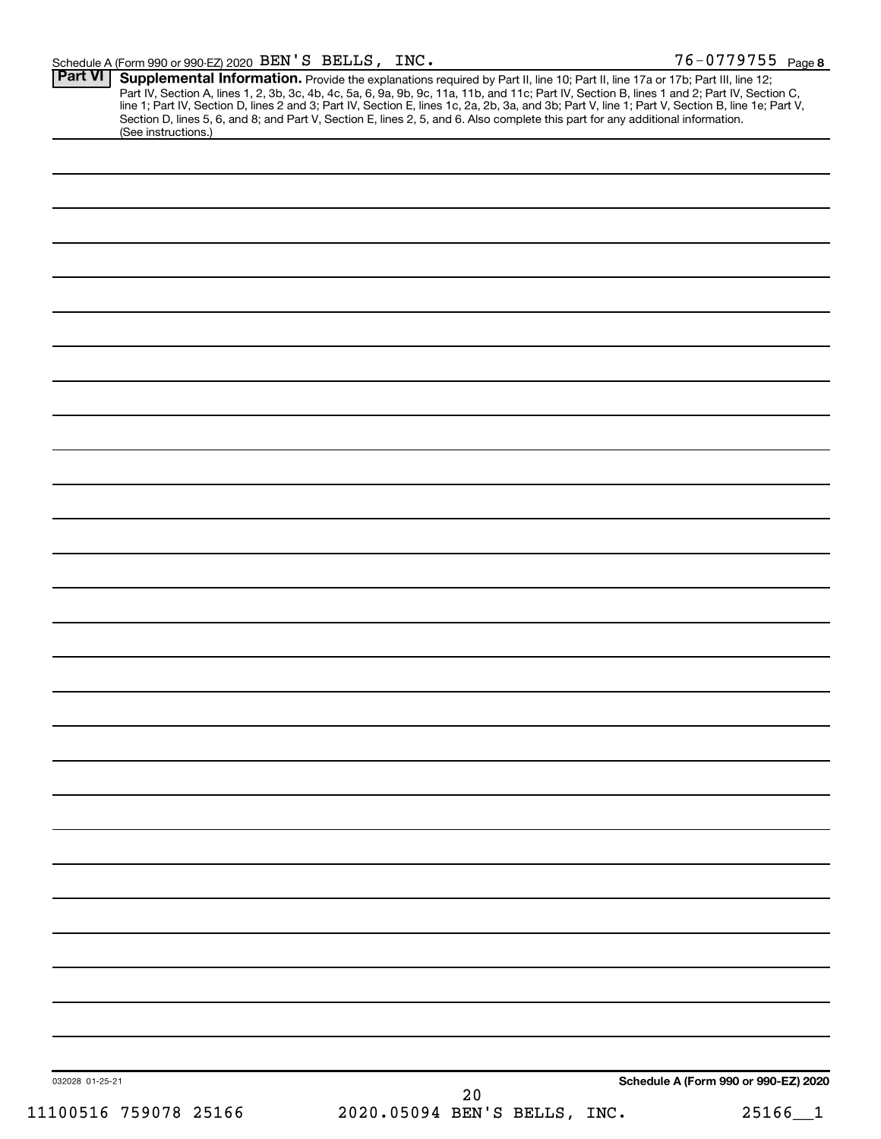|                 | Section D, lines 5, 6, and 8; and Part V, Section E, lines 2, 5, and 6. Also complete this part for any additional information.<br>(See instructions.) |
|-----------------|--------------------------------------------------------------------------------------------------------------------------------------------------------|
|                 |                                                                                                                                                        |
|                 |                                                                                                                                                        |
|                 |                                                                                                                                                        |
|                 |                                                                                                                                                        |
|                 |                                                                                                                                                        |
|                 |                                                                                                                                                        |
|                 |                                                                                                                                                        |
|                 |                                                                                                                                                        |
|                 |                                                                                                                                                        |
|                 |                                                                                                                                                        |
|                 |                                                                                                                                                        |
|                 |                                                                                                                                                        |
|                 |                                                                                                                                                        |
|                 |                                                                                                                                                        |
|                 |                                                                                                                                                        |
|                 |                                                                                                                                                        |
|                 |                                                                                                                                                        |
|                 |                                                                                                                                                        |
|                 |                                                                                                                                                        |
|                 |                                                                                                                                                        |
|                 |                                                                                                                                                        |
|                 |                                                                                                                                                        |
|                 |                                                                                                                                                        |
|                 |                                                                                                                                                        |
|                 |                                                                                                                                                        |
|                 |                                                                                                                                                        |
|                 |                                                                                                                                                        |
|                 |                                                                                                                                                        |
|                 |                                                                                                                                                        |
|                 |                                                                                                                                                        |
|                 |                                                                                                                                                        |
|                 |                                                                                                                                                        |
|                 |                                                                                                                                                        |
|                 |                                                                                                                                                        |
|                 |                                                                                                                                                        |
|                 |                                                                                                                                                        |
|                 |                                                                                                                                                        |
| 032028 01-25-21 | Schedule A (Form 990 or 990-EZ) 2020                                                                                                                   |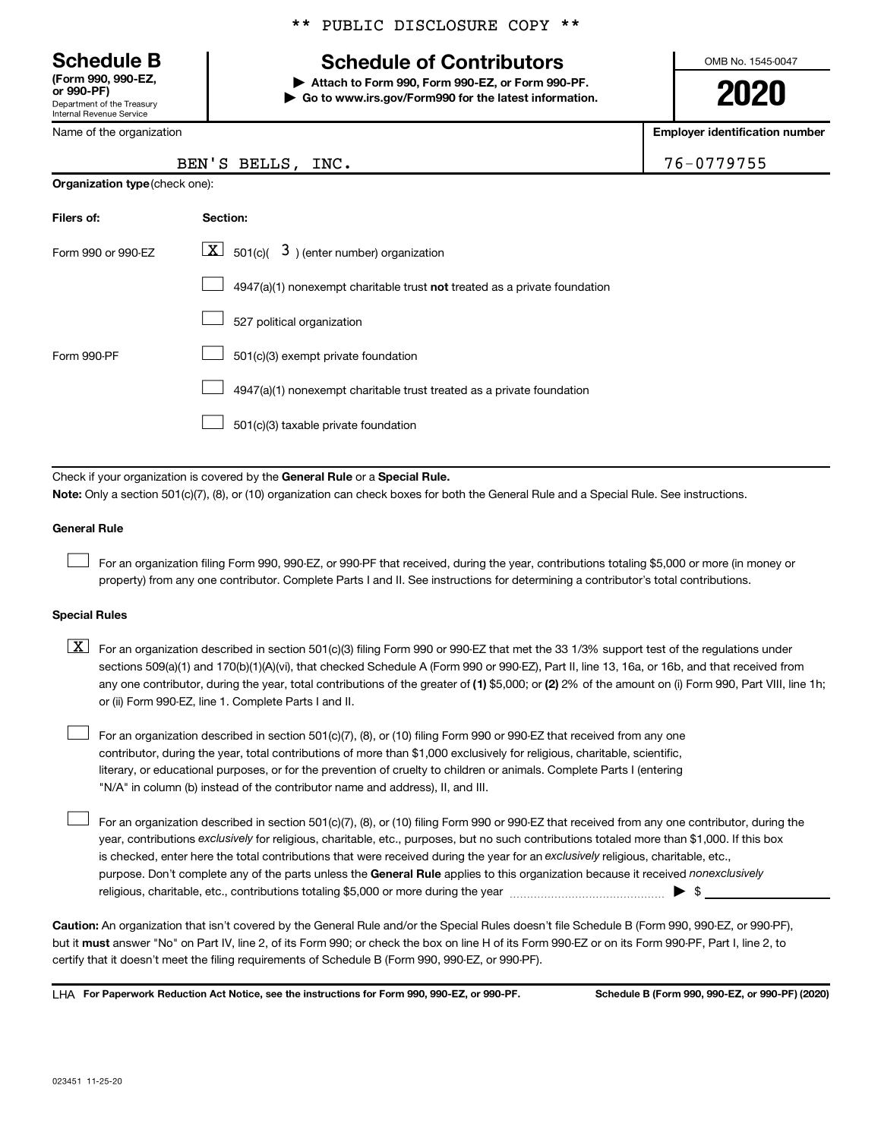Department of the Treasury Internal Revenue Service **(Form 990, 990-EZ,**

Name of the organization

#### \*\* PUBLIC DISCLOSURE COPY \*\*

# **Schedule B Schedule of Contributors**

**or 990-PF) | Attach to Form 990, Form 990-EZ, or Form 990-PF. | Go to www.irs.gov/Form990 for the latest information.** OMB No. 1545-0047

**2020**

**Employer identification number**

| $6 - 0779755$ |  |  |  |  |
|---------------|--|--|--|--|
|               |  |  |  |  |

| BEN'S BELLS, INC. | 76-0779755 |
|-------------------|------------|
|                   |            |

| <b>Organization type (check one):</b> |                                                                           |  |  |  |  |  |  |
|---------------------------------------|---------------------------------------------------------------------------|--|--|--|--|--|--|
| Filers of:                            | Section:                                                                  |  |  |  |  |  |  |
| Form 990 or 990-EZ                    | $ \mathbf{X} $ 501(c)( 3) (enter number) organization                     |  |  |  |  |  |  |
|                                       | 4947(a)(1) nonexempt charitable trust not treated as a private foundation |  |  |  |  |  |  |
|                                       | 527 political organization                                                |  |  |  |  |  |  |
| Form 990-PF                           | 501(c)(3) exempt private foundation                                       |  |  |  |  |  |  |
|                                       | 4947(a)(1) nonexempt charitable trust treated as a private foundation     |  |  |  |  |  |  |
|                                       | 501(c)(3) taxable private foundation                                      |  |  |  |  |  |  |

Check if your organization is covered by the General Rule or a Special Rule.

**Note:**  Only a section 501(c)(7), (8), or (10) organization can check boxes for both the General Rule and a Special Rule. See instructions.

#### **General Rule**

 $\Box$ 

 $\Box$ 

For an organization filing Form 990, 990-EZ, or 990-PF that received, during the year, contributions totaling \$5,000 or more (in money or property) from any one contributor. Complete Parts I and II. See instructions for determining a contributor's total contributions.

#### **Special Rules**

any one contributor, during the year, total contributions of the greater of (1) \$5,000; or (2) 2% of the amount on (i) Form 990, Part VIII, line 1h;  $\boxed{\text{X}}$  For an organization described in section 501(c)(3) filing Form 990 or 990-EZ that met the 33 1/3% support test of the regulations under sections 509(a)(1) and 170(b)(1)(A)(vi), that checked Schedule A (Form 990 or 990-EZ), Part II, line 13, 16a, or 16b, and that received from or (ii) Form 990-EZ, line 1. Complete Parts I and II.

For an organization described in section 501(c)(7), (8), or (10) filing Form 990 or 990-EZ that received from any one contributor, during the year, total contributions of more than \$1,000 exclusively for religious, charitable, scientific, literary, or educational purposes, or for the prevention of cruelty to children or animals. Complete Parts I (entering "N/A" in column (b) instead of the contributor name and address), II, and III.  $\Box$ 

purpose. Don't complete any of the parts unless the General Rule applies to this organization because it received nonexclusively year, contributions exclusively for religious, charitable, etc., purposes, but no such contributions totaled more than \$1,000. If this box is checked, enter here the total contributions that were received during the year for an exclusively religious, charitable, etc., For an organization described in section 501(c)(7), (8), or (10) filing Form 990 or 990-EZ that received from any one contributor, during the religious, charitable, etc., contributions totaling \$5,000 or more during the year  $~\ldots\ldots\ldots\ldots\ldots\ldots\ldots\ldots\blacktriangleright~$ \$

**Caution:**  An organization that isn't covered by the General Rule and/or the Special Rules doesn't file Schedule B (Form 990, 990-EZ, or 990-PF),  **must** but it answer "No" on Part IV, line 2, of its Form 990; or check the box on line H of its Form 990-EZ or on its Form 990-PF, Part I, line 2, to certify that it doesn't meet the filing requirements of Schedule B (Form 990, 990-EZ, or 990-PF).

**For Paperwork Reduction Act Notice, see the instructions for Form 990, 990-EZ, or 990-PF. Schedule B (Form 990, 990-EZ, or 990-PF) (2020)** LHA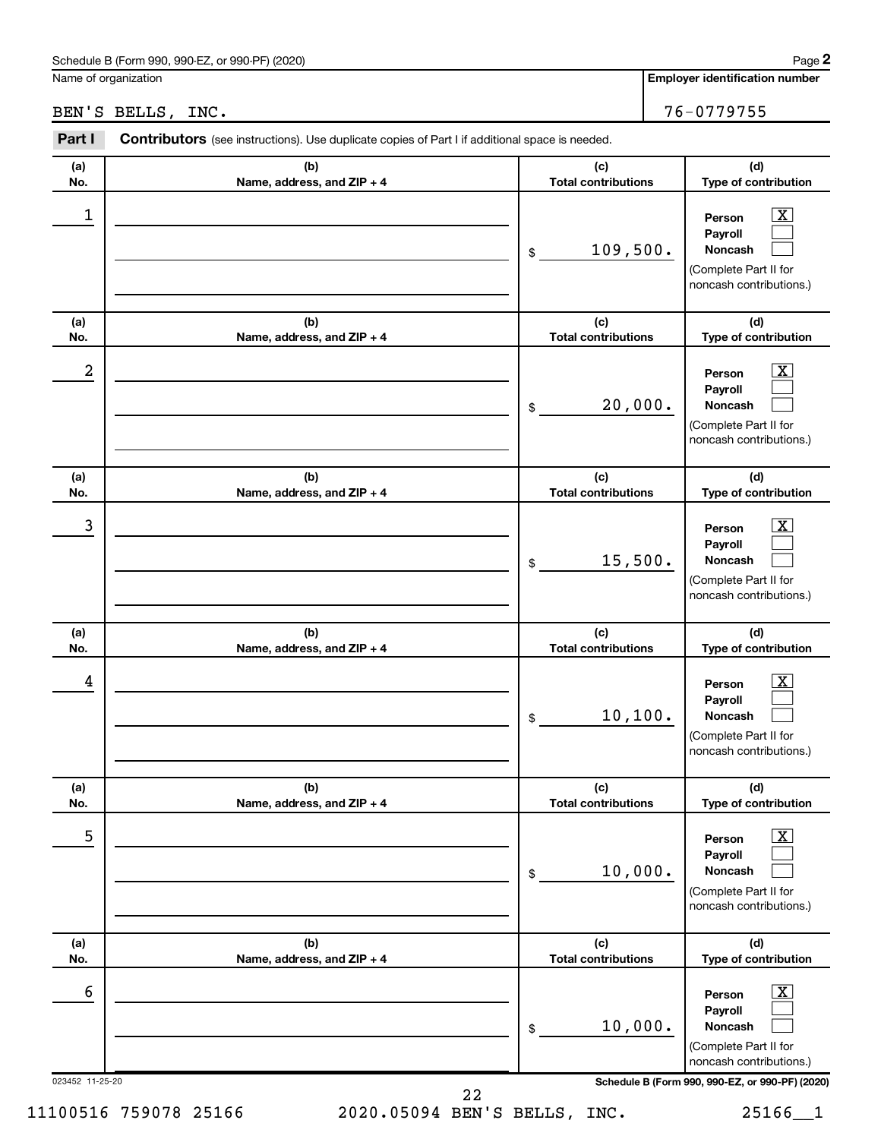#### Schedule B (Form 990, 990-EZ, or 990-PF) (2020)

Name of organization

# BEN'S BELLS, INC. 76-0779755

| Part I     | Contributors (see instructions). Use duplicate copies of Part I if additional space is needed. |                                   |                                                                                                             |
|------------|------------------------------------------------------------------------------------------------|-----------------------------------|-------------------------------------------------------------------------------------------------------------|
| (a)<br>No. | (b)<br>Name, address, and ZIP + 4                                                              | (c)<br><b>Total contributions</b> | (d)<br>Type of contribution                                                                                 |
| 1          |                                                                                                | 109,500.<br>\$                    | $\boxed{\textbf{X}}$<br>Person<br>Payroll<br>Noncash<br>(Complete Part II for<br>noncash contributions.)    |
| (a)<br>No. | (b)<br>Name, address, and ZIP + 4                                                              | (c)<br><b>Total contributions</b> | (d)<br>Type of contribution                                                                                 |
| 2          |                                                                                                | 20,000.<br>\$                     | $\overline{\mathbf{X}}$<br>Person<br>Payroll<br>Noncash<br>(Complete Part II for<br>noncash contributions.) |
| (a)<br>No. | (b)<br>Name, address, and ZIP + 4                                                              | (c)<br><b>Total contributions</b> | (d)<br>Type of contribution                                                                                 |
| 3          |                                                                                                | 15,500.<br>\$                     | $\overline{\mathbf{x}}$<br>Person<br>Payroll<br>Noncash<br>(Complete Part II for<br>noncash contributions.) |
| (a)<br>No. | (b)<br>Name, address, and ZIP + 4                                                              | (c)<br><b>Total contributions</b> | (d)<br>Type of contribution                                                                                 |
| 4          |                                                                                                | 10, 100.<br>\$                    | $\overline{\mathbf{X}}$<br>Person<br>Payroll<br>Noncash<br>(Complete Part II for<br>noncash contributions.) |
| (a)<br>No. | (b)<br>Name, address, and ZIP + 4                                                              | (c)<br><b>Total contributions</b> | (d)<br>Type of contribution                                                                                 |
| 5          |                                                                                                | 10,000.<br>$\$$                   | $\boxed{\text{X}}$<br>Person<br>Payroll<br>Noncash<br>(Complete Part II for<br>noncash contributions.)      |
| (a)<br>No. | (b)<br>Name, address, and ZIP + 4                                                              | (c)<br><b>Total contributions</b> | (d)<br>Type of contribution                                                                                 |
| 6          |                                                                                                | 10,000.<br>$\$$                   | $\boxed{\text{X}}$<br>Person<br>Payroll<br>Noncash<br>(Complete Part II for<br>noncash contributions.)      |

023452 11-25-20 **Schedule B (Form 990, 990-EZ, or 990-PF) (2020)**

11100516 759078 25166 2020.05094 BEN'S BELLS, INC. 25166\_\_1 22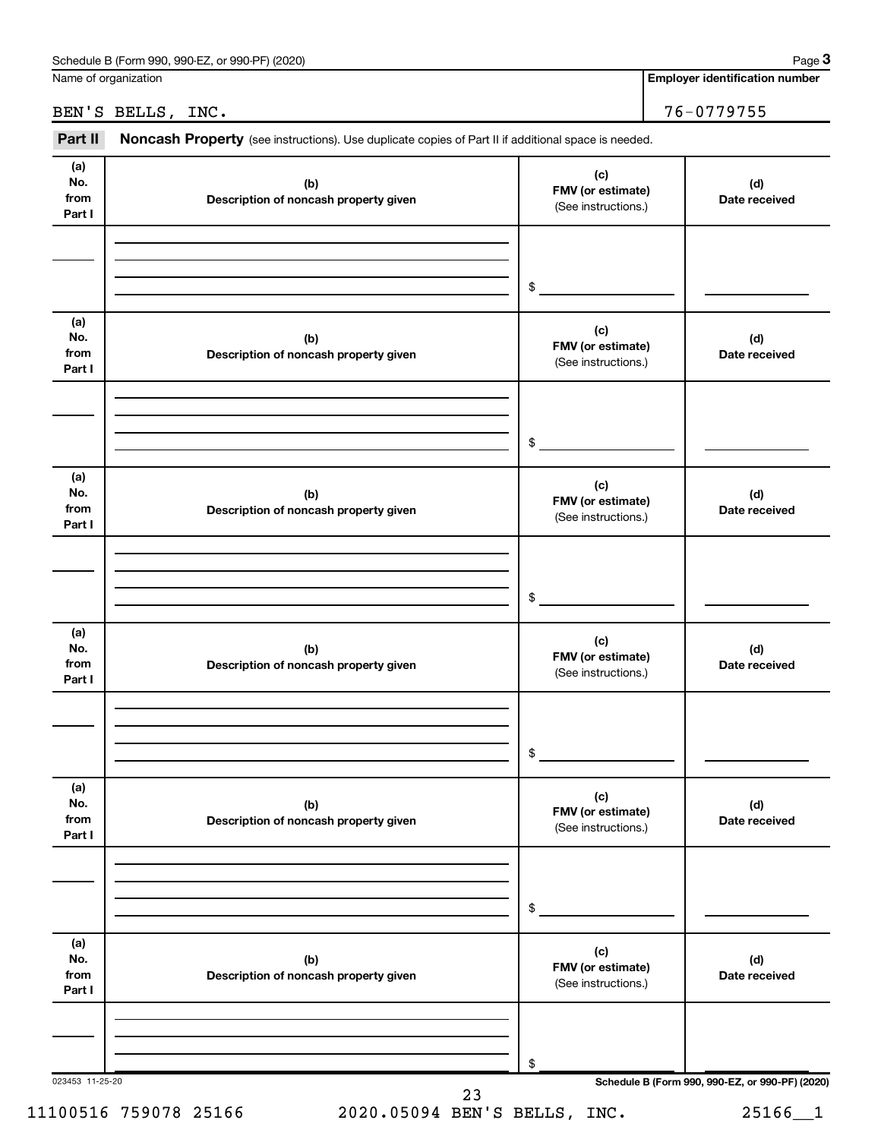| Schedule B (Form 990.<br>. or 990-PF) (2020)<br>990-EZ.<br>Paɑe |
|-----------------------------------------------------------------|
|-----------------------------------------------------------------|

Name of organization

**Employer identification number**

BEN'S BELLS, INC. 76-0779755

| (a)<br>No.<br>from<br>Part I<br>(a)<br>No.<br>from<br>Part I<br>(a)<br>No.<br>from<br>Part I | (b)<br>Description of noncash property given<br>(b)<br>Description of noncash property given | \$<br>(c)<br>FMV (or estimate)<br>(See instructions.)<br>\$<br>(c)<br>FMV (or estimate)<br>(See instructions.)<br>\$ | (d)<br>Date received<br>(d)<br>Date received |
|----------------------------------------------------------------------------------------------|----------------------------------------------------------------------------------------------|----------------------------------------------------------------------------------------------------------------------|----------------------------------------------|
|                                                                                              |                                                                                              |                                                                                                                      |                                              |
|                                                                                              |                                                                                              |                                                                                                                      |                                              |
|                                                                                              |                                                                                              |                                                                                                                      |                                              |
|                                                                                              |                                                                                              |                                                                                                                      |                                              |
|                                                                                              |                                                                                              |                                                                                                                      |                                              |
|                                                                                              | (b)<br>Description of noncash property given                                                 | (c)<br>FMV (or estimate)<br>(See instructions.)                                                                      | (d)<br>Date received                         |
|                                                                                              |                                                                                              | \$                                                                                                                   |                                              |
| (a)<br>No.<br>from<br>Part I                                                                 | (b)<br>Description of noncash property given                                                 | (c)<br>FMV (or estimate)<br>(See instructions.)                                                                      | (d)<br>Date received                         |
|                                                                                              |                                                                                              | \$                                                                                                                   |                                              |
| (a)<br>No.<br>from<br>Part I                                                                 | (b)<br>Description of noncash property given                                                 | (c)<br>FMV (or estimate)<br>(See instructions.)                                                                      | (d)<br>Date received                         |
|                                                                                              |                                                                                              | \$                                                                                                                   |                                              |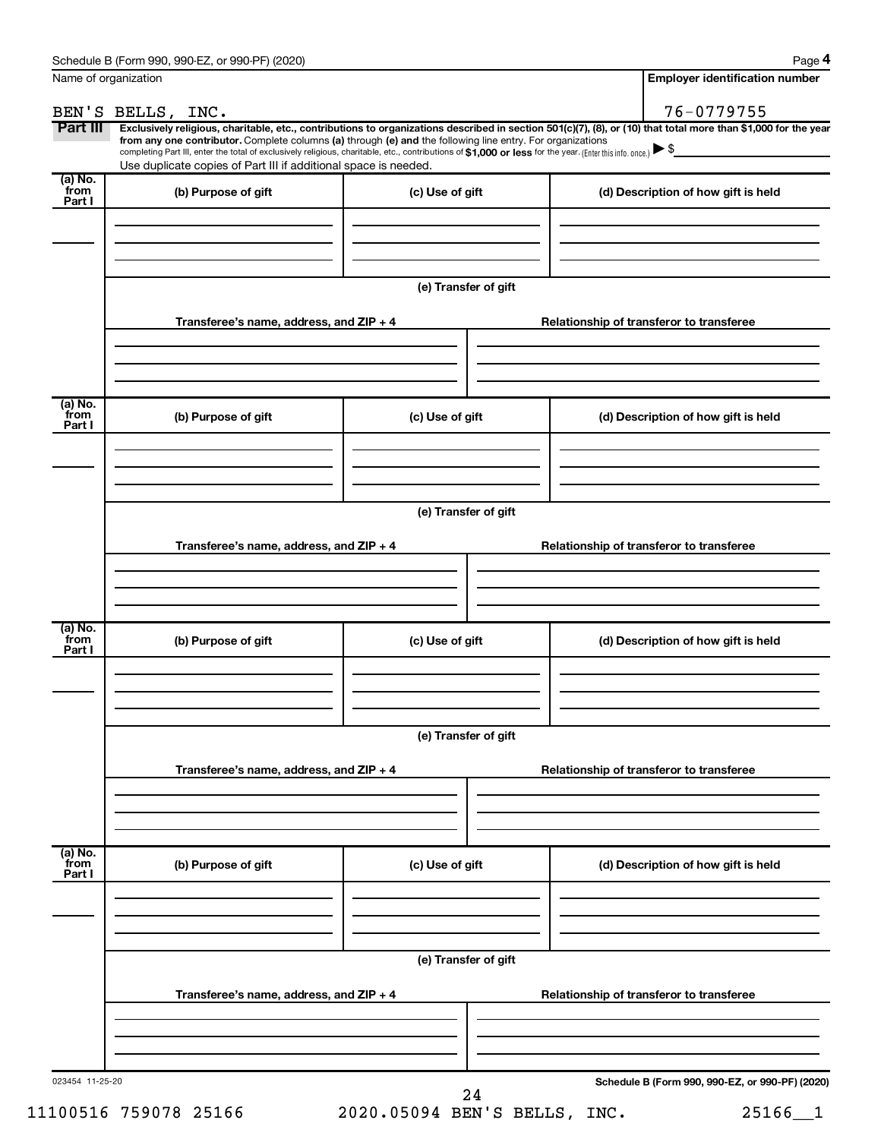| Name of organization                   |                                                                                                                                                                                                                                                                                                                                           |                      | <b>Employer identification number</b>                                                                                                                          |
|----------------------------------------|-------------------------------------------------------------------------------------------------------------------------------------------------------------------------------------------------------------------------------------------------------------------------------------------------------------------------------------------|----------------------|----------------------------------------------------------------------------------------------------------------------------------------------------------------|
|                                        | BEN'S BELLS, INC.                                                                                                                                                                                                                                                                                                                         |                      | 76-0779755                                                                                                                                                     |
| Part III                               | from any one contributor. Complete columns (a) through (e) and the following line entry. For organizations<br>completing Part III, enter the total of exclusively religious, charitable, etc., contributions of \$1,000 or less for the year. (Enter this info. once.)<br>Use duplicate copies of Part III if additional space is needed. |                      | Exclusively religious, charitable, etc., contributions to organizations described in section 501(c)(7), (8), or (10) that total more than \$1,000 for the year |
| $(a)$ No.<br>from<br>Part I            | (b) Purpose of gift                                                                                                                                                                                                                                                                                                                       | (c) Use of gift      | (d) Description of how gift is held                                                                                                                            |
|                                        |                                                                                                                                                                                                                                                                                                                                           |                      |                                                                                                                                                                |
|                                        |                                                                                                                                                                                                                                                                                                                                           | (e) Transfer of gift |                                                                                                                                                                |
|                                        | Transferee's name, address, and $ZIP + 4$                                                                                                                                                                                                                                                                                                 |                      | Relationship of transferor to transferee                                                                                                                       |
|                                        |                                                                                                                                                                                                                                                                                                                                           |                      |                                                                                                                                                                |
| (a) No.<br>from<br>Part I              | (b) Purpose of gift                                                                                                                                                                                                                                                                                                                       | (c) Use of gift      | (d) Description of how gift is held                                                                                                                            |
|                                        |                                                                                                                                                                                                                                                                                                                                           |                      |                                                                                                                                                                |
|                                        |                                                                                                                                                                                                                                                                                                                                           | (e) Transfer of gift |                                                                                                                                                                |
|                                        | Transferee's name, address, and $ZIP + 4$                                                                                                                                                                                                                                                                                                 |                      | Relationship of transferor to transferee                                                                                                                       |
|                                        |                                                                                                                                                                                                                                                                                                                                           |                      |                                                                                                                                                                |
| $\overline{a}$ ) No.<br>from<br>Part I | (b) Purpose of gift                                                                                                                                                                                                                                                                                                                       | (c) Use of gift      | (d) Description of how gift is held                                                                                                                            |
|                                        |                                                                                                                                                                                                                                                                                                                                           |                      |                                                                                                                                                                |
|                                        |                                                                                                                                                                                                                                                                                                                                           | (e) Transfer of gift |                                                                                                                                                                |
|                                        | Transferee's name, address, and ZIP + 4                                                                                                                                                                                                                                                                                                   |                      | Relationship of transferor to transferee                                                                                                                       |
|                                        |                                                                                                                                                                                                                                                                                                                                           |                      |                                                                                                                                                                |
| (a) No.<br>from<br>Part I              | (b) Purpose of gift                                                                                                                                                                                                                                                                                                                       | (c) Use of gift      | (d) Description of how gift is held                                                                                                                            |
|                                        |                                                                                                                                                                                                                                                                                                                                           |                      |                                                                                                                                                                |
|                                        |                                                                                                                                                                                                                                                                                                                                           | (e) Transfer of gift |                                                                                                                                                                |
|                                        | Transferee's name, address, and ZIP + 4                                                                                                                                                                                                                                                                                                   |                      | Relationship of transferor to transferee                                                                                                                       |
|                                        |                                                                                                                                                                                                                                                                                                                                           |                      |                                                                                                                                                                |
| 023454 11-25-20                        |                                                                                                                                                                                                                                                                                                                                           | 24                   | Schedule B (Form 990, 990-EZ, or 990-PF) (2020)                                                                                                                |

11100516 759078 25166 2020.05094 BEN'S BELLS, INC. 25166\_\_1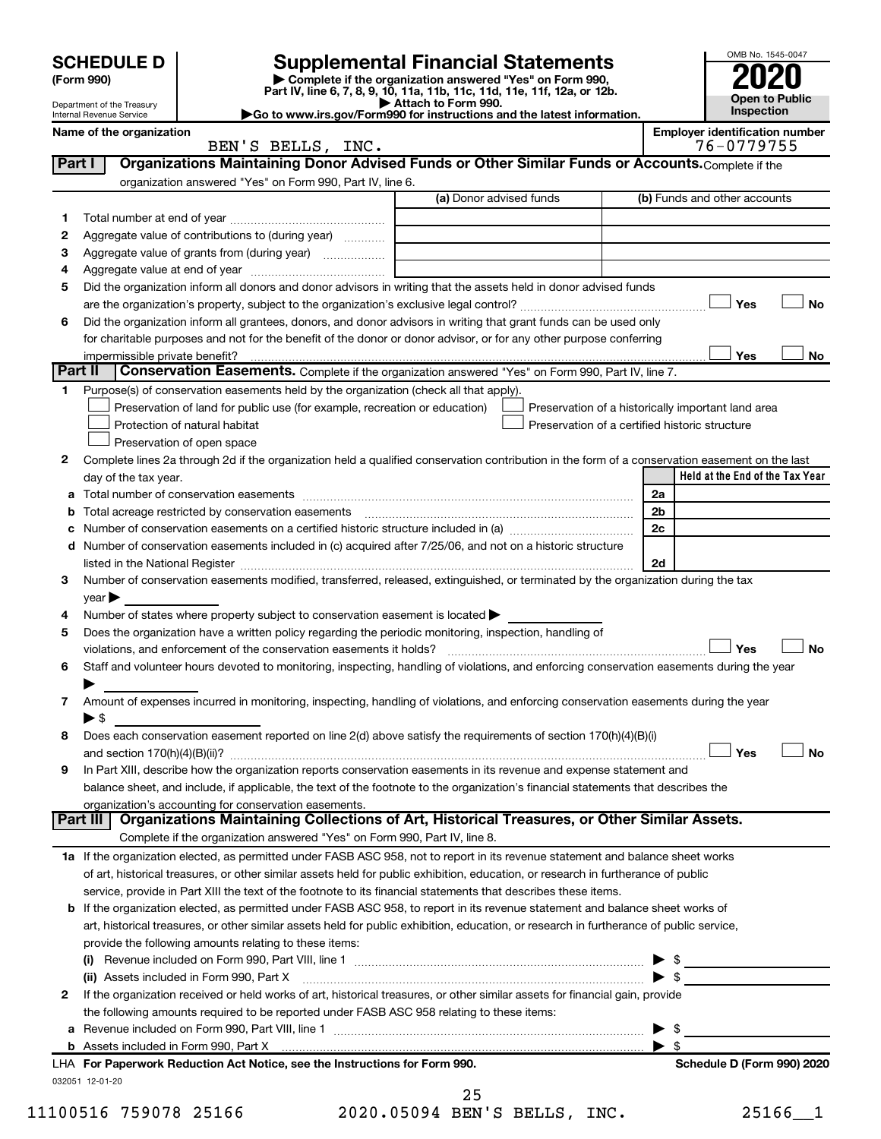|         | <b>SCHEDULE D</b>                                      |                                                                                                        | <b>Supplemental Financial Statements</b>                                                                                                                                                                                       |                          | OMB No. 1545-0047                                  |
|---------|--------------------------------------------------------|--------------------------------------------------------------------------------------------------------|--------------------------------------------------------------------------------------------------------------------------------------------------------------------------------------------------------------------------------|--------------------------|----------------------------------------------------|
|         | (Form 990)                                             |                                                                                                        | Complete if the organization answered "Yes" on Form 990,<br>Part IV, line 6, 7, 8, 9, 10, 11a, 11b, 11c, 11d, 11e, 11f, 12a, or 12b.                                                                                           |                          |                                                    |
|         | Department of the Treasury<br>Internal Revenue Service |                                                                                                        | Attach to Form 990.<br>Go to www.irs.gov/Form990 for instructions and the latest information.                                                                                                                                  |                          | <b>Open to Public</b><br><b>Inspection</b>         |
|         | Name of the organization                               |                                                                                                        |                                                                                                                                                                                                                                |                          | <b>Employer identification number</b>              |
|         |                                                        | BEN'S BELLS, INC.                                                                                      |                                                                                                                                                                                                                                |                          | 76-0779755                                         |
| Part I  |                                                        |                                                                                                        | Organizations Maintaining Donor Advised Funds or Other Similar Funds or Accounts. Complete if the                                                                                                                              |                          |                                                    |
|         |                                                        | organization answered "Yes" on Form 990, Part IV, line 6.                                              |                                                                                                                                                                                                                                |                          |                                                    |
|         |                                                        |                                                                                                        | (a) Donor advised funds                                                                                                                                                                                                        |                          | (b) Funds and other accounts                       |
| 1       |                                                        |                                                                                                        |                                                                                                                                                                                                                                |                          |                                                    |
| 2       | Aggregate value of contributions to (during year)      |                                                                                                        |                                                                                                                                                                                                                                |                          |                                                    |
| 3       |                                                        |                                                                                                        |                                                                                                                                                                                                                                |                          |                                                    |
| 4       |                                                        |                                                                                                        |                                                                                                                                                                                                                                |                          |                                                    |
| 5       |                                                        |                                                                                                        | Did the organization inform all donors and donor advisors in writing that the assets held in donor advised funds                                                                                                               |                          |                                                    |
| 6       |                                                        |                                                                                                        | Did the organization inform all grantees, donors, and donor advisors in writing that grant funds can be used only                                                                                                              |                          | Yes<br>No                                          |
|         |                                                        |                                                                                                        | for charitable purposes and not for the benefit of the donor or donor advisor, or for any other purpose conferring                                                                                                             |                          |                                                    |
|         | impermissible private benefit?                         |                                                                                                        |                                                                                                                                                                                                                                |                          | Yes<br>No                                          |
| Part II |                                                        |                                                                                                        | <b>Conservation Easements.</b> Complete if the organization answered "Yes" on Form 990, Part IV, line 7.                                                                                                                       |                          |                                                    |
| 1.      |                                                        | Purpose(s) of conservation easements held by the organization (check all that apply).                  |                                                                                                                                                                                                                                |                          |                                                    |
|         |                                                        | Preservation of land for public use (for example, recreation or education)                             |                                                                                                                                                                                                                                |                          | Preservation of a historically important land area |
|         |                                                        | Protection of natural habitat                                                                          | Preservation of a certified historic structure                                                                                                                                                                                 |                          |                                                    |
|         |                                                        | Preservation of open space                                                                             |                                                                                                                                                                                                                                |                          |                                                    |
| 2       |                                                        |                                                                                                        | Complete lines 2a through 2d if the organization held a qualified conservation contribution in the form of a conservation easement on the last                                                                                 |                          |                                                    |
|         | day of the tax year.                                   |                                                                                                        |                                                                                                                                                                                                                                |                          | Held at the End of the Tax Year                    |
|         |                                                        |                                                                                                        |                                                                                                                                                                                                                                | 2a                       |                                                    |
|         |                                                        | Total acreage restricted by conservation easements                                                     |                                                                                                                                                                                                                                | 2b                       |                                                    |
|         |                                                        |                                                                                                        |                                                                                                                                                                                                                                | 2c                       |                                                    |
| d       |                                                        |                                                                                                        | Number of conservation easements included in (c) acquired after 7/25/06, and not on a historic structure                                                                                                                       |                          |                                                    |
|         |                                                        |                                                                                                        | listed in the National Register [111] in the National Register [11] in the National Register [11] in the National Register [11] in the National Register [11] in the National Register [11] in the National Register [11] in t | 2d                       |                                                    |
| 3       |                                                        |                                                                                                        | Number of conservation easements modified, transferred, released, extinguished, or terminated by the organization during the tax                                                                                               |                          |                                                    |
|         | $\vee$ ear $\blacktriangleright$                       |                                                                                                        |                                                                                                                                                                                                                                |                          |                                                    |
| 4       |                                                        | Number of states where property subject to conservation easement is located >                          |                                                                                                                                                                                                                                |                          |                                                    |
| 5       |                                                        | Does the organization have a written policy regarding the periodic monitoring, inspection, handling of |                                                                                                                                                                                                                                |                          |                                                    |
|         |                                                        | violations, and enforcement of the conservation easements it holds?                                    |                                                                                                                                                                                                                                |                          | Yes<br>No                                          |
| 6       |                                                        |                                                                                                        | Staff and volunteer hours devoted to monitoring, inspecting, handling of violations, and enforcing conservation easements during the year                                                                                      |                          |                                                    |
|         |                                                        |                                                                                                        |                                                                                                                                                                                                                                |                          |                                                    |
| 7       |                                                        |                                                                                                        | Amount of expenses incurred in monitoring, inspecting, handling of violations, and enforcing conservation easements during the year                                                                                            |                          |                                                    |
|         | ▶ \$                                                   |                                                                                                        |                                                                                                                                                                                                                                |                          |                                                    |
| 8       |                                                        |                                                                                                        | Does each conservation easement reported on line 2(d) above satisfy the requirements of section 170(h)(4)(B)(i)                                                                                                                |                          |                                                    |
|         |                                                        |                                                                                                        |                                                                                                                                                                                                                                |                          | Yes<br>No                                          |
| 9       |                                                        |                                                                                                        | In Part XIII, describe how the organization reports conservation easements in its revenue and expense statement and                                                                                                            |                          |                                                    |
|         |                                                        |                                                                                                        | balance sheet, and include, if applicable, the text of the footnote to the organization's financial statements that describes the                                                                                              |                          |                                                    |
|         | Part III                                               | organization's accounting for conservation easements.                                                  | Organizations Maintaining Collections of Art, Historical Treasures, or Other Similar Assets.                                                                                                                                   |                          |                                                    |
|         |                                                        | Complete if the organization answered "Yes" on Form 990, Part IV, line 8.                              |                                                                                                                                                                                                                                |                          |                                                    |
|         |                                                        |                                                                                                        | 1a If the organization elected, as permitted under FASB ASC 958, not to report in its revenue statement and balance sheet works                                                                                                |                          |                                                    |
|         |                                                        |                                                                                                        | of art, historical treasures, or other similar assets held for public exhibition, education, or research in furtherance of public                                                                                              |                          |                                                    |
|         |                                                        |                                                                                                        | service, provide in Part XIII the text of the footnote to its financial statements that describes these items.                                                                                                                 |                          |                                                    |
|         |                                                        |                                                                                                        | <b>b</b> If the organization elected, as permitted under FASB ASC 958, to report in its revenue statement and balance sheet works of                                                                                           |                          |                                                    |
|         |                                                        |                                                                                                        | art, historical treasures, or other similar assets held for public exhibition, education, or research in furtherance of public service,                                                                                        |                          |                                                    |
|         |                                                        | provide the following amounts relating to these items:                                                 |                                                                                                                                                                                                                                |                          |                                                    |
|         |                                                        |                                                                                                        |                                                                                                                                                                                                                                |                          |                                                    |
|         |                                                        | (ii) Assets included in Form 990, Part X                                                               |                                                                                                                                                                                                                                | $\blacktriangleright$ \$ |                                                    |
| 2       |                                                        |                                                                                                        | If the organization received or held works of art, historical treasures, or other similar assets for financial gain, provide                                                                                                   |                          |                                                    |
|         |                                                        | the following amounts required to be reported under FASB ASC 958 relating to these items:              |                                                                                                                                                                                                                                |                          |                                                    |
| а       |                                                        |                                                                                                        |                                                                                                                                                                                                                                |                          | \$                                                 |
|         |                                                        |                                                                                                        | b Assets included in Form 990, Part X [11] matter is a substitute that is a set of the state of the state of the state of the state of the state of the state of the state of the state of the state of the state of the state |                          | - \$                                               |
|         |                                                        | LHA For Paperwork Reduction Act Notice, see the Instructions for Form 990.                             |                                                                                                                                                                                                                                |                          | Schedule D (Form 990) 2020                         |
|         | 032051 12-01-20                                        |                                                                                                        |                                                                                                                                                                                                                                |                          |                                                    |

|  |  |  |  |  | 11100516 759078 25166 |  |  |
|--|--|--|--|--|-----------------------|--|--|
|  |  |  |  |  |                       |  |  |

11100516 759078 25166 2020.05094 BEN'S BELLS, INC. 25166\_\_1 25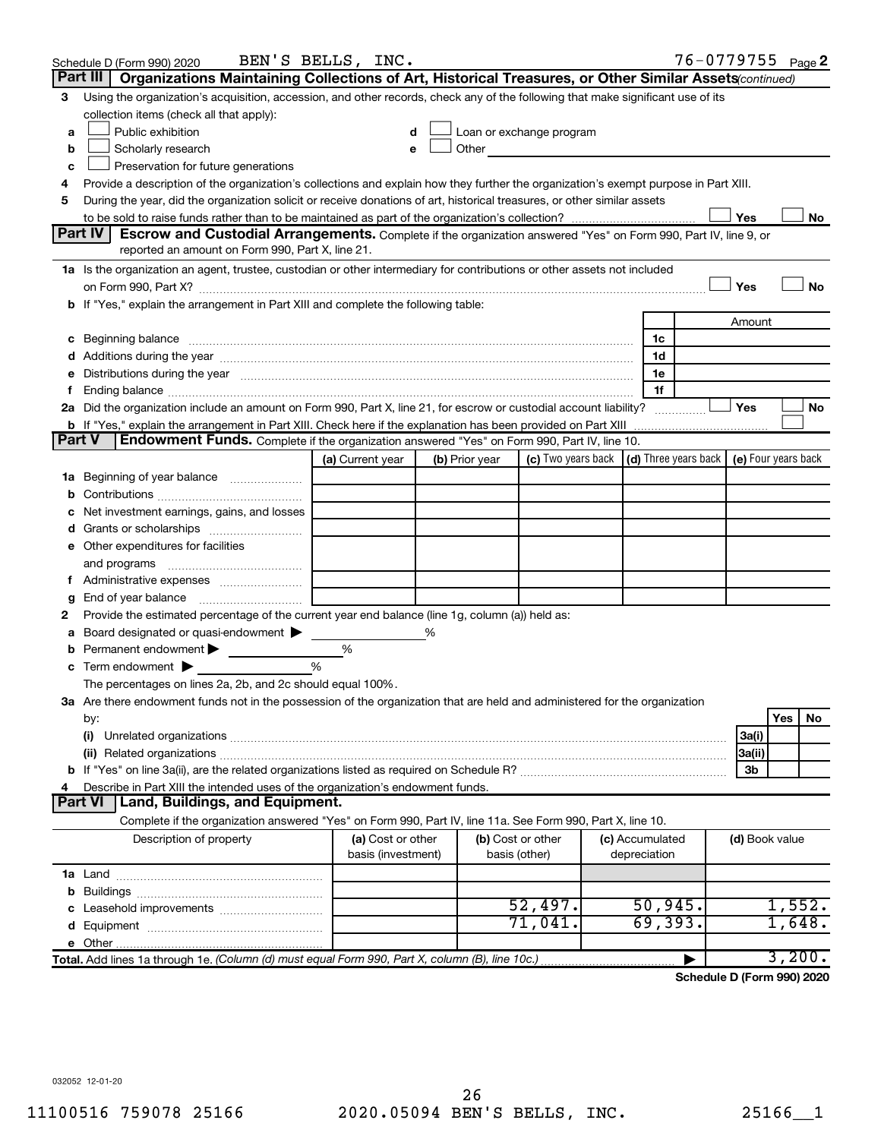|               | Schedule D (Form 990) 2020                                                                                                                                                                                                          | BEN'S BELLS, INC.                       |                |                                    |                                                                                                               |                                                                             | 76-0779755 <sub>Page</sub> 2 |           |
|---------------|-------------------------------------------------------------------------------------------------------------------------------------------------------------------------------------------------------------------------------------|-----------------------------------------|----------------|------------------------------------|---------------------------------------------------------------------------------------------------------------|-----------------------------------------------------------------------------|------------------------------|-----------|
|               | Part III  <br>Organizations Maintaining Collections of Art, Historical Treasures, or Other Similar Assets (continued)                                                                                                               |                                         |                |                                    |                                                                                                               |                                                                             |                              |           |
| 3             | Using the organization's acquisition, accession, and other records, check any of the following that make significant use of its                                                                                                     |                                         |                |                                    |                                                                                                               |                                                                             |                              |           |
|               | collection items (check all that apply):                                                                                                                                                                                            |                                         |                |                                    |                                                                                                               |                                                                             |                              |           |
| a             | Public exhibition                                                                                                                                                                                                                   |                                         |                |                                    | Loan or exchange program                                                                                      |                                                                             |                              |           |
| b             | Scholarly research                                                                                                                                                                                                                  |                                         |                |                                    | Other and the contract of the contract of the contract of the contract of the contract of the contract of the |                                                                             |                              |           |
| с             | Preservation for future generations                                                                                                                                                                                                 |                                         |                |                                    |                                                                                                               |                                                                             |                              |           |
| 4             | Provide a description of the organization's collections and explain how they further the organization's exempt purpose in Part XIII.                                                                                                |                                         |                |                                    |                                                                                                               |                                                                             |                              |           |
| 5             | During the year, did the organization solicit or receive donations of art, historical treasures, or other similar assets                                                                                                            |                                         |                |                                    |                                                                                                               |                                                                             |                              |           |
|               |                                                                                                                                                                                                                                     |                                         |                |                                    |                                                                                                               |                                                                             | Yes                          | No        |
|               | Part IV<br><b>Escrow and Custodial Arrangements.</b> Complete if the organization answered "Yes" on Form 990, Part IV, line 9, or<br>reported an amount on Form 990, Part X, line 21.                                               |                                         |                |                                    |                                                                                                               |                                                                             |                              |           |
|               |                                                                                                                                                                                                                                     |                                         |                |                                    |                                                                                                               |                                                                             |                              |           |
|               | 1a Is the organization an agent, trustee, custodian or other intermediary for contributions or other assets not included                                                                                                            |                                         |                |                                    |                                                                                                               |                                                                             | Yes                          | No        |
|               | b If "Yes," explain the arrangement in Part XIII and complete the following table:                                                                                                                                                  |                                         |                |                                    |                                                                                                               |                                                                             |                              |           |
|               |                                                                                                                                                                                                                                     |                                         |                |                                    |                                                                                                               |                                                                             | Amount                       |           |
|               | c Beginning balance <b>communications</b> and a construction of the construction of the construction of the construction of the construction of the construction of the construction of the construction of the construction of the |                                         |                |                                    |                                                                                                               | 1c                                                                          |                              |           |
|               |                                                                                                                                                                                                                                     |                                         |                |                                    |                                                                                                               | 1d                                                                          |                              |           |
|               | e Distributions during the year manufactured and continuum and contained and contained and contained and contained and contained and contained and contained and contained and contained and contained and contained and conta      |                                         |                |                                    |                                                                                                               | 1e                                                                          |                              |           |
|               |                                                                                                                                                                                                                                     |                                         |                |                                    |                                                                                                               | 1f                                                                          |                              |           |
|               | 2a Did the organization include an amount on Form 990, Part X, line 21, for escrow or custodial account liability?                                                                                                                  |                                         |                |                                    |                                                                                                               |                                                                             | Yes                          | No        |
|               |                                                                                                                                                                                                                                     |                                         |                |                                    |                                                                                                               |                                                                             |                              |           |
| <b>Part V</b> | <b>Endowment Funds.</b> Complete if the organization answered "Yes" on Form 990, Part IV, line 10.                                                                                                                                  |                                         |                |                                    |                                                                                                               |                                                                             |                              |           |
|               |                                                                                                                                                                                                                                     | (a) Current year                        | (b) Prior year |                                    |                                                                                                               | (c) Two years back $\vert$ (d) Three years back $\vert$ (e) Four years back |                              |           |
|               | 1a Beginning of year balance                                                                                                                                                                                                        |                                         |                |                                    |                                                                                                               |                                                                             |                              |           |
| b             |                                                                                                                                                                                                                                     |                                         |                |                                    |                                                                                                               |                                                                             |                              |           |
|               | Net investment earnings, gains, and losses                                                                                                                                                                                          |                                         |                |                                    |                                                                                                               |                                                                             |                              |           |
|               | Grants or scholarships                                                                                                                                                                                                              |                                         |                |                                    |                                                                                                               |                                                                             |                              |           |
|               | e Other expenditures for facilities                                                                                                                                                                                                 |                                         |                |                                    |                                                                                                               |                                                                             |                              |           |
|               | and programs                                                                                                                                                                                                                        |                                         |                |                                    |                                                                                                               |                                                                             |                              |           |
|               |                                                                                                                                                                                                                                     |                                         |                |                                    |                                                                                                               |                                                                             |                              |           |
| g             |                                                                                                                                                                                                                                     |                                         |                |                                    |                                                                                                               |                                                                             |                              |           |
| 2             | Provide the estimated percentage of the current year end balance (line 1g, column (a)) held as:                                                                                                                                     |                                         |                |                                    |                                                                                                               |                                                                             |                              |           |
| а             | Board designated or quasi-endowment                                                                                                                                                                                                 |                                         | %              |                                    |                                                                                                               |                                                                             |                              |           |
| b             | Permanent endowment                                                                                                                                                                                                                 | %<br>%                                  |                |                                    |                                                                                                               |                                                                             |                              |           |
|               | $\mathbf c$ Term endowment $\blacktriangleright$<br>The percentages on lines 2a, 2b, and 2c should equal 100%.                                                                                                                      |                                         |                |                                    |                                                                                                               |                                                                             |                              |           |
|               | 3a Are there endowment funds not in the possession of the organization that are held and administered for the organization                                                                                                          |                                         |                |                                    |                                                                                                               |                                                                             |                              |           |
|               | by:                                                                                                                                                                                                                                 |                                         |                |                                    |                                                                                                               |                                                                             |                              | Yes<br>No |
|               | (i)                                                                                                                                                                                                                                 |                                         |                |                                    |                                                                                                               |                                                                             | 3a(i)                        |           |
|               | (ii) Related organizations [11] Related organizations [11] Maximum material contract to the contract of the contract of the contract of the contract of the contract of the contract of the contract of the contract of the co      |                                         |                |                                    |                                                                                                               |                                                                             | 3a(ii)                       |           |
|               |                                                                                                                                                                                                                                     |                                         |                |                                    |                                                                                                               |                                                                             | 3b                           |           |
| 4             | Describe in Part XIII the intended uses of the organization's endowment funds.                                                                                                                                                      |                                         |                |                                    |                                                                                                               |                                                                             |                              |           |
|               | <b>Part VI</b><br>Land, Buildings, and Equipment.                                                                                                                                                                                   |                                         |                |                                    |                                                                                                               |                                                                             |                              |           |
|               | Complete if the organization answered "Yes" on Form 990, Part IV, line 11a. See Form 990, Part X, line 10.                                                                                                                          |                                         |                |                                    |                                                                                                               |                                                                             |                              |           |
|               | Description of property                                                                                                                                                                                                             | (a) Cost or other<br>basis (investment) |                | (b) Cost or other<br>basis (other) |                                                                                                               | (c) Accumulated<br>depreciation                                             | (d) Book value               |           |
|               |                                                                                                                                                                                                                                     |                                         |                |                                    |                                                                                                               |                                                                             |                              |           |
| b             |                                                                                                                                                                                                                                     |                                         |                |                                    |                                                                                                               |                                                                             |                              |           |
| С             |                                                                                                                                                                                                                                     |                                         |                |                                    | 52,497.                                                                                                       | 50,945.                                                                     |                              | 1,552.    |
|               |                                                                                                                                                                                                                                     |                                         |                |                                    | 71,041.                                                                                                       | 69,393.                                                                     |                              | 1,648.    |
|               |                                                                                                                                                                                                                                     |                                         |                |                                    |                                                                                                               |                                                                             |                              |           |
|               | Total. Add lines 1a through 1e. (Column (d) must equal Form 990, Part X, column (B), line 10c.)                                                                                                                                     |                                         |                |                                    |                                                                                                               | ▶                                                                           |                              | 3,200.    |

**Schedule D (Form 990) 2020**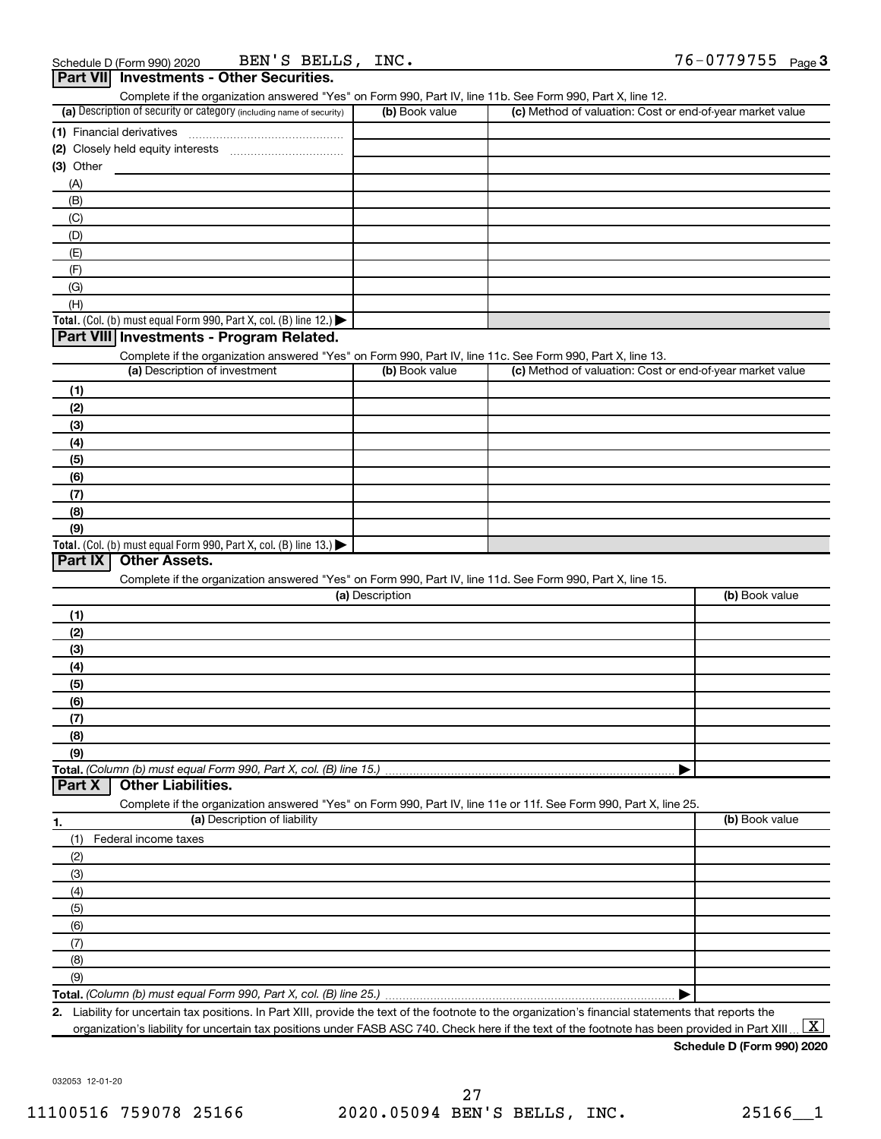| Complete if the organization answered "Yes" on Form 990, Part IV, line 11b. See Form 990, Part X, line 12.                                        |                 |                                                           |                |
|---------------------------------------------------------------------------------------------------------------------------------------------------|-----------------|-----------------------------------------------------------|----------------|
| (a) Description of security or category (including name of security)                                                                              | (b) Book value  | (c) Method of valuation: Cost or end-of-year market value |                |
| (1) Financial derivatives                                                                                                                         |                 |                                                           |                |
|                                                                                                                                                   |                 |                                                           |                |
| $(3)$ Other                                                                                                                                       |                 |                                                           |                |
| (A)                                                                                                                                               |                 |                                                           |                |
| (B)                                                                                                                                               |                 |                                                           |                |
| (C)                                                                                                                                               |                 |                                                           |                |
| (D)                                                                                                                                               |                 |                                                           |                |
| (E)                                                                                                                                               |                 |                                                           |                |
|                                                                                                                                                   |                 |                                                           |                |
| (F)<br>(G)                                                                                                                                        |                 |                                                           |                |
|                                                                                                                                                   |                 |                                                           |                |
| (H)                                                                                                                                               |                 |                                                           |                |
| Total. (Col. (b) must equal Form 990, Part X, col. (B) line 12.) $\blacktriangleright$                                                            |                 |                                                           |                |
| Part VIII Investments - Program Related.                                                                                                          |                 |                                                           |                |
| Complete if the organization answered "Yes" on Form 990, Part IV, line 11c. See Form 990, Part X, line 13.                                        |                 |                                                           |                |
| (a) Description of investment                                                                                                                     | (b) Book value  | (c) Method of valuation: Cost or end-of-year market value |                |
| (1)                                                                                                                                               |                 |                                                           |                |
| (2)                                                                                                                                               |                 |                                                           |                |
| (3)                                                                                                                                               |                 |                                                           |                |
| (4)                                                                                                                                               |                 |                                                           |                |
| (5)                                                                                                                                               |                 |                                                           |                |
| (6)                                                                                                                                               |                 |                                                           |                |
| (7)                                                                                                                                               |                 |                                                           |                |
| (8)                                                                                                                                               |                 |                                                           |                |
| (9)                                                                                                                                               |                 |                                                           |                |
| Total. (Col. (b) must equal Form 990, Part X, col. (B) line 13.)                                                                                  |                 |                                                           |                |
| <b>Other Assets.</b><br>Part IX                                                                                                                   |                 |                                                           |                |
| Complete if the organization answered "Yes" on Form 990, Part IV, line 11d. See Form 990, Part X, line 15.                                        |                 |                                                           |                |
|                                                                                                                                                   | (a) Description |                                                           | (b) Book value |
| (1)                                                                                                                                               |                 |                                                           |                |
| (2)                                                                                                                                               |                 |                                                           |                |
| (3)                                                                                                                                               |                 |                                                           |                |
| (4)                                                                                                                                               |                 |                                                           |                |
| (5)                                                                                                                                               |                 |                                                           |                |
| (6)                                                                                                                                               |                 |                                                           |                |
| (7)                                                                                                                                               |                 |                                                           |                |
|                                                                                                                                                   |                 |                                                           |                |
| (8)<br>(9)                                                                                                                                        |                 |                                                           |                |
|                                                                                                                                                   |                 |                                                           |                |
| Total. (Column (b) must equal Form 990, Part X, col. (B) line 15.)<br><b>Other Liabilities.</b><br>Part X                                         |                 |                                                           |                |
|                                                                                                                                                   |                 |                                                           |                |
| Complete if the organization answered "Yes" on Form 990, Part IV, line 11e or 11f. See Form 990, Part X, line 25.<br>(a) Description of liability |                 |                                                           |                |
| 1.                                                                                                                                                |                 |                                                           | (b) Book value |
| (1)<br>Federal income taxes                                                                                                                       |                 |                                                           |                |
| (2)                                                                                                                                               |                 |                                                           |                |
| (3)                                                                                                                                               |                 |                                                           |                |
| (4)                                                                                                                                               |                 |                                                           |                |
| (5)                                                                                                                                               |                 |                                                           |                |
| (6)                                                                                                                                               |                 |                                                           |                |
| (7)                                                                                                                                               |                 |                                                           |                |
| (8)                                                                                                                                               |                 |                                                           |                |
| (9)                                                                                                                                               |                 |                                                           |                |
|                                                                                                                                                   |                 |                                                           |                |
| Total. (Column (b) must equal Form 990, Part X, col. (B) line 25.)                                                                                |                 |                                                           |                |

**2.** Liability for uncertain tax positions. In Part XIII, provide the text of the footnote to the organization's financial statements that reports the organization's liability for uncertain tax positions under FASB ASC 740. Check here if the text of the footnote has been provided in Part XIII ...  $\fbox{\bf X}$ 

**Schedule D (Form 990) 2020**

032053 12-01-20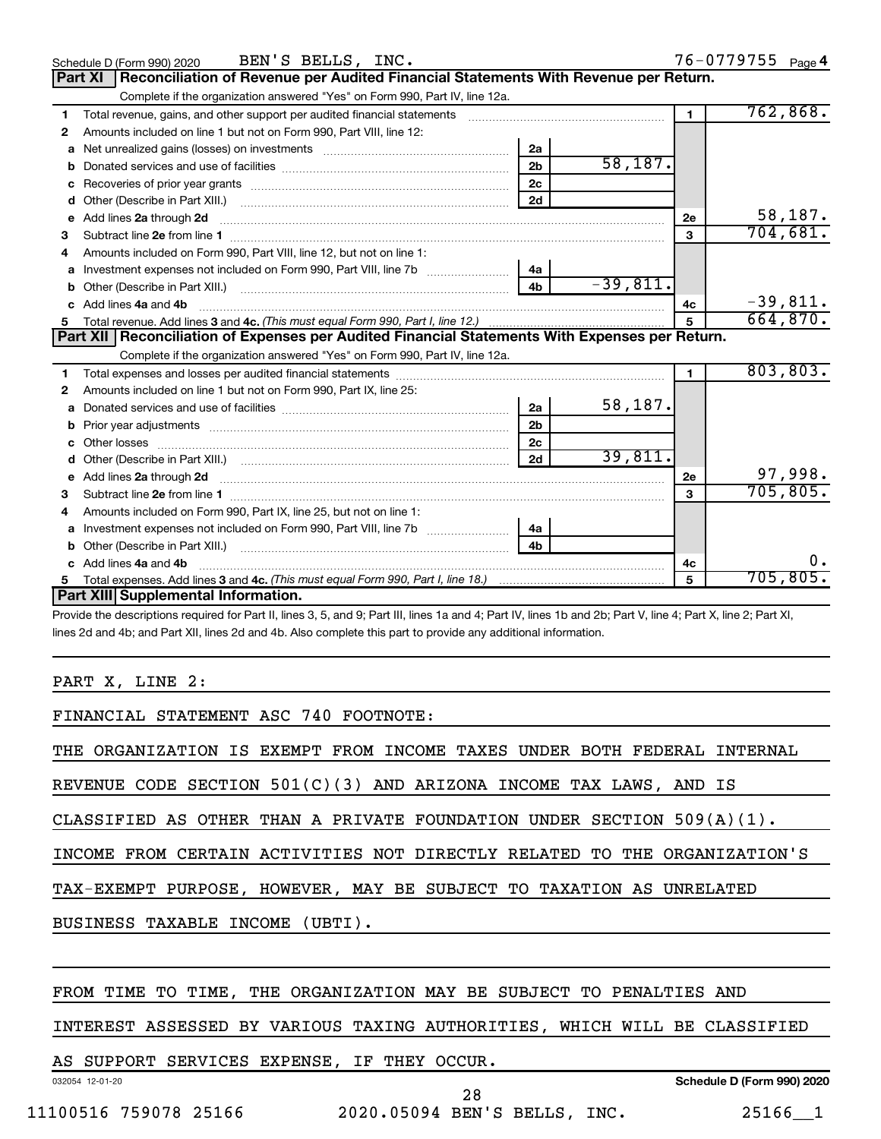|    | BEN'S BELLS, INC.<br>Schedule D (Form 990) 2020                                                                                                                                                                                          |                |            |                | 76-0779755 Page 4 |
|----|------------------------------------------------------------------------------------------------------------------------------------------------------------------------------------------------------------------------------------------|----------------|------------|----------------|-------------------|
|    | Reconciliation of Revenue per Audited Financial Statements With Revenue per Return.<br>Part XI                                                                                                                                           |                |            |                |                   |
|    | Complete if the organization answered "Yes" on Form 990, Part IV, line 12a.                                                                                                                                                              |                |            |                |                   |
| 1  | Total revenue, gains, and other support per audited financial statements                                                                                                                                                                 |                |            | $\blacksquare$ | 762,868.          |
| 2  | Amounts included on line 1 but not on Form 990, Part VIII, line 12:                                                                                                                                                                      |                |            |                |                   |
| a  |                                                                                                                                                                                                                                          | 2a             |            |                |                   |
|    |                                                                                                                                                                                                                                          | 2 <sub>b</sub> | 58,187.    |                |                   |
|    |                                                                                                                                                                                                                                          | 2c             |            |                |                   |
|    |                                                                                                                                                                                                                                          | 2d             |            |                |                   |
| е  | Add lines 2a through 2d                                                                                                                                                                                                                  |                |            | 2е             | 58,187.           |
| 3  |                                                                                                                                                                                                                                          |                |            | 3              | 704,681.          |
| 4  | Amounts included on Form 990, Part VIII, line 12, but not on line 1:                                                                                                                                                                     |                |            |                |                   |
|    |                                                                                                                                                                                                                                          | 4a             |            |                |                   |
| b  | Other (Describe in Part XIII.) (2000) (2000) (2000) (2010) (2010) (2010) (2010) (2010) (2010) (2010) (2010) (20                                                                                                                          | 4 <sub>b</sub> | $-39,811.$ |                |                   |
| C. | Add lines 4a and 4b                                                                                                                                                                                                                      |                |            | 4с             | $-39,811.$        |
|    |                                                                                                                                                                                                                                          |                |            | 5              | 664,870.          |
|    | Part XII   Reconciliation of Expenses per Audited Financial Statements With Expenses per Return.                                                                                                                                         |                |            |                |                   |
|    | Complete if the organization answered "Yes" on Form 990, Part IV, line 12a.                                                                                                                                                              |                |            |                |                   |
| 1. |                                                                                                                                                                                                                                          |                |            | $\mathbf{1}$   | 803, 803.         |
| 2  | Amounts included on line 1 but not on Form 990, Part IX, line 25:                                                                                                                                                                        |                |            |                |                   |
| a  |                                                                                                                                                                                                                                          | 2a             | 58,187.    |                |                   |
|    |                                                                                                                                                                                                                                          | 2 <sub>b</sub> |            |                |                   |
| c  |                                                                                                                                                                                                                                          | 2 <sub>c</sub> |            |                |                   |
|    |                                                                                                                                                                                                                                          | 2d             | 39,811.    |                |                   |
|    | e Add lines 2a through 2d <b>[10]</b> [10] <b>All and Property Contract 20 and 20</b> and 20 and 20 and 20 and 20 and 20 and 20 and 20 and 20 and 20 and 20 and 20 and 20 and 20 and 20 and 20 and 20 and 20 and 20 and 20 and 20 and 20 |                |            | 2е             | 97,998.           |
| 3  |                                                                                                                                                                                                                                          |                |            |                | 705,805.          |
| 4  | Amounts included on Form 990, Part IX, line 25, but not on line 1:                                                                                                                                                                       |                |            |                |                   |
|    |                                                                                                                                                                                                                                          | 4a             |            |                |                   |
| b  |                                                                                                                                                                                                                                          | 4 <sub>h</sub> |            |                |                   |
|    | c Add lines 4a and 4b                                                                                                                                                                                                                    |                |            | 4c             | 0.                |
|    |                                                                                                                                                                                                                                          |                |            | 5              | 705,805.          |
|    | Part XIII Supplemental Information.                                                                                                                                                                                                      |                |            |                |                   |

Provide the descriptions required for Part II, lines 3, 5, and 9; Part III, lines 1a and 4; Part IV, lines 1b and 2b; Part V, line 4; Part X, line 2; Part XI, lines 2d and 4b; and Part XII, lines 2d and 4b. Also complete this part to provide any additional information.

#### PART X, LINE 2:

|  | FINANCIAL STATEMENT ASC 740 FOOTNOTE: |  |  |  |
|--|---------------------------------------|--|--|--|
|--|---------------------------------------|--|--|--|

THE ORGANIZATION IS EXEMPT FROM INCOME TAXES UNDER BOTH FEDERAL INTERNAL

REVENUE CODE SECTION 501(C)(3) AND ARIZONA INCOME TAX LAWS, AND IS

CLASSIFIED AS OTHER THAN A PRIVATE FOUNDATION UNDER SECTION  $509(A)(1)$ .

INCOME FROM CERTAIN ACTIVITIES NOT DIRECTLY RELATED TO THE ORGANIZATION'S

TAX-EXEMPT PURPOSE, HOWEVER, MAY BE SUBJECT TO TAXATION AS UNRELATED

BUSINESS TAXABLE INCOME (UBTI).

#### FROM TIME TO TIME, THE ORGANIZATION MAY BE SUBJECT TO PENALTIES AND

INTEREST ASSESSED BY VARIOUS TAXING AUTHORITIES, WHICH WILL BE CLASSIFIED

# AS SUPPORT SERVICES EXPENSE, IF THEY OCCUR.

**Schedule D (Form 990) 2020**

11100516 759078 25166 2020.05094 BEN'S BELLS, INC. 25166\_\_1

032054 12-01-20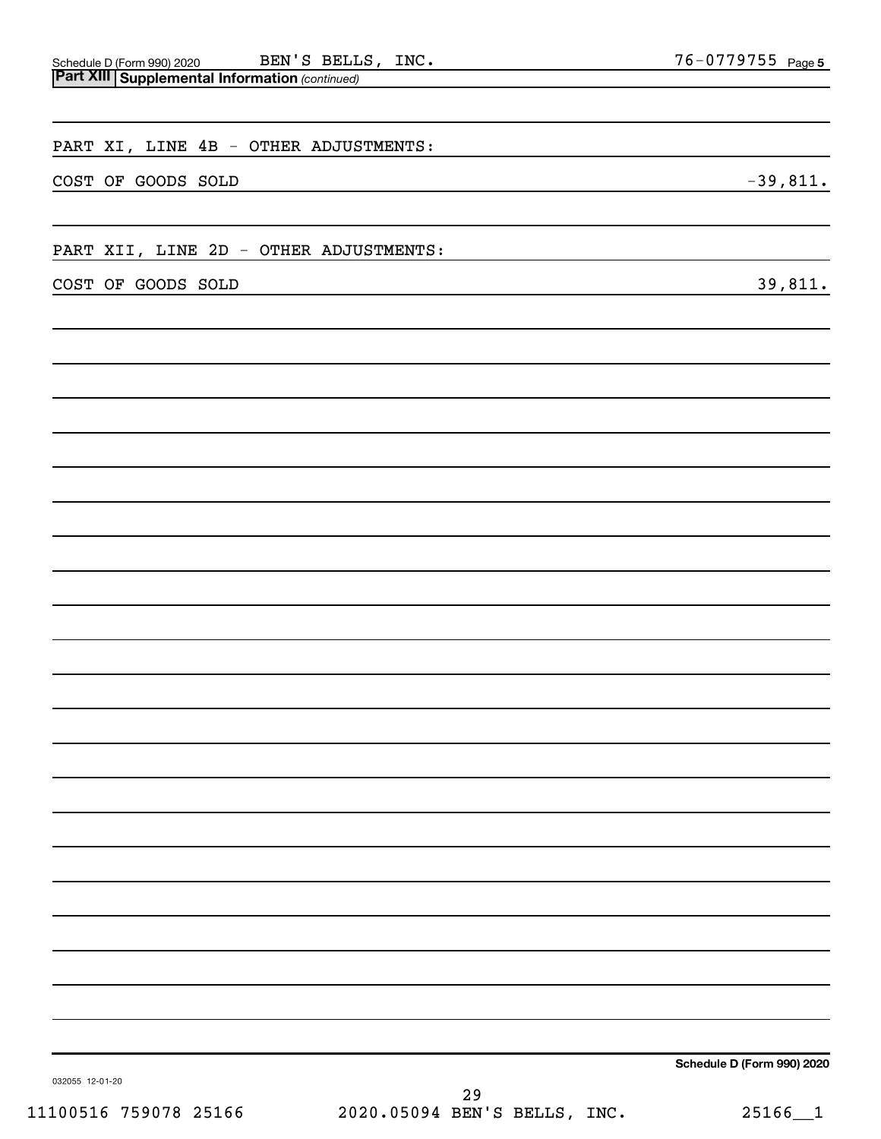| BEN'S BELLS, INC.<br>Schedule D (Form 990) 2020 BEN'S BELL<br>Part XIII Supplemental Information (continued) | 76-0779755 Page 5          |
|--------------------------------------------------------------------------------------------------------------|----------------------------|
|                                                                                                              |                            |
| PART XI, LINE 4B - OTHER ADJUSTMENTS:                                                                        |                            |
| COST OF GOODS SOLD                                                                                           | $-39,811.$                 |
| PART XII, LINE 2D - OTHER ADJUSTMENTS:                                                                       |                            |
| COST OF GOODS SOLD                                                                                           | 39,811.                    |
|                                                                                                              |                            |
|                                                                                                              |                            |
|                                                                                                              |                            |
|                                                                                                              |                            |
|                                                                                                              |                            |
|                                                                                                              |                            |
|                                                                                                              |                            |
|                                                                                                              |                            |
|                                                                                                              |                            |
|                                                                                                              |                            |
|                                                                                                              |                            |
|                                                                                                              |                            |
|                                                                                                              |                            |
|                                                                                                              |                            |
|                                                                                                              |                            |
| 032055 12-01-20                                                                                              | Schedule D (Form 990) 2020 |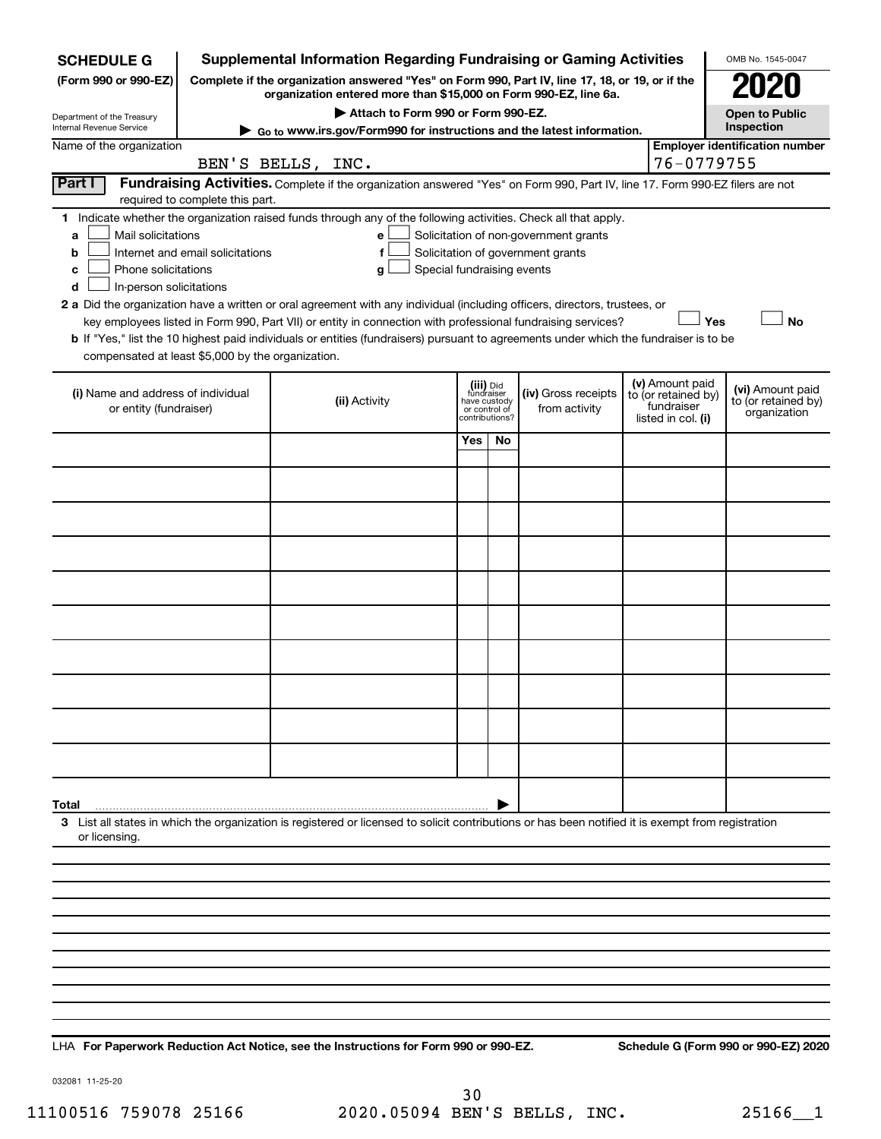| <b>SCHEDULE G</b>                                                                        |                                                                                                                                                                     | <b>Supplemental Information Regarding Fundraising or Gaming Activities</b>                                                                                                                                                                |                                                                            |     |                                                                            |  |                                                                            | OMB No. 1545-0047                                       |  |
|------------------------------------------------------------------------------------------|---------------------------------------------------------------------------------------------------------------------------------------------------------------------|-------------------------------------------------------------------------------------------------------------------------------------------------------------------------------------------------------------------------------------------|----------------------------------------------------------------------------|-----|----------------------------------------------------------------------------|--|----------------------------------------------------------------------------|---------------------------------------------------------|--|
| (Form 990 or 990-EZ)                                                                     | Complete if the organization answered "Yes" on Form 990, Part IV, line 17, 18, or 19, or if the<br>organization entered more than \$15,000 on Form 990-EZ, line 6a. |                                                                                                                                                                                                                                           |                                                                            |     |                                                                            |  |                                                                            |                                                         |  |
| Department of the Treasury                                                               | Attach to Form 990 or Form 990-EZ.<br><b>Open to Public</b>                                                                                                         |                                                                                                                                                                                                                                           |                                                                            |     |                                                                            |  |                                                                            |                                                         |  |
| Internal Revenue Service                                                                 |                                                                                                                                                                     | ► Go to www.irs.gov/Form990 for instructions and the latest information.                                                                                                                                                                  |                                                                            |     |                                                                            |  |                                                                            | Inspection                                              |  |
| Name of the organization                                                                 |                                                                                                                                                                     | BEN'S BELLS, INC.                                                                                                                                                                                                                         |                                                                            |     |                                                                            |  | 76-0779755                                                                 | <b>Employer identification number</b>                   |  |
| Part I                                                                                   |                                                                                                                                                                     | Fundraising Activities. Complete if the organization answered "Yes" on Form 990, Part IV, line 17. Form 990-EZ filers are not                                                                                                             |                                                                            |     |                                                                            |  |                                                                            |                                                         |  |
|                                                                                          | required to complete this part.                                                                                                                                     |                                                                                                                                                                                                                                           |                                                                            |     |                                                                            |  |                                                                            |                                                         |  |
| Mail solicitations<br>a<br>b<br>Phone solicitations<br>с<br>In-person solicitations<br>d | Internet and email solicitations                                                                                                                                    | 1 Indicate whether the organization raised funds through any of the following activities. Check all that apply.<br>е<br>f<br>Special fundraising events<br>g                                                                              |                                                                            |     | Solicitation of non-government grants<br>Solicitation of government grants |  |                                                                            |                                                         |  |
|                                                                                          |                                                                                                                                                                     | 2 a Did the organization have a written or oral agreement with any individual (including officers, directors, trustees, or<br>key employees listed in Form 990, Part VII) or entity in connection with professional fundraising services? |                                                                            |     |                                                                            |  | Yes                                                                        | <b>No</b>                                               |  |
|                                                                                          |                                                                                                                                                                     | b If "Yes," list the 10 highest paid individuals or entities (fundraisers) pursuant to agreements under which the fundraiser is to be                                                                                                     |                                                                            |     |                                                                            |  |                                                                            |                                                         |  |
| compensated at least \$5,000 by the organization.                                        |                                                                                                                                                                     |                                                                                                                                                                                                                                           |                                                                            |     |                                                                            |  |                                                                            |                                                         |  |
| (i) Name and address of individual<br>or entity (fundraiser)                             |                                                                                                                                                                     | (ii) Activity                                                                                                                                                                                                                             | (iii) Did<br>fundraiser<br>have custody<br>or control of<br>contributions? |     | (iv) Gross receipts<br>from activity                                       |  | (v) Amount paid<br>to (or retained by)<br>fundraiser<br>listed in col. (i) | (vi) Amount paid<br>to (or retained by)<br>organization |  |
|                                                                                          |                                                                                                                                                                     |                                                                                                                                                                                                                                           | Yes                                                                        | No. |                                                                            |  |                                                                            |                                                         |  |
|                                                                                          |                                                                                                                                                                     |                                                                                                                                                                                                                                           |                                                                            |     |                                                                            |  |                                                                            |                                                         |  |
|                                                                                          |                                                                                                                                                                     |                                                                                                                                                                                                                                           |                                                                            |     |                                                                            |  |                                                                            |                                                         |  |
|                                                                                          |                                                                                                                                                                     |                                                                                                                                                                                                                                           |                                                                            |     |                                                                            |  |                                                                            |                                                         |  |
|                                                                                          |                                                                                                                                                                     |                                                                                                                                                                                                                                           |                                                                            |     |                                                                            |  |                                                                            |                                                         |  |
|                                                                                          |                                                                                                                                                                     |                                                                                                                                                                                                                                           |                                                                            |     |                                                                            |  |                                                                            |                                                         |  |
|                                                                                          |                                                                                                                                                                     |                                                                                                                                                                                                                                           |                                                                            |     |                                                                            |  |                                                                            |                                                         |  |
|                                                                                          |                                                                                                                                                                     |                                                                                                                                                                                                                                           |                                                                            |     |                                                                            |  |                                                                            |                                                         |  |
|                                                                                          |                                                                                                                                                                     |                                                                                                                                                                                                                                           |                                                                            |     |                                                                            |  |                                                                            |                                                         |  |
|                                                                                          |                                                                                                                                                                     |                                                                                                                                                                                                                                           |                                                                            |     |                                                                            |  |                                                                            |                                                         |  |
|                                                                                          |                                                                                                                                                                     |                                                                                                                                                                                                                                           |                                                                            |     |                                                                            |  |                                                                            |                                                         |  |
|                                                                                          |                                                                                                                                                                     |                                                                                                                                                                                                                                           |                                                                            |     |                                                                            |  |                                                                            |                                                         |  |
| Total                                                                                    |                                                                                                                                                                     |                                                                                                                                                                                                                                           |                                                                            |     |                                                                            |  |                                                                            |                                                         |  |
|                                                                                          |                                                                                                                                                                     | 3 List all states in which the organization is registered or licensed to solicit contributions or has been notified it is exempt from registration                                                                                        |                                                                            |     |                                                                            |  |                                                                            |                                                         |  |
| or licensing.                                                                            |                                                                                                                                                                     |                                                                                                                                                                                                                                           |                                                                            |     |                                                                            |  |                                                                            |                                                         |  |
|                                                                                          |                                                                                                                                                                     |                                                                                                                                                                                                                                           |                                                                            |     |                                                                            |  |                                                                            |                                                         |  |
|                                                                                          |                                                                                                                                                                     |                                                                                                                                                                                                                                           |                                                                            |     |                                                                            |  |                                                                            |                                                         |  |
|                                                                                          |                                                                                                                                                                     |                                                                                                                                                                                                                                           |                                                                            |     |                                                                            |  |                                                                            |                                                         |  |
|                                                                                          |                                                                                                                                                                     |                                                                                                                                                                                                                                           |                                                                            |     |                                                                            |  |                                                                            |                                                         |  |
|                                                                                          |                                                                                                                                                                     |                                                                                                                                                                                                                                           |                                                                            |     |                                                                            |  |                                                                            |                                                         |  |
|                                                                                          |                                                                                                                                                                     |                                                                                                                                                                                                                                           |                                                                            |     |                                                                            |  |                                                                            |                                                         |  |
|                                                                                          |                                                                                                                                                                     |                                                                                                                                                                                                                                           |                                                                            |     |                                                                            |  |                                                                            |                                                         |  |

**For Paperwork Reduction Act Notice, see the Instructions for Form 990 or 990-EZ. Schedule G (Form 990 or 990-EZ) 2020** LHA

032081 11-25-20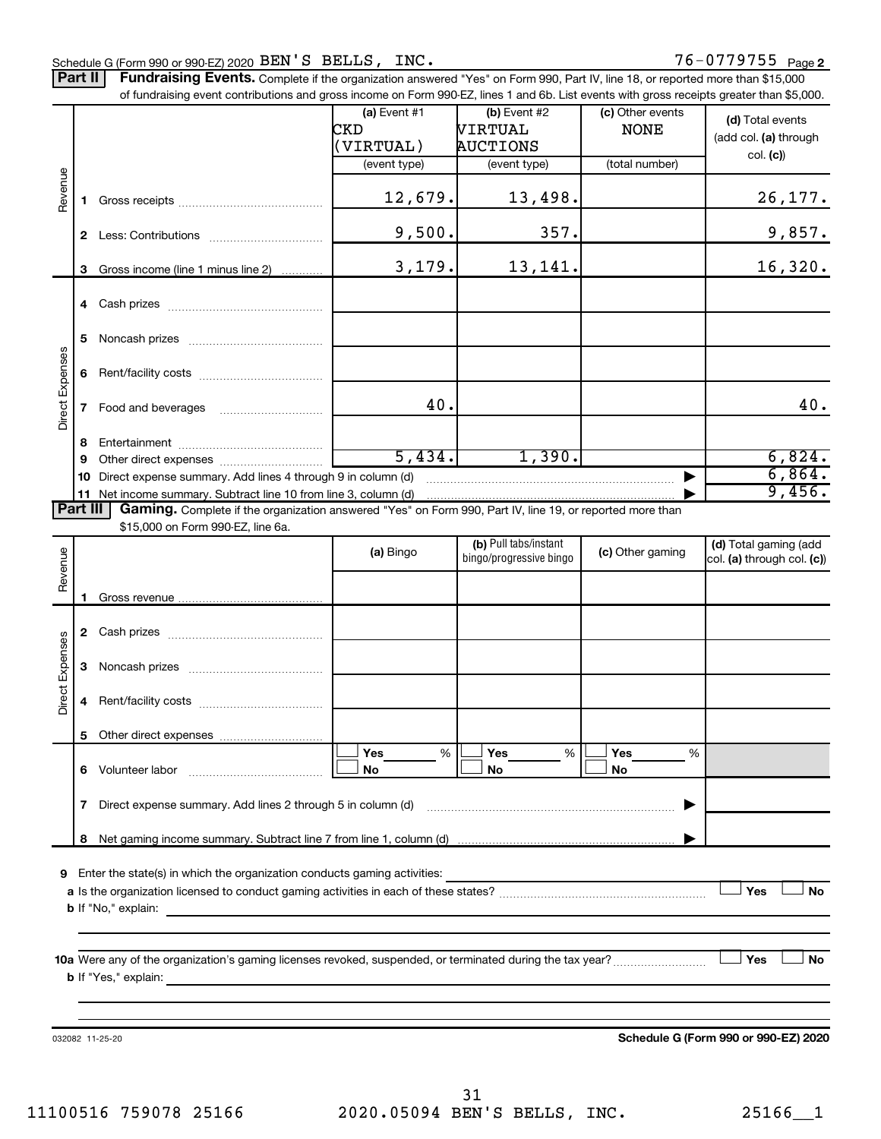76-0779755 <sub>Page 2</sub> Schedule G (Form 990 or 990-EZ) 2020  $BEN'S$   $BELLS$  ,  $INC$  .  $76-0779755$   $Page$ Part II | Fundraising Events. Complete if the organization answered "Yes" on Form 990, Part IV, line 18, or reported more than \$15,000 of fundraising event contributions and gross income on Form 990-EZ, lines 1 and 6b. List events with gross receipts greater than \$5,000. **(a)** Event  $#1$  **(b)** Event  $#2$ (c) Other events **(d)**  Total events CKD | VIRTUAL | NONE (add col. (a) through (VIRTUAL) AUCTIONS col. **(c)**) (event type) (event type) (total number) Revenue 12,679. 13,498. 26,177. **1** Gross receipts ~~~~~~~~~~~~~~ 9,500. 357. 357. **2** Less: Contributions ~~~~~~~~~~~ 3,179. 13,141. 16,320. **3** Gross income (line 1 minus line 2) . . . . . . . . . . . . **4** Cash prizes ~~~~~~~~~~~~~~~ **5** Noncash prizes ~~~~~~~~~~~~~ Expenses Rent/facility costs ~~~~~~~~~~~~ **6**

|                 | 6        |                                                                                                          |           |                                                  |                  |                                                     |
|-----------------|----------|----------------------------------------------------------------------------------------------------------|-----------|--------------------------------------------------|------------------|-----------------------------------------------------|
| Direct Expenses |          | Food and beverages                                                                                       | 40.       |                                                  |                  | 40.                                                 |
|                 | 8        |                                                                                                          |           |                                                  |                  |                                                     |
|                 | 9        |                                                                                                          | 5,434.    | 1,390.                                           |                  | 6,824.                                              |
|                 | 10       | Direct expense summary. Add lines 4 through 9 in column (d)                                              |           |                                                  |                  | 6,864.                                              |
|                 |          |                                                                                                          |           |                                                  |                  | 9,456.                                              |
|                 | Part III | Gaming. Complete if the organization answered "Yes" on Form 990, Part IV, line 19, or reported more than |           |                                                  |                  |                                                     |
|                 |          | \$15,000 on Form 990-EZ, line 6a.                                                                        |           |                                                  |                  |                                                     |
| Revenue         |          |                                                                                                          | (a) Bingo | (b) Pull tabs/instant<br>bingo/progressive bingo | (c) Other gaming | (d) Total gaming (add<br>col. (a) through col. (c)) |
|                 |          |                                                                                                          |           |                                                  |                  |                                                     |
|                 |          |                                                                                                          |           |                                                  |                  |                                                     |
|                 |          |                                                                                                          |           |                                                  |                  |                                                     |
|                 | 2        |                                                                                                          |           |                                                  |                  |                                                     |
| penses          |          |                                                                                                          |           |                                                  |                  |                                                     |
|                 | 3        | Noncash prizes                                                                                           |           |                                                  |                  |                                                     |

|                 |    | <b>L CASIL</b> PILLES                                       |  |                              |  |           |   |  |                |  |
|-----------------|----|-------------------------------------------------------------|--|------------------------------|--|-----------|---|--|----------------|--|
| Direct Expenses | з  | Noncash prizes                                              |  |                              |  |           |   |  |                |  |
|                 | 4  | Rent/facility costs                                         |  |                              |  |           |   |  |                |  |
|                 | 5. |                                                             |  |                              |  |           |   |  |                |  |
|                 | 6  | Volunteer labor                                             |  | <b>Yes</b><br>%<br><b>No</b> |  | Yes<br>No | % |  | Yes<br>%<br>No |  |
|                 | 7  | Direct expense summary. Add lines 2 through 5 in column (d) |  |                              |  |           |   |  |                |  |
|                 | 8  |                                                             |  |                              |  |           |   |  |                |  |
|                 |    |                                                             |  |                              |  |           |   |  |                |  |

**9** Enter the state(s) in which the organization conducts gaming activities:

**a** Is the organization licensed to conduct gaming activities in each of these states? ~~~~~~~~~~~~~~~~~~~~ **b** If "No," explain:  $\Box$  Yes  $\Box$  No

**10 a** Were any of the organization's gaming licenses revoked, suspended, or terminated during the tax year? ~~~~~~~~~ **b** If "Yes," explain:  $\Box$  Yes

032082 11-25-20

**Schedule G (Form 990 or 990-EZ) 2020**

**Yes No**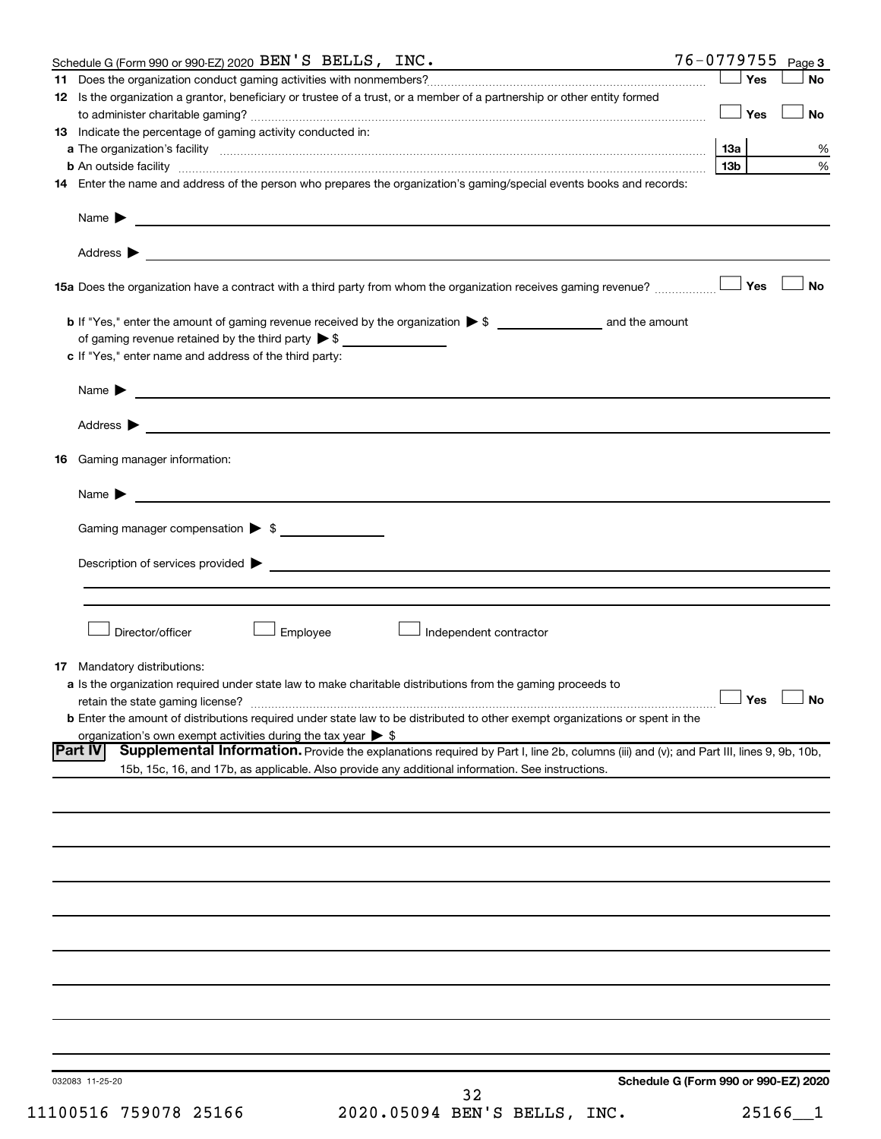| Schedule G (Form 990 or 990-EZ) 2020 BEN'S BELLS, INC.                                                                                                                                                                                                             | $76 - 0779755$ Page 3                |                             |
|--------------------------------------------------------------------------------------------------------------------------------------------------------------------------------------------------------------------------------------------------------------------|--------------------------------------|-----------------------------|
| 11.                                                                                                                                                                                                                                                                | Yes                                  | <b>No</b>                   |
| 12 Is the organization a grantor, beneficiary or trustee of a trust, or a member of a partnership or other entity formed                                                                                                                                           | <b>」Yes</b>                          |                             |
|                                                                                                                                                                                                                                                                    |                                      | No                          |
| <b>13</b> Indicate the percentage of gaming activity conducted in:                                                                                                                                                                                                 | 13a                                  | %                           |
|                                                                                                                                                                                                                                                                    | 13 <sub>b</sub>                      | $\%$                        |
| 14 Enter the name and address of the person who prepares the organization's gaming/special events books and records:                                                                                                                                               |                                      |                             |
|                                                                                                                                                                                                                                                                    |                                      |                             |
| Name $\blacktriangleright$<br><u>and the state of the state of the state of the state of the state of the state of the state of the state of the state of the state of the state of the state of the state of the state of the state of the state of the state</u> |                                      |                             |
|                                                                                                                                                                                                                                                                    |                                      |                             |
|                                                                                                                                                                                                                                                                    |                                      | <b>No</b>                   |
|                                                                                                                                                                                                                                                                    |                                      |                             |
| of gaming revenue retained by the third party $\triangleright$ \$                                                                                                                                                                                                  |                                      |                             |
| c If "Yes," enter name and address of the third party:                                                                                                                                                                                                             |                                      |                             |
| Name $\blacktriangleright$ $\blacksquare$                                                                                                                                                                                                                          |                                      |                             |
|                                                                                                                                                                                                                                                                    |                                      |                             |
|                                                                                                                                                                                                                                                                    |                                      |                             |
| Gaming manager information:<br>16                                                                                                                                                                                                                                  |                                      |                             |
| Name $\blacktriangleright$                                                                                                                                                                                                                                         |                                      |                             |
| Gaming manager compensation > \$                                                                                                                                                                                                                                   |                                      |                             |
|                                                                                                                                                                                                                                                                    |                                      |                             |
| Description of services provided $\blacktriangleright$                                                                                                                                                                                                             |                                      |                             |
|                                                                                                                                                                                                                                                                    |                                      |                             |
| Director/officer<br>Employee<br>Independent contractor                                                                                                                                                                                                             |                                      |                             |
|                                                                                                                                                                                                                                                                    |                                      |                             |
| <b>17</b> Mandatory distributions:                                                                                                                                                                                                                                 |                                      |                             |
| <b>a</b> Is the organization required under state law to make charitable distributions from the gaming proceeds to                                                                                                                                                 |                                      |                             |
| retain the state gaming license?                                                                                                                                                                                                                                   | $\Box$ Yes $\quad \Box$              | $\overline{\phantom{a}}$ No |
| <b>b</b> Enter the amount of distributions required under state law to be distributed to other exempt organizations or spent in the                                                                                                                                |                                      |                             |
| organization's own exempt activities during the tax year $\triangleright$ \$<br><b>Part IV</b><br>Supplemental Information. Provide the explanations required by Part I, line 2b, columns (iii) and (v); and Part III, lines 9, 9b, 10b,                           |                                      |                             |
| 15b, 15c, 16, and 17b, as applicable. Also provide any additional information. See instructions.                                                                                                                                                                   |                                      |                             |
|                                                                                                                                                                                                                                                                    |                                      |                             |
|                                                                                                                                                                                                                                                                    |                                      |                             |
|                                                                                                                                                                                                                                                                    |                                      |                             |
|                                                                                                                                                                                                                                                                    |                                      |                             |
|                                                                                                                                                                                                                                                                    |                                      |                             |
|                                                                                                                                                                                                                                                                    |                                      |                             |
|                                                                                                                                                                                                                                                                    |                                      |                             |
|                                                                                                                                                                                                                                                                    |                                      |                             |
|                                                                                                                                                                                                                                                                    |                                      |                             |
|                                                                                                                                                                                                                                                                    |                                      |                             |
|                                                                                                                                                                                                                                                                    |                                      |                             |
|                                                                                                                                                                                                                                                                    |                                      |                             |
|                                                                                                                                                                                                                                                                    |                                      |                             |
| 032083 11-25-20<br>32                                                                                                                                                                                                                                              | Schedule G (Form 990 or 990-EZ) 2020 |                             |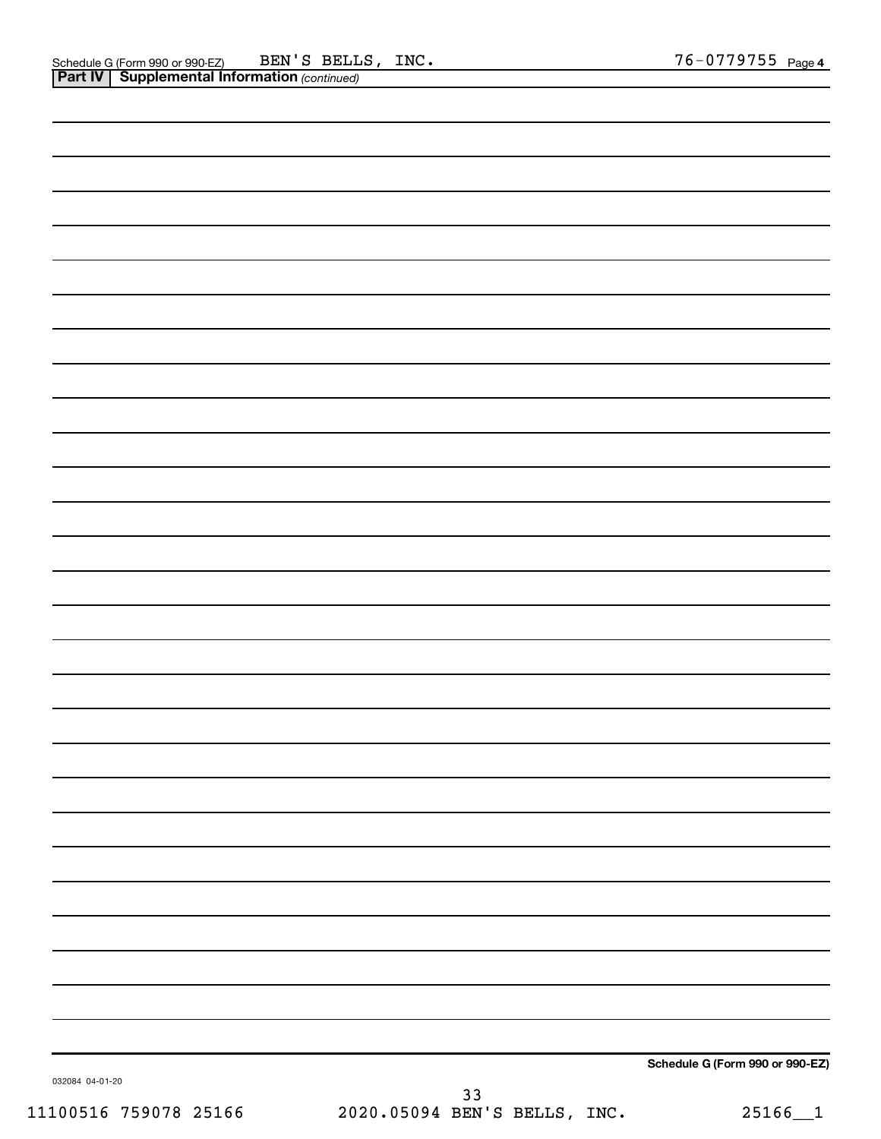|                 | Schedule G (Form 990 or 990-EZ) |
|-----------------|---------------------------------|
| 032084 04-01-20 |                                 |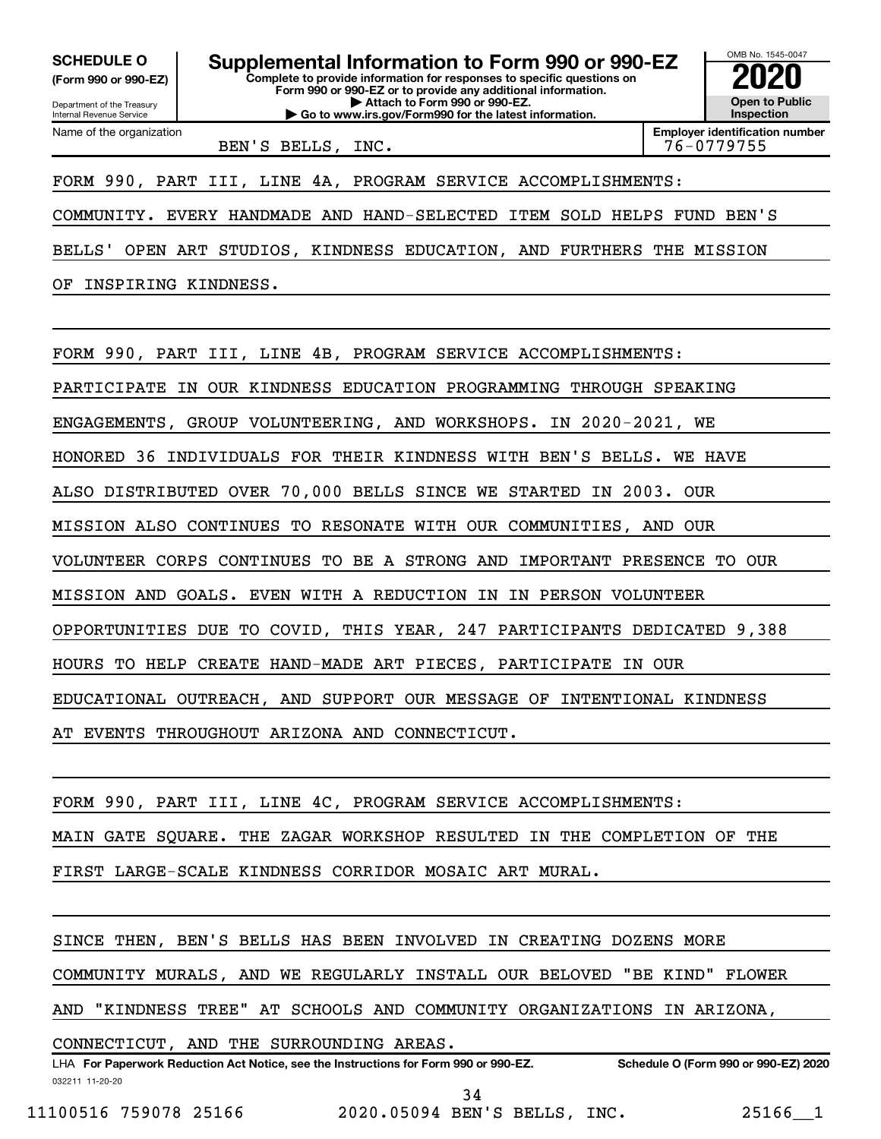**(Form 990 or 990-EZ)**

Department of the Treasury

Name of the organization

Internal Revenue Service

**Complete to provide information for responses to specific questions on Form 990 or 990-EZ or to provide any additional information. | Attach to Form 990 or 990-EZ. | Go to www.irs.gov/Form990 for the latest information. SCHEDULE O Supplemental Information to Form 990 or 990-EZ 2020**<br>(Form 990 or 990-EZ) **2020** 



BEN'S BELLS, INC. 199755

FORM 990, PART III, LINE 4A, PROGRAM SERVICE ACCOMPLISHMENTS:

COMMUNITY. EVERY HANDMADE AND HAND-SELECTED ITEM SOLD HELPS FUND BEN'S

BELLS' OPEN ART STUDIOS, KINDNESS EDUCATION, AND FURTHERS THE MISSION

OF INSPIRING KINDNESS.

FORM 990, PART III, LINE 4B, PROGRAM SERVICE ACCOMPLISHMENTS:

PARTICIPATE IN OUR KINDNESS EDUCATION PROGRAMMING THROUGH SPEAKING

ENGAGEMENTS, GROUP VOLUNTEERING, AND WORKSHOPS. IN 2020-2021, WE

HONORED 36 INDIVIDUALS FOR THEIR KINDNESS WITH BEN'S BELLS. WE HAVE

ALSO DISTRIBUTED OVER 70,000 BELLS SINCE WE STARTED IN 2003. OUR

MISSION ALSO CONTINUES TO RESONATE WITH OUR COMMUNITIES, AND OUR

VOLUNTEER CORPS CONTINUES TO BE A STRONG AND IMPORTANT PRESENCE TO OUR

MISSION AND GOALS. EVEN WITH A REDUCTION IN IN PERSON VOLUNTEER

OPPORTUNITIES DUE TO COVID, THIS YEAR, 247 PARTICIPANTS DEDICATED 9,388

HOURS TO HELP CREATE HAND-MADE ART PIECES, PARTICIPATE IN OUR

EDUCATIONAL OUTREACH, AND SUPPORT OUR MESSAGE OF INTENTIONAL KINDNESS

AT EVENTS THROUGHOUT ARIZONA AND CONNECTICUT.

FORM 990, PART III, LINE 4C, PROGRAM SERVICE ACCOMPLISHMENTS:

MAIN GATE SQUARE. THE ZAGAR WORKSHOP RESULTED IN THE COMPLETION OF THE

FIRST LARGE-SCALE KINDNESS CORRIDOR MOSAIC ART MURAL.

SINCE THEN, BEN'S BELLS HAS BEEN INVOLVED IN CREATING DOZENS MORE

COMMUNITY MURALS, AND WE REGULARLY INSTALL OUR BELOVED "BE KIND" FLOWER

AND "KINDNESS TREE" AT SCHOOLS AND COMMUNITY ORGANIZATIONS IN ARIZONA,

CONNECTICUT, AND THE SURROUNDING AREAS.

032211 11-20-20 **For Paperwork Reduction Act Notice, see the Instructions for Form 990 or 990-EZ. Schedule O (Form 990 or 990-EZ) 2020** LHA